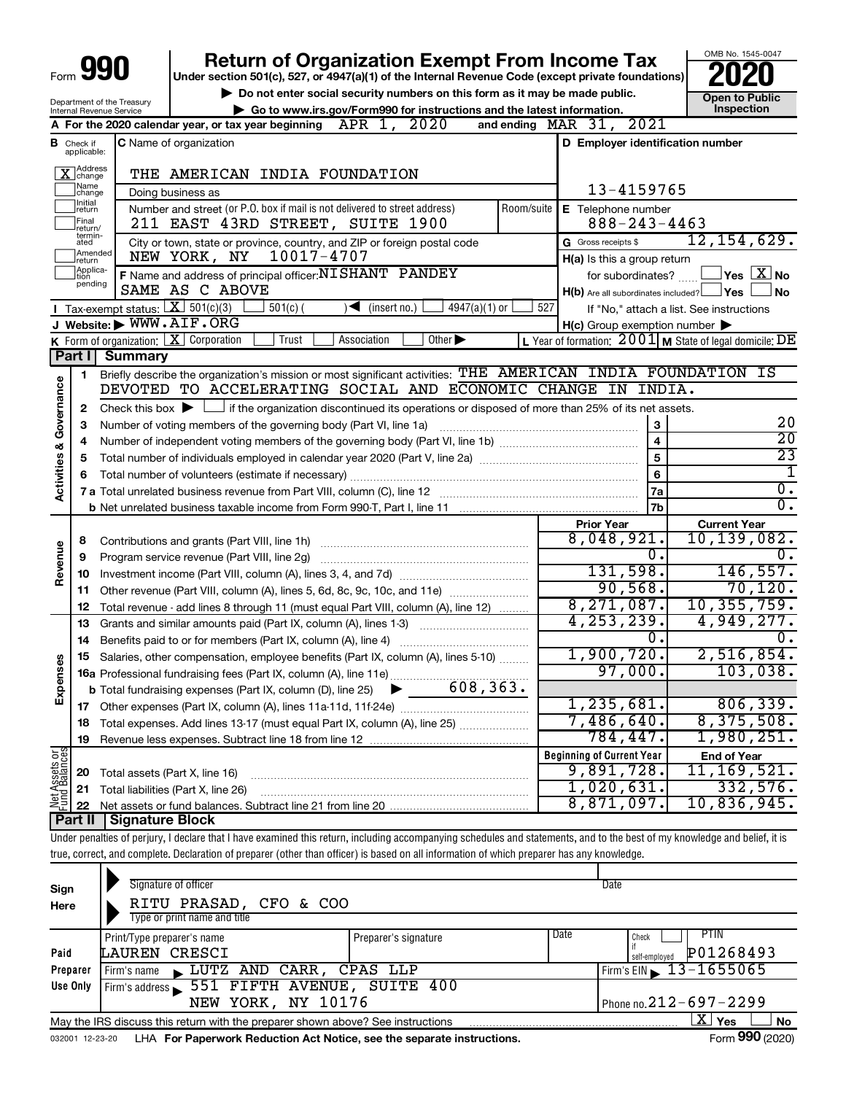|                                    |                                         |                        | <b>Return of Organization Exempt From Income Tax</b>                                                                                                                                                             |                                                           | OMB No. 1545-0047                        |
|------------------------------------|-----------------------------------------|------------------------|------------------------------------------------------------------------------------------------------------------------------------------------------------------------------------------------------------------|-----------------------------------------------------------|------------------------------------------|
| Form <b>990</b>                    |                                         |                        | Under section 501(c), 527, or 4947(a)(1) of the Internal Revenue Code (except private foundations)                                                                                                               |                                                           |                                          |
|                                    | Department of the Treasury              |                        | Do not enter social security numbers on this form as it may be made public.<br>Go to www.irs.gov/Form990 for instructions and the latest information.                                                            |                                                           | <b>Open to Public</b><br>Inspection      |
|                                    | Internal Revenue Service                |                        | 2020<br>APR 1,<br>and ending $\n  MAR\n  31$ ,<br>A For the 2020 calendar year, or tax year beginning                                                                                                            | 2021                                                      |                                          |
|                                    | <b>B</b> Check if<br>applicable:        |                        | <b>C</b> Name of organization                                                                                                                                                                                    | D Employer identification number                          |                                          |
|                                    |                                         |                        |                                                                                                                                                                                                                  |                                                           |                                          |
|                                    | ]Address<br>]change<br> Name<br> change |                        | THE AMERICAN INDIA FOUNDATION                                                                                                                                                                                    | 13-4159765                                                |                                          |
|                                    | Ilnitial                                |                        | Doing business as<br>Number and street (or P.O. box if mail is not delivered to street address)<br>Room/suite                                                                                                    | E Telephone number                                        |                                          |
|                                    | return<br>Final                         |                        | 211 EAST 43RD STREET, SUITE 1900                                                                                                                                                                                 | $888 - 243 - 4463$                                        |                                          |
|                                    | return/<br>termin-<br>ated              |                        | City or town, state or province, country, and ZIP or foreign postal code                                                                                                                                         | G Gross receipts \$                                       | 12, 154, 629.                            |
|                                    | Amended<br>return                       |                        | 10017-4707<br>NEW YORK, NY                                                                                                                                                                                       | H(a) Is this a group return                               |                                          |
|                                    | Applica-<br>Ition                       |                        | F Name and address of principal officer: NISHANT PANDEY                                                                                                                                                          | for subordinates?                                         | $\,$ Yes $\,$ $\,$ $\rm X$ $\,$ No $\,$  |
|                                    | pending                                 |                        | SAME AS C ABOVE                                                                                                                                                                                                  | $H(b)$ Are all subordinates included? $\Box$ Yes          | l No                                     |
|                                    |                                         |                        | Tax-exempt status: $X \over 301(c)(3)$<br>$4947(a)(1)$ or<br>527<br>$501(c)$ (<br>$\sqrt{\bullet}$ (insert no.)                                                                                                  |                                                           | If "No," attach a list. See instructions |
|                                    |                                         |                        | J Website: WWW.AIF.ORG                                                                                                                                                                                           | $H(c)$ Group exemption number $\blacktriangleright$       |                                          |
|                                    |                                         |                        | K Form of organization: $X$ Corporation<br>Trust<br>Other $\blacktriangleright$<br>Association                                                                                                                   | L Year of formation: $2001$ M State of legal domicile: DE |                                          |
|                                    | Part I                                  | <b>Summary</b>         |                                                                                                                                                                                                                  |                                                           |                                          |
|                                    | 1                                       |                        | Briefly describe the organization's mission or most significant activities: THE AMERICAN INDIA FOUNDATION IS<br>DEVOTED TO ACCELERATING SOCIAL AND ECONOMIC CHANGE IN INDIA.                                     |                                                           |                                          |
|                                    |                                         |                        |                                                                                                                                                                                                                  |                                                           |                                          |
|                                    | 2<br>3                                  |                        | Check this box $\blacktriangleright$ $\Box$ if the organization discontinued its operations or disposed of more than 25% of its net assets.<br>Number of voting members of the governing body (Part VI, line 1a) | 3                                                         | 20                                       |
|                                    | 4                                       |                        |                                                                                                                                                                                                                  | $\overline{\mathbf{4}}$                                   | $\overline{20}$                          |
|                                    | 5                                       |                        |                                                                                                                                                                                                                  | 5                                                         | $\overline{23}$                          |
| <b>Activities &amp; Governance</b> | 6                                       |                        |                                                                                                                                                                                                                  | $6\phantom{a}$                                            | $\mathbf 1$                              |
|                                    |                                         |                        |                                                                                                                                                                                                                  | 7a                                                        | $\overline{0}$ .                         |
|                                    |                                         |                        | b Net unrelated business taxable income from Form 990-T, Part I, line 11 [1] [1] [1] [1] Net unrelated business taxable income from Form 990-T, Part I, line 11                                                  | 7b                                                        | $\overline{0}$ .                         |
|                                    |                                         |                        |                                                                                                                                                                                                                  | <b>Prior Year</b>                                         | <b>Current Year</b>                      |
|                                    | 8                                       |                        |                                                                                                                                                                                                                  | 8,048,921.                                                | 10, 139, 082.                            |
| Revenue                            | 9                                       |                        | Program service revenue (Part VIII, line 2g)                                                                                                                                                                     | $\overline{0}$ .                                          | 0.                                       |
|                                    | 10                                      |                        |                                                                                                                                                                                                                  | 131,598.                                                  | 146, 557.                                |
|                                    | 11                                      |                        | Other revenue (Part VIII, column (A), lines 5, 6d, 8c, 9c, 10c, and 11e)                                                                                                                                         | 90,568.                                                   | 70, 120.<br>10, 355, 759.                |
|                                    | 12                                      |                        | Total revenue - add lines 8 through 11 (must equal Part VIII, column (A), line 12)                                                                                                                               | 8,271,087.<br>4, 253, 239.                                | 4,949,277.                               |
|                                    | 13                                      |                        | Grants and similar amounts paid (Part IX, column (A), lines 1-3)                                                                                                                                                 | 0.                                                        | О.                                       |
|                                    |                                         |                        | 15 Salaries, other compensation, employee benefits (Part IX, column (A), lines 5-10)                                                                                                                             | 1,900,720.                                                | 2,516,854.                               |
|                                    |                                         |                        |                                                                                                                                                                                                                  | 97,000.                                                   | 103,038.                                 |
| Expenses                           |                                         |                        |                                                                                                                                                                                                                  |                                                           |                                          |
|                                    | 17                                      |                        |                                                                                                                                                                                                                  | 1, 235, 681.                                              | 806, 339.                                |
|                                    | 18                                      |                        | Total expenses. Add lines 13-17 (must equal Part IX, column (A), line 25)                                                                                                                                        | 7,486,640.                                                | 8,375,508.                               |
|                                    | 19                                      |                        |                                                                                                                                                                                                                  | 784,447.                                                  | 1,980,251.                               |
|                                    |                                         |                        |                                                                                                                                                                                                                  | <b>Beginning of Current Year</b>                          | <b>End of Year</b>                       |
|                                    | 20                                      |                        | Total assets (Part X, line 16)                                                                                                                                                                                   | 9,891,728.                                                | 11, 169, 521.                            |
| Net Assets or<br>Fund Balances     | 21                                      |                        | Total liabilities (Part X, line 26)                                                                                                                                                                              | 1,020,631.                                                | 332,576.                                 |
|                                    | 22                                      |                        |                                                                                                                                                                                                                  | 8,871,097.                                                | 10,836,945.                              |
|                                    | Part II                                 | <b>Signature Block</b> |                                                                                                                                                                                                                  |                                                           |                                          |
|                                    |                                         |                        | Under penalties of perjury, I declare that I have examined this return, including accompanying schedules and statements, and to the best of my knowledge and belief, it is                                       |                                                           |                                          |
|                                    |                                         |                        | true, correct, and complete. Declaration of preparer (other than officer) is based on all information of which preparer has any knowledge.                                                                       |                                                           |                                          |

| Sign<br>Here | Signature of officer<br>RITU PRASAD, CFO & COO<br>Type or print name and title  |                      | Date                                                |
|--------------|---------------------------------------------------------------------------------|----------------------|-----------------------------------------------------|
| Paid         | Print/Type preparer's name<br>LAUREN CRESCI                                     | Preparer's signature | Date<br>PTIN<br>Check<br>P01268493<br>self-emploved |
| Preparer     | LUTZ AND CARR, CPAS LLP<br>Firm's name                                          |                      | Firm's EIN $\, 13 - 1655065$                        |
| Use Only     | Firm's address 551 FIFTH AVENUE, SUITE 400<br>NEW YORK, NY 10176                |                      | Phone no. $212 - 697 - 2299$                        |
|              | May the IRS discuss this return with the preparer shown above? See instructions |                      | $\mathbf{X}$<br>Yes<br>No                           |
|              | cossources on the Fernandian Deduction Activides and the concrete instructions. |                      | $T_{\text{arm}}$ 000 (2020)                         |

032001 12-23-20 LHA **For Paperwork Reduction Act Notice, see the separate instructions.** Form 990 (2020)

Form **990** (2020)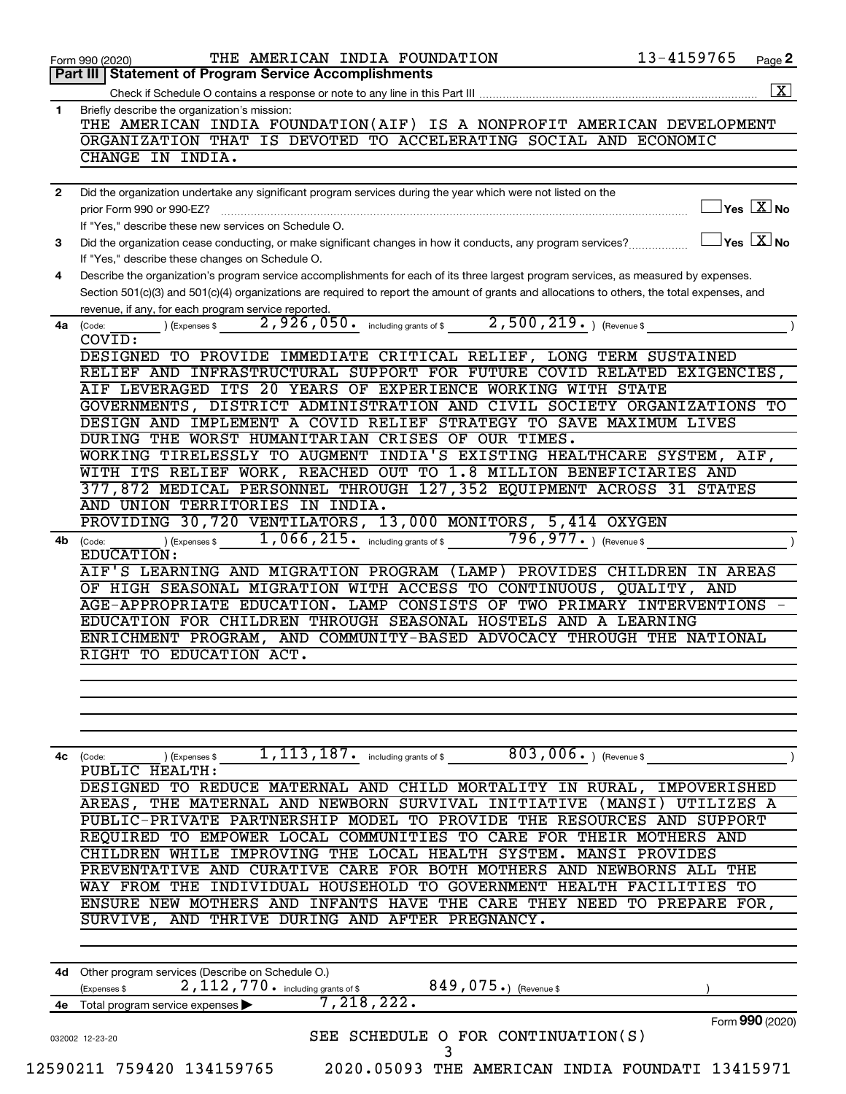| 1            | Part III   Statement of Program Service Accomplishments<br>Briefly describe the organization's mission:<br>THE AMERICAN INDIA FOUNDATION(AIF) IS A NONPROFIT AMERICAN DEVELOPMENT<br>ORGANIZATION THAT IS DEVOTED TO ACCELERATING SOCIAL AND ECONOMIC |
|--------------|-------------------------------------------------------------------------------------------------------------------------------------------------------------------------------------------------------------------------------------------------------|
|              |                                                                                                                                                                                                                                                       |
|              |                                                                                                                                                                                                                                                       |
|              |                                                                                                                                                                                                                                                       |
|              |                                                                                                                                                                                                                                                       |
|              | CHANGE IN INDIA.                                                                                                                                                                                                                                      |
|              |                                                                                                                                                                                                                                                       |
| $\mathbf{2}$ | Did the organization undertake any significant program services during the year which were not listed on the                                                                                                                                          |
|              | $\exists$ Yes $\boxed{\text{X}}$ No<br>prior Form 990 or 990-EZ?                                                                                                                                                                                      |
|              | If "Yes," describe these new services on Schedule O.                                                                                                                                                                                                  |
| 3            | $\Box$ Yes $[X]$ No<br>Did the organization cease conducting, or make significant changes in how it conducts, any program services?                                                                                                                   |
|              | If "Yes," describe these changes on Schedule O.                                                                                                                                                                                                       |
| 4            | Describe the organization's program service accomplishments for each of its three largest program services, as measured by expenses.                                                                                                                  |
|              | Section 501(c)(3) and 501(c)(4) organizations are required to report the amount of grants and allocations to others, the total expenses, and                                                                                                          |
|              | revenue, if any, for each program service reported.                                                                                                                                                                                                   |
|              | 2,926,050. including grants of \$2,500,219. The evenue \$<br>) (Expenses \$<br>4a (Code:                                                                                                                                                              |
|              | COVID:                                                                                                                                                                                                                                                |
|              | DESIGNED TO PROVIDE IMMEDIATE CRITICAL RELIEF, LONG TERM SUSTAINED<br>RELIEF AND INFRASTRUCTURAL SUPPORT FOR FUTURE COVID RELATED EXIGENCIES,                                                                                                         |
|              | AIF LEVERAGED ITS 20 YEARS OF EXPERIENCE WORKING WITH STATE                                                                                                                                                                                           |
|              | GOVERNMENTS, DISTRICT ADMINISTRATION AND CIVIL SOCIETY ORGANIZATIONS TO                                                                                                                                                                               |
|              | DESIGN AND IMPLEMENT A COVID RELIEF STRATEGY TO SAVE MAXIMUM LIVES                                                                                                                                                                                    |
|              | DURING THE WORST HUMANITARIAN CRISES OF OUR TIMES.                                                                                                                                                                                                    |
|              | WORKING TIRELESSLY TO AUGMENT INDIA'S EXISTING HEALTHCARE SYSTEM, AIF,                                                                                                                                                                                |
|              | WITH ITS RELIEF WORK, REACHED OUT TO 1.8 MILLION BENEFICIARIES AND                                                                                                                                                                                    |
|              | 377,872 MEDICAL PERSONNEL THROUGH 127,352 EQUIPMENT ACROSS 31 STATES                                                                                                                                                                                  |
|              | AND UNION TERRITORIES IN INDIA.                                                                                                                                                                                                                       |
|              | PROVIDING 30,720 VENTILATORS, 13,000 MONITORS, 5,414 OXYGEN                                                                                                                                                                                           |
| 4b.          | $(1, 066, 215)$ including grants of \$ 796, 977.<br>(Code:                                                                                                                                                                                            |
|              | EDUCATION:                                                                                                                                                                                                                                            |
|              | AIF'S LEARNING AND MIGRATION PROGRAM (LAMP) PROVIDES CHILDREN IN AREAS                                                                                                                                                                                |
|              | OF HIGH SEASONAL MIGRATION WITH ACCESS TO CONTINUOUS, QUALITY, AND                                                                                                                                                                                    |
|              | AGE-APPROPRIATE EDUCATION. LAMP CONSISTS OF TWO PRIMARY INTERVENTIONS                                                                                                                                                                                 |
|              | EDUCATION FOR CHILDREN THROUGH SEASONAL HOSTELS AND A LEARNING                                                                                                                                                                                        |
|              | ENRICHMENT PROGRAM, AND COMMUNITY-BASED ADVOCACY THROUGH THE NATIONAL<br>RIGHT TO EDUCATION ACT.                                                                                                                                                      |
|              |                                                                                                                                                                                                                                                       |
|              |                                                                                                                                                                                                                                                       |
|              |                                                                                                                                                                                                                                                       |
|              |                                                                                                                                                                                                                                                       |
|              |                                                                                                                                                                                                                                                       |
|              | 1, 113, 187. including grants of \$ 803, 006. ) (Revenue \$<br>) (Expenses \$<br>4c (Code:                                                                                                                                                            |
|              | PUBLIC HEALTH:                                                                                                                                                                                                                                        |
|              | DESIGNED TO REDUCE MATERNAL AND CHILD MORTALITY IN RURAL, IMPOVERISHED                                                                                                                                                                                |
|              | AREAS, THE MATERNAL AND NEWBORN SURVIVAL INITIATIVE (MANSI)<br>UTILIZES A                                                                                                                                                                             |
|              | PUBLIC-PRIVATE PARTNERSHIP MODEL TO PROVIDE THE RESOURCES AND SUPPORT                                                                                                                                                                                 |
|              | REQUIRED TO EMPOWER LOCAL COMMUNITIES TO CARE FOR THEIR MOTHERS AND                                                                                                                                                                                   |
|              | IMPROVING THE LOCAL HEALTH SYSTEM. MANSI PROVIDES<br>CHILDREN<br>WHILE                                                                                                                                                                                |
|              | PREVENTATIVE AND CURATIVE CARE FOR BOTH MOTHERS AND NEWBORNS ALL<br>THE                                                                                                                                                                               |
|              | INDIVIDUAL HOUSEHOLD TO GOVERNMENT HEALTH FACILITIES TO<br>WAY FROM THE                                                                                                                                                                               |
|              | ENSURE NEW MOTHERS AND INFANTS HAVE THE CARE THEY NEED TO PREPARE FOR,<br>SURVIVE, AND THRIVE DURING AND AFTER PREGNANCY.                                                                                                                             |
|              |                                                                                                                                                                                                                                                       |
|              |                                                                                                                                                                                                                                                       |
|              | 4d Other program services (Describe on Schedule O.)                                                                                                                                                                                                   |
|              |                                                                                                                                                                                                                                                       |
|              |                                                                                                                                                                                                                                                       |
| 4e           | 2, 112, 770. including grants of \$<br>849, 075.) (Revenue \$<br>(Expenses \$                                                                                                                                                                         |
|              | $\tilde{7}$ , 218, 222.<br>Total program service expenses                                                                                                                                                                                             |
|              | Form 990 (2020)<br>SEE SCHEDULE O FOR CONTINUATION(S)<br>032002 12-23-20                                                                                                                                                                              |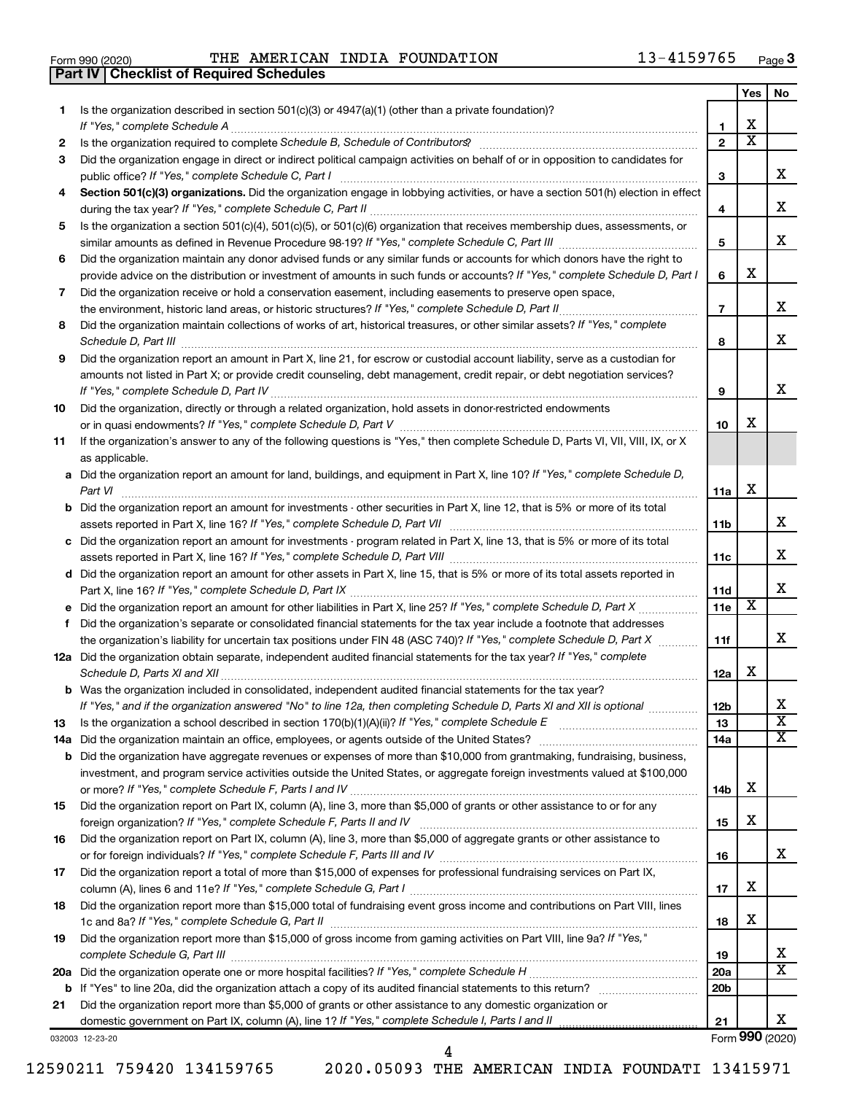|  | Form 990 (2020) |
|--|-----------------|

**Part IV Checklist of Required Schedules**

Form 990 (2020)  $\qquad$  THE AMERICAN INDIA FOUNDATION  $\qquad \qquad 13-4159765$   $_{\text{Page}}$ 

|    |                                                                                                                                                 |                 | Yes                     | No.                        |
|----|-------------------------------------------------------------------------------------------------------------------------------------------------|-----------------|-------------------------|----------------------------|
| 1  | Is the organization described in section 501(c)(3) or 4947(a)(1) (other than a private foundation)?                                             |                 |                         |                            |
|    |                                                                                                                                                 | 1               | х                       |                            |
| 2  |                                                                                                                                                 | $\mathbf{2}$    | $\overline{\textbf{x}}$ |                            |
| 3  | Did the organization engage in direct or indirect political campaign activities on behalf of or in opposition to candidates for                 |                 |                         |                            |
|    |                                                                                                                                                 | 3               |                         | x.                         |
| 4  | Section 501(c)(3) organizations. Did the organization engage in lobbying activities, or have a section 501(h) election in effect                | 4               |                         | x                          |
| 5  | Is the organization a section 501(c)(4), 501(c)(5), or 501(c)(6) organization that receives membership dues, assessments, or                    |                 |                         |                            |
|    |                                                                                                                                                 | 5               |                         | x                          |
| 6  | Did the organization maintain any donor advised funds or any similar funds or accounts for which donors have the right to                       |                 |                         |                            |
|    | provide advice on the distribution or investment of amounts in such funds or accounts? If "Yes," complete Schedule D, Part I                    | 6               | х                       |                            |
| 7  | Did the organization receive or hold a conservation easement, including easements to preserve open space,                                       | $\overline{7}$  |                         | x.                         |
|    | Did the organization maintain collections of works of art, historical treasures, or other similar assets? If "Yes," complete                    |                 |                         |                            |
| 8  |                                                                                                                                                 | 8               |                         | x                          |
| 9  | Did the organization report an amount in Part X, line 21, for escrow or custodial account liability, serve as a custodian for                   |                 |                         |                            |
|    | amounts not listed in Part X; or provide credit counseling, debt management, credit repair, or debt negotiation services?                       |                 |                         |                            |
|    |                                                                                                                                                 | 9               |                         | x                          |
| 10 | Did the organization, directly or through a related organization, hold assets in donor-restricted endowments                                    |                 |                         |                            |
|    |                                                                                                                                                 | 10              | х                       |                            |
| 11 | If the organization's answer to any of the following questions is "Yes," then complete Schedule D, Parts VI, VII, VIII, IX, or X                |                 |                         |                            |
|    | as applicable.<br>a Did the organization report an amount for land, buildings, and equipment in Part X, line 10? If "Yes," complete Schedule D, |                 |                         |                            |
|    | Part VI                                                                                                                                         | 11a             | x                       |                            |
|    | <b>b</b> Did the organization report an amount for investments - other securities in Part X, line 12, that is 5% or more of its total           |                 |                         |                            |
|    |                                                                                                                                                 | 11b             |                         | x                          |
|    | c Did the organization report an amount for investments - program related in Part X, line 13, that is 5% or more of its total                   |                 |                         |                            |
|    |                                                                                                                                                 | 11c             |                         | х                          |
|    | d Did the organization report an amount for other assets in Part X, line 15, that is 5% or more of its total assets reported in                 |                 |                         |                            |
|    |                                                                                                                                                 | 11d             |                         | x                          |
| е  |                                                                                                                                                 | 11e             | X                       |                            |
| f. | Did the organization's separate or consolidated financial statements for the tax year include a footnote that addresses                         |                 |                         |                            |
|    | the organization's liability for uncertain tax positions under FIN 48 (ASC 740)? If "Yes," complete Schedule D, Part X                          | 11f             |                         | x.                         |
|    | 12a Did the organization obtain separate, independent audited financial statements for the tax year? If "Yes," complete                         |                 |                         |                            |
|    |                                                                                                                                                 | 12a             | х                       |                            |
|    | <b>b</b> Was the organization included in consolidated, independent audited financial statements for the tax year?                              |                 |                         |                            |
|    | If "Yes," and if the organization answered "No" to line 12a, then completing Schedule D, Parts XI and XII is optional                           | 12 <sub>b</sub> |                         | х<br>$\overline{\text{X}}$ |
| 13 |                                                                                                                                                 | 13              |                         | x                          |
|    | <b>b</b> Did the organization have aggregate revenues or expenses of more than \$10,000 from grantmaking, fundraising, business,                | 14a             |                         |                            |
|    | investment, and program service activities outside the United States, or aggregate foreign investments valued at \$100,000                      |                 |                         |                            |
|    |                                                                                                                                                 | 14b             | х                       |                            |
| 15 | Did the organization report on Part IX, column (A), line 3, more than \$5,000 of grants or other assistance to or for any                       |                 |                         |                            |
|    |                                                                                                                                                 | 15              | х                       |                            |
| 16 | Did the organization report on Part IX, column (A), line 3, more than \$5,000 of aggregate grants or other assistance to                        |                 |                         |                            |
|    |                                                                                                                                                 | 16              |                         | x                          |
| 17 | Did the organization report a total of more than \$15,000 of expenses for professional fundraising services on Part IX,                         |                 |                         |                            |
|    |                                                                                                                                                 | 17              | x                       |                            |
| 18 | Did the organization report more than \$15,000 total of fundraising event gross income and contributions on Part VIII, lines                    |                 |                         |                            |
|    |                                                                                                                                                 | 18              | х                       |                            |
| 19 | Did the organization report more than \$15,000 of gross income from gaming activities on Part VIII, line 9a? If "Yes,"                          | 19              |                         | х                          |
|    |                                                                                                                                                 | 20a             |                         | x                          |
|    |                                                                                                                                                 | 20 <sub>b</sub> |                         |                            |
| 21 | Did the organization report more than \$5,000 of grants or other assistance to any domestic organization or                                     |                 |                         |                            |
|    |                                                                                                                                                 | 21              |                         | x                          |
|    |                                                                                                                                                 |                 |                         |                            |

032003 12-23-20

Form (2020) **990**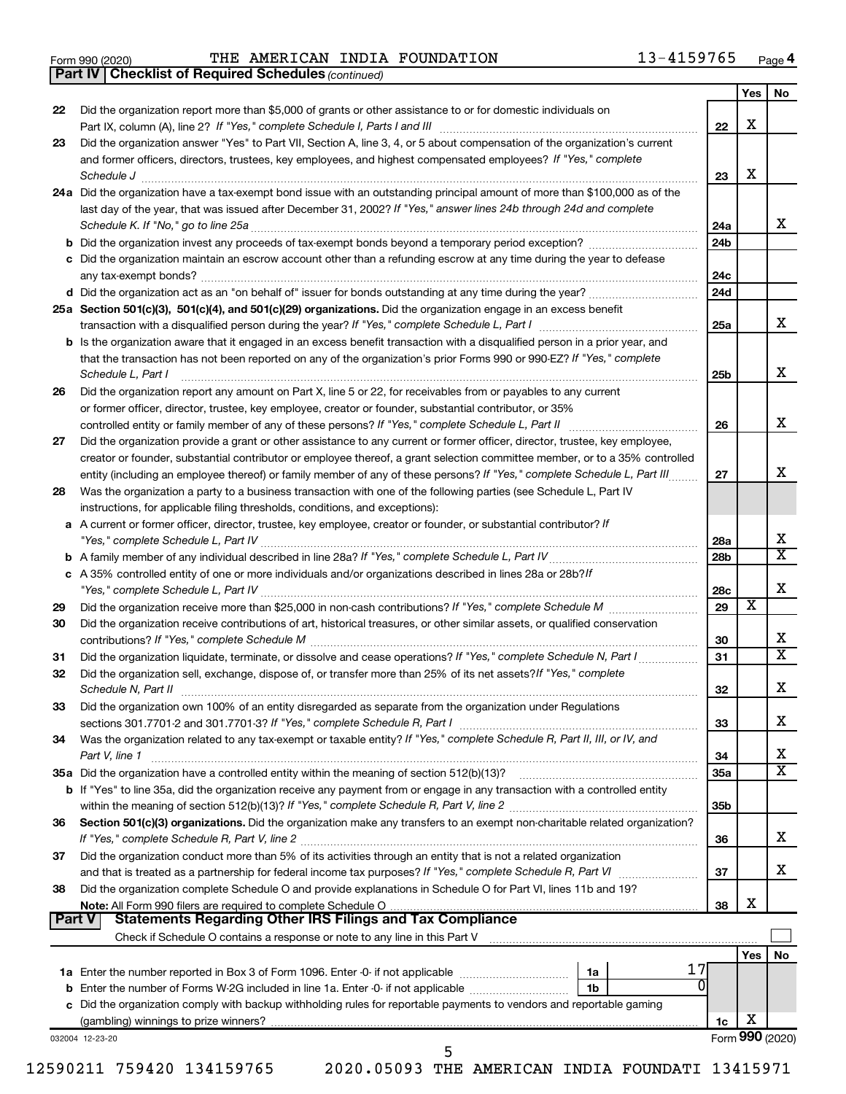|  | Form 990 (2020) |
|--|-----------------|
|  |                 |

**Part IV Checklist of Required Schedules**

Form 990 (2020) 'I'HE AMERICAN INDIA FOUNDATION 13-4159765 Page THE AMERICAN INDIA FOUNDATION 13-4159765

|               | <b>Part IV   Checklist of Required Schedules (continued)</b>                                                                        |                 |     |                         |
|---------------|-------------------------------------------------------------------------------------------------------------------------------------|-----------------|-----|-------------------------|
|               |                                                                                                                                     |                 | Yes | No                      |
| 22            | Did the organization report more than \$5,000 of grants or other assistance to or for domestic individuals on                       | 22              | х   |                         |
|               | Did the organization answer "Yes" to Part VII, Section A, line 3, 4, or 5 about compensation of the organization's current          |                 |     |                         |
| 23            | and former officers, directors, trustees, key employees, and highest compensated employees? If "Yes," complete                      |                 |     |                         |
|               |                                                                                                                                     |                 | х   |                         |
|               | Schedule J                                                                                                                          | 23              |     |                         |
|               | 24a Did the organization have a tax-exempt bond issue with an outstanding principal amount of more than \$100,000 as of the         |                 |     |                         |
|               | last day of the year, that was issued after December 31, 2002? If "Yes," answer lines 24b through 24d and complete                  |                 |     |                         |
|               |                                                                                                                                     | 24a             |     | x                       |
|               | <b>b</b> Did the organization invest any proceeds of tax-exempt bonds beyond a temporary period exception?                          | 24 <sub>b</sub> |     |                         |
|               | c Did the organization maintain an escrow account other than a refunding escrow at any time during the year to defease              |                 |     |                         |
|               |                                                                                                                                     | 24c             |     |                         |
|               | d Did the organization act as an "on behalf of" issuer for bonds outstanding at any time during the year?                           | 24d             |     |                         |
|               | 25a Section 501(c)(3), 501(c)(4), and 501(c)(29) organizations. Did the organization engage in an excess benefit                    |                 |     |                         |
|               |                                                                                                                                     | 25a             |     | x                       |
|               | <b>b</b> Is the organization aware that it engaged in an excess benefit transaction with a disqualified person in a prior year, and |                 |     |                         |
|               | that the transaction has not been reported on any of the organization's prior Forms 990 or 990-EZ? If "Yes," complete               |                 |     |                         |
|               | Schedule L, Part I                                                                                                                  | 25b             |     | x                       |
| 26            | Did the organization report any amount on Part X, line 5 or 22, for receivables from or payables to any current                     |                 |     |                         |
|               | or former officer, director, trustee, key employee, creator or founder, substantial contributor, or 35%                             |                 |     |                         |
|               | controlled entity or family member of any of these persons? If "Yes," complete Schedule L, Part II                                  | 26              |     | x                       |
|               |                                                                                                                                     |                 |     |                         |
| 27            | Did the organization provide a grant or other assistance to any current or former officer, director, trustee, key employee,         |                 |     |                         |
|               | creator or founder, substantial contributor or employee thereof, a grant selection committee member, or to a 35% controlled         |                 |     |                         |
|               | entity (including an employee thereof) or family member of any of these persons? If "Yes," complete Schedule L, Part III            | 27              |     | x                       |
| 28            | Was the organization a party to a business transaction with one of the following parties (see Schedule L, Part IV                   |                 |     |                         |
|               | instructions, for applicable filing thresholds, conditions, and exceptions):                                                        |                 |     |                         |
|               | a A current or former officer, director, trustee, key employee, creator or founder, or substantial contributor? If                  |                 |     |                         |
|               |                                                                                                                                     | 28a             |     | x                       |
|               |                                                                                                                                     | 28 <sub>b</sub> |     | $\overline{\texttt{x}}$ |
|               | c A 35% controlled entity of one or more individuals and/or organizations described in lines 28a or 28b? If                         |                 |     |                         |
|               |                                                                                                                                     | 28c             |     | X                       |
| 29            |                                                                                                                                     | 29              | х   |                         |
| 30            | Did the organization receive contributions of art, historical treasures, or other similar assets, or qualified conservation         |                 |     |                         |
|               |                                                                                                                                     | 30              |     | x                       |
| 31            | Did the organization liquidate, terminate, or dissolve and cease operations? If "Yes," complete Schedule N, Part I                  | 31              |     | $\overline{\text{x}}$   |
| 32            | Did the organization sell, exchange, dispose of, or transfer more than 25% of its net assets? If "Yes," complete                    |                 |     |                         |
|               |                                                                                                                                     | 32              |     | Χ                       |
|               |                                                                                                                                     |                 |     |                         |
| 33            | Did the organization own 100% of an entity disregarded as separate from the organization under Regulations                          |                 |     |                         |
|               |                                                                                                                                     | 33              |     | х                       |
| 34            | Was the organization related to any tax-exempt or taxable entity? If "Yes," complete Schedule R, Part II, III, or IV, and           |                 |     |                         |
|               | Part V, line 1                                                                                                                      | 34              |     | х                       |
|               |                                                                                                                                     | <b>35a</b>      |     | $\overline{\textbf{X}}$ |
|               | b If "Yes" to line 35a, did the organization receive any payment from or engage in any transaction with a controlled entity         |                 |     |                         |
|               |                                                                                                                                     | 35 <sub>b</sub> |     |                         |
| 36            | Section 501(c)(3) organizations. Did the organization make any transfers to an exempt non-charitable related organization?          |                 |     |                         |
|               |                                                                                                                                     | 36              |     | х                       |
| 37            | Did the organization conduct more than 5% of its activities through an entity that is not a related organization                    |                 |     |                         |
|               |                                                                                                                                     | 37              |     | х                       |
| 38            | Did the organization complete Schedule O and provide explanations in Schedule O for Part VI, lines 11b and 19?                      |                 |     |                         |
|               |                                                                                                                                     | 38              | х   |                         |
| <b>Part V</b> | <b>Statements Regarding Other IRS Filings and Tax Compliance</b>                                                                    |                 |     |                         |
|               | Check if Schedule O contains a response or note to any line in this Part V [11] [12] [2] [2] [2] [2] [2] [2] [                      |                 |     |                         |
|               |                                                                                                                                     |                 |     |                         |
|               | 17                                                                                                                                  |                 | Yes | No                      |
|               | 1a                                                                                                                                  |                 |     |                         |
|               | <b>b</b> Enter the number of Forms W-2G included in line 1a. Enter -0- if not applicable<br>1 <sub>b</sub>                          |                 |     |                         |
|               | c Did the organization comply with backup withholding rules for reportable payments to vendors and reportable gaming                |                 |     |                         |
|               |                                                                                                                                     | 1c              | х   |                         |
|               | 032004 12-23-20                                                                                                                     |                 |     | Form 990 (2020)         |
|               | 5                                                                                                                                   |                 |     |                         |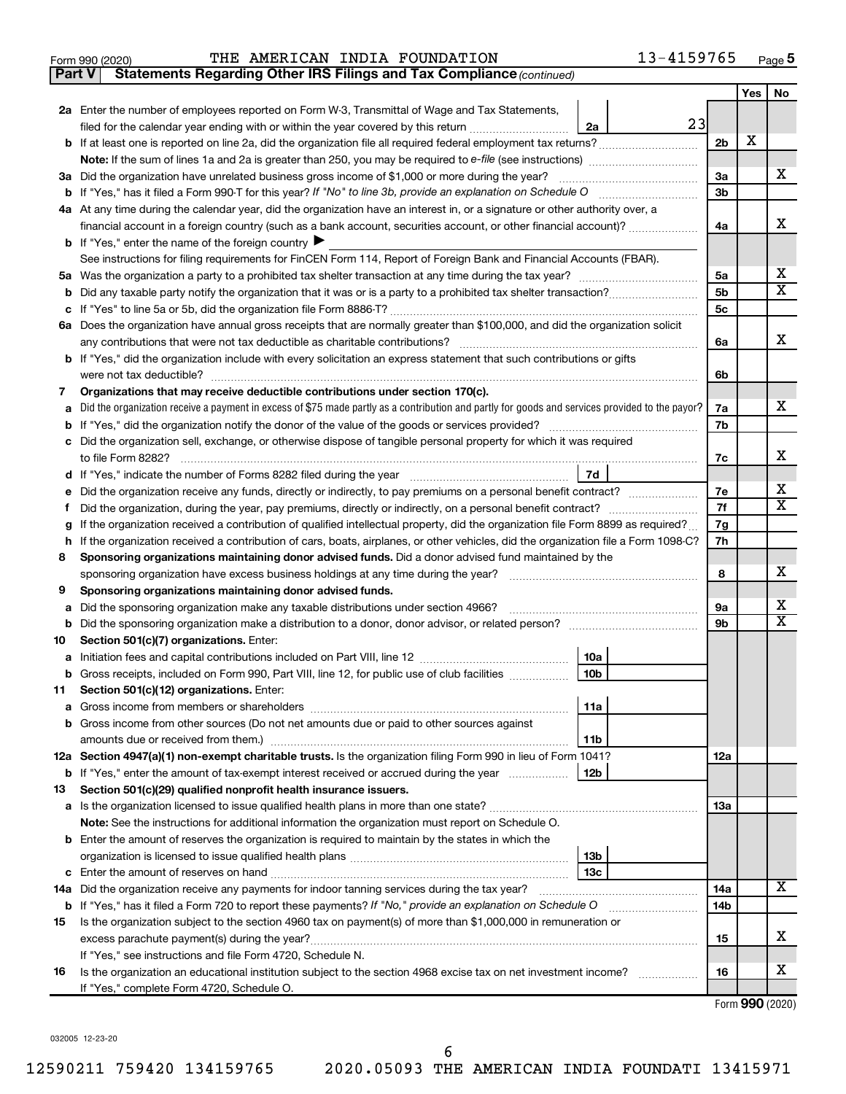|  | Form 990 (2020) |
|--|-----------------|
|  |                 |

**Part V** Statements Regarding Other IRS Filings and Tax Compliance (continued)

|    |                                                                                                                                                                                                                                 |                | Yes | No |  |  |
|----|---------------------------------------------------------------------------------------------------------------------------------------------------------------------------------------------------------------------------------|----------------|-----|----|--|--|
|    | 2a Enter the number of employees reported on Form W-3, Transmittal of Wage and Tax Statements,                                                                                                                                  |                |     |    |  |  |
|    | 23<br>filed for the calendar year ending with or within the year covered by this return<br>2a                                                                                                                                   |                |     |    |  |  |
|    | b If at least one is reported on line 2a, did the organization file all required federal employment tax returns?                                                                                                                | 2 <sub>b</sub> | X   |    |  |  |
|    |                                                                                                                                                                                                                                 |                |     |    |  |  |
|    | 3a Did the organization have unrelated business gross income of \$1,000 or more during the year?                                                                                                                                | За             |     | x  |  |  |
|    |                                                                                                                                                                                                                                 | 3b             |     |    |  |  |
|    | 4a At any time during the calendar year, did the organization have an interest in, or a signature or other authority over, a                                                                                                    |                |     |    |  |  |
|    | financial account in a foreign country (such as a bank account, securities account, or other financial account)?<br><b>b</b> If "Yes," enter the name of the foreign country $\blacktriangleright$                              | 4a             |     | x  |  |  |
|    | See instructions for filing requirements for FinCEN Form 114, Report of Foreign Bank and Financial Accounts (FBAR).                                                                                                             |                |     |    |  |  |
| 5а |                                                                                                                                                                                                                                 | 5a             |     | х  |  |  |
|    |                                                                                                                                                                                                                                 | 5b             |     | X  |  |  |
|    |                                                                                                                                                                                                                                 | 5c             |     |    |  |  |
|    | 6a Does the organization have annual gross receipts that are normally greater than \$100,000, and did the organization solicit                                                                                                  |                |     |    |  |  |
|    | any contributions that were not tax deductible as charitable contributions?                                                                                                                                                     | 6a             |     | x  |  |  |
|    | b If "Yes," did the organization include with every solicitation an express statement that such contributions or gifts                                                                                                          |                |     |    |  |  |
|    | were not tax deductible?                                                                                                                                                                                                        | 6b             |     |    |  |  |
| 7  | Organizations that may receive deductible contributions under section 170(c).                                                                                                                                                   |                |     |    |  |  |
|    | Did the organization receive a payment in excess of \$75 made partly as a contribution and partly for goods and services provided to the payor?                                                                                 | 7a             |     | x  |  |  |
|    |                                                                                                                                                                                                                                 | 7b             |     |    |  |  |
|    | Did the organization sell, exchange, or otherwise dispose of tangible personal property for which it was required                                                                                                               |                |     |    |  |  |
|    |                                                                                                                                                                                                                                 | 7c             |     | х  |  |  |
|    | 7d                                                                                                                                                                                                                              |                |     | х  |  |  |
|    | Did the organization receive any funds, directly or indirectly, to pay premiums on a personal benefit contract?<br>Did the organization, during the year, pay premiums, directly or indirectly, on a personal benefit contract? | 7е<br>7f       |     | x  |  |  |
| Ť. | If the organization received a contribution of qualified intellectual property, did the organization file Form 8899 as required?                                                                                                | 7g             |     |    |  |  |
| h  | If the organization received a contribution of cars, boats, airplanes, or other vehicles, did the organization file a Form 1098-C?                                                                                              |                |     |    |  |  |
| 8  | Sponsoring organizations maintaining donor advised funds. Did a donor advised fund maintained by the                                                                                                                            |                |     |    |  |  |
|    |                                                                                                                                                                                                                                 |                |     |    |  |  |
| 9  | Sponsoring organizations maintaining donor advised funds.                                                                                                                                                                       |                |     |    |  |  |
| а  | Did the sponsoring organization make any taxable distributions under section 4966?                                                                                                                                              | 9а             |     | x  |  |  |
| b  | Did the sponsoring organization make a distribution to a donor, donor advisor, or related person?                                                                                                                               | 9b             |     | X  |  |  |
| 10 | Section 501(c)(7) organizations. Enter:                                                                                                                                                                                         |                |     |    |  |  |
| а  | 10a                                                                                                                                                                                                                             |                |     |    |  |  |
|    | 10 <sub>b</sub><br>b Gross receipts, included on Form 990, Part VIII, line 12, for public use of club facilities                                                                                                                |                |     |    |  |  |
| 11 | Section 501(c)(12) organizations. Enter:<br> 11a                                                                                                                                                                                |                |     |    |  |  |
|    | b Gross income from other sources (Do not net amounts due or paid to other sources against                                                                                                                                      |                |     |    |  |  |
|    | 11 <sub>b</sub>                                                                                                                                                                                                                 |                |     |    |  |  |
|    | 12a Section 4947(a)(1) non-exempt charitable trusts. Is the organization filing Form 990 in lieu of Form 1041?                                                                                                                  | 12a            |     |    |  |  |
|    | <b>b</b> If "Yes," enter the amount of tax-exempt interest received or accrued during the year<br>12b                                                                                                                           |                |     |    |  |  |
| 13 | Section 501(c)(29) qualified nonprofit health insurance issuers.                                                                                                                                                                |                |     |    |  |  |
|    | a Is the organization licensed to issue qualified health plans in more than one state?                                                                                                                                          | <b>13a</b>     |     |    |  |  |
|    | Note: See the instructions for additional information the organization must report on Schedule O.                                                                                                                               |                |     |    |  |  |
|    | <b>b</b> Enter the amount of reserves the organization is required to maintain by the states in which the                                                                                                                       |                |     |    |  |  |
|    | 13b                                                                                                                                                                                                                             |                |     |    |  |  |
|    | 13 <sub>c</sub>                                                                                                                                                                                                                 |                |     |    |  |  |
|    | 14a Did the organization receive any payments for indoor tanning services during the tax year?                                                                                                                                  | 14a            |     | x  |  |  |
|    | <b>b</b> If "Yes," has it filed a Form 720 to report these payments? If "No," provide an explanation on Schedule O                                                                                                              | 14b            |     |    |  |  |
| 15 | Is the organization subject to the section 4960 tax on payment(s) of more than \$1,000,000 in remuneration or                                                                                                                   |                |     | х  |  |  |
|    |                                                                                                                                                                                                                                 | 15             |     |    |  |  |
| 16 | If "Yes," see instructions and file Form 4720, Schedule N.<br>Is the organization an educational institution subject to the section 4968 excise tax on net investment income?                                                   | 16             |     | х  |  |  |
|    | If "Yes," complete Form 4720, Schedule O.                                                                                                                                                                                       |                |     |    |  |  |
|    |                                                                                                                                                                                                                                 |                |     |    |  |  |

Form (2020) **990**

032005 12-23-20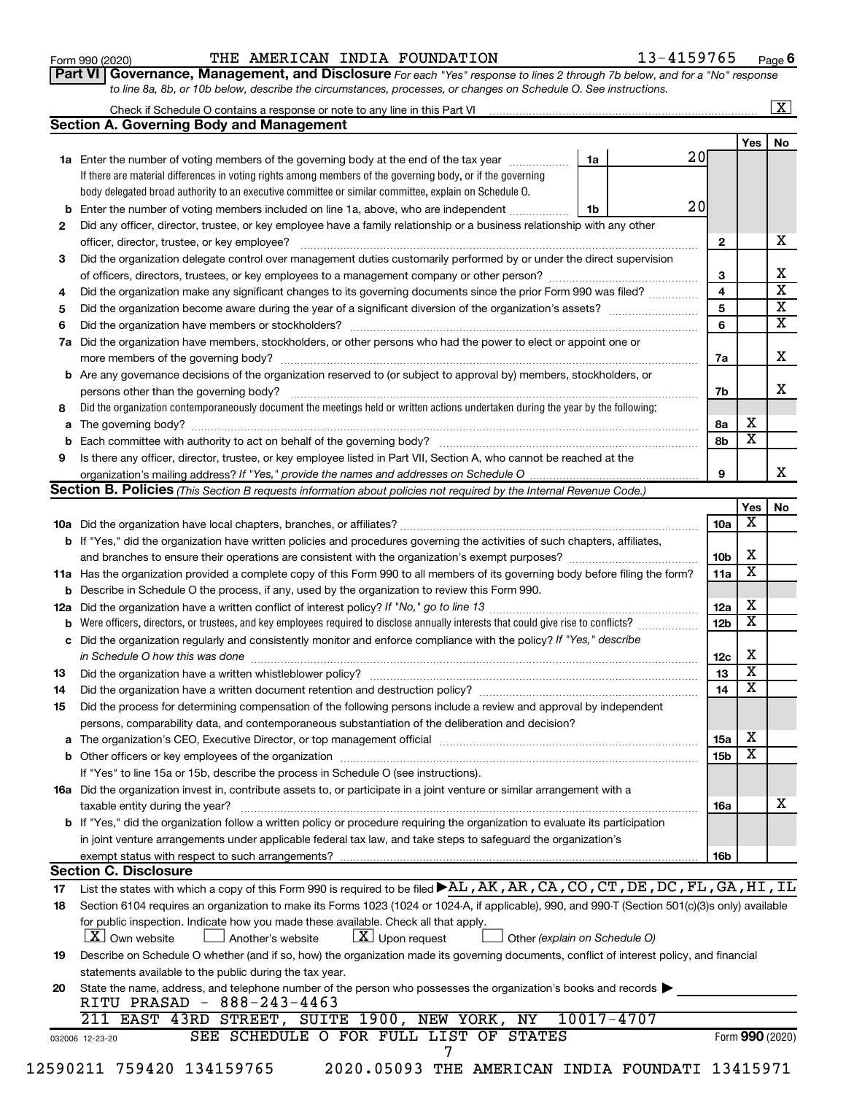#### Form 990 (2020)  $\qquad$  THE AMERICAN INDIA FOUNDATION  $\qquad \qquad 13-4159765$   $_{\text{Page}}$

**Part VI** Governance, Management, and Disclosure For each "Yes" response to lines 2 through 7b below, and for a "No" response *to line 8a, 8b, or 10b below, describe the circumstances, processes, or changes on Schedule O. See instructions.*

|     | Check if Schedule O contains a response or note to any line in this Part VI [11] [12] [12] Check if Schedule O contains a response or note to any line in this Part VI                                                        |                               |                 |                         | $\mathbf{X}$ |  |
|-----|-------------------------------------------------------------------------------------------------------------------------------------------------------------------------------------------------------------------------------|-------------------------------|-----------------|-------------------------|--------------|--|
|     | <b>Section A. Governing Body and Management</b>                                                                                                                                                                               |                               |                 |                         |              |  |
|     |                                                                                                                                                                                                                               |                               | 20              | Yes                     | No           |  |
|     | 1a Enter the number of voting members of the governing body at the end of the tax year                                                                                                                                        | 1a                            |                 |                         |              |  |
|     | If there are material differences in voting rights among members of the governing body, or if the governing                                                                                                                   |                               |                 |                         |              |  |
|     | body delegated broad authority to an executive committee or similar committee, explain on Schedule O.                                                                                                                         |                               |                 |                         |              |  |
| b   | Enter the number of voting members included on line 1a, above, who are independent                                                                                                                                            | 1b                            | 20              |                         |              |  |
| 2   | Did any officer, director, trustee, or key employee have a family relationship or a business relationship with any other                                                                                                      |                               |                 |                         |              |  |
|     | officer, director, trustee, or key employee?                                                                                                                                                                                  |                               | 2               |                         |              |  |
| 3   | Did the organization delegate control over management duties customarily performed by or under the direct supervision                                                                                                         |                               |                 |                         |              |  |
|     |                                                                                                                                                                                                                               |                               | 3               |                         |              |  |
| 4   | Did the organization make any significant changes to its governing documents since the prior Form 990 was filed?                                                                                                              |                               | 4               |                         |              |  |
| 5   |                                                                                                                                                                                                                               |                               | 5               |                         |              |  |
| 6   |                                                                                                                                                                                                                               |                               |                 |                         |              |  |
| 7a  | Did the organization have members, stockholders, or other persons who had the power to elect or appoint one or                                                                                                                |                               |                 |                         |              |  |
|     |                                                                                                                                                                                                                               |                               | 7a              |                         |              |  |
| b   | Are any governance decisions of the organization reserved to (or subject to approval by) members, stockholders, or                                                                                                            |                               |                 |                         |              |  |
|     |                                                                                                                                                                                                                               |                               | 7b              |                         |              |  |
| 8   | Did the organization contemporaneously document the meetings held or written actions undertaken during the year by the following:                                                                                             |                               |                 |                         |              |  |
| а   |                                                                                                                                                                                                                               |                               | 8a              | х                       |              |  |
|     |                                                                                                                                                                                                                               |                               | 8b              | х                       |              |  |
| 9   | Is there any officer, director, trustee, or key employee listed in Part VII, Section A, who cannot be reached at the                                                                                                          |                               |                 |                         |              |  |
|     |                                                                                                                                                                                                                               |                               | 9               |                         |              |  |
|     | <b>Section B. Policies</b> (This Section B requests information about policies not required by the Internal Revenue Code.)                                                                                                    |                               |                 |                         |              |  |
|     |                                                                                                                                                                                                                               |                               |                 | Yes                     |              |  |
|     |                                                                                                                                                                                                                               |                               | 10a             | х                       |              |  |
|     |                                                                                                                                                                                                                               |                               |                 |                         |              |  |
|     | <b>b</b> If "Yes," did the organization have written policies and procedures governing the activities of such chapters, affiliates,                                                                                           |                               |                 |                         |              |  |
|     |                                                                                                                                                                                                                               |                               | 10b             | X                       |              |  |
|     | 11a Has the organization provided a complete copy of this Form 990 to all members of its governing body before filing the form?                                                                                               |                               | 11a             | X                       |              |  |
|     | Describe in Schedule O the process, if any, used by the organization to review this Form 990.                                                                                                                                 |                               |                 |                         |              |  |
| 12a |                                                                                                                                                                                                                               |                               | 12a             | х                       |              |  |
|     | Were officers, directors, or trustees, and key employees required to disclose annually interests that could give rise to conflicts?                                                                                           |                               | 12 <sub>b</sub> | X                       |              |  |
| с   | Did the organization regularly and consistently monitor and enforce compliance with the policy? If "Yes," describe                                                                                                            |                               |                 |                         |              |  |
|     | in Schedule O how this was done manufactured and continuum and contact the was done manufactured and contact t                                                                                                                |                               | 12c             | X                       |              |  |
| 13  |                                                                                                                                                                                                                               |                               | 13              | $\overline{\mathbf{x}}$ |              |  |
| 14  |                                                                                                                                                                                                                               |                               | 14              | X                       |              |  |
| 15  | Did the process for determining compensation of the following persons include a review and approval by independent                                                                                                            |                               |                 |                         |              |  |
|     | persons, comparability data, and contemporaneous substantiation of the deliberation and decision?                                                                                                                             |                               |                 |                         |              |  |
| а   | The organization's CEO, Executive Director, or top management official [111] [11] manument content of the organization's CEO, Executive Director, or top management official [11] manument content of the organization of the |                               | 15a             | х                       |              |  |
|     |                                                                                                                                                                                                                               |                               | 15b             | х                       |              |  |
|     | If "Yes" to line 15a or 15b, describe the process in Schedule O (see instructions).                                                                                                                                           |                               |                 |                         |              |  |
|     | 16a Did the organization invest in, contribute assets to, or participate in a joint venture or similar arrangement with a                                                                                                     |                               |                 |                         |              |  |
|     | taxable entity during the year?                                                                                                                                                                                               |                               | 16a             |                         |              |  |
|     | b If "Yes," did the organization follow a written policy or procedure requiring the organization to evaluate its participation                                                                                                |                               |                 |                         |              |  |
|     |                                                                                                                                                                                                                               |                               |                 |                         |              |  |
|     | in joint venture arrangements under applicable federal tax law, and take steps to safeguard the organization's<br>exempt status with respect to such arrangements?                                                            |                               |                 |                         |              |  |
|     | <b>Section C. Disclosure</b>                                                                                                                                                                                                  |                               | 16b             |                         |              |  |
|     | List the states with which a copy of this Form 990 is required to be filed AL, AK, AR, CA, CO, CT, DE, DC, FL, GA, HI, IL                                                                                                     |                               |                 |                         |              |  |
| 17  |                                                                                                                                                                                                                               |                               |                 |                         |              |  |
| 18  | Section 6104 requires an organization to make its Forms 1023 (1024 or 1024-A, if applicable), 990, and 990-T (Section 501(c)(3)s only) available                                                                              |                               |                 |                         |              |  |
|     | for public inspection. Indicate how you made these available. Check all that apply.                                                                                                                                           |                               |                 |                         |              |  |
|     | $\lfloor x \rfloor$ Upon request<br>  X   Own website<br>Another's website                                                                                                                                                    | Other (explain on Schedule O) |                 |                         |              |  |
| 19  | Describe on Schedule O whether (and if so, how) the organization made its governing documents, conflict of interest policy, and financial                                                                                     |                               |                 |                         |              |  |
|     | statements available to the public during the tax year.                                                                                                                                                                       |                               |                 |                         |              |  |
|     |                                                                                                                                                                                                                               |                               |                 |                         |              |  |
| 20  | State the name, address, and telephone number of the person who possesses the organization's books and records                                                                                                                |                               |                 |                         |              |  |
|     | RITU PRASAD - 888-243-4463                                                                                                                                                                                                    |                               |                 |                         |              |  |
|     | 211 EAST 43RD STREET, SUITE 1900, NEW YORK, NY<br>SEE SCHEDULE O FOR FULL LIST OF STATES                                                                                                                                      | 10017-4707                    |                 |                         |              |  |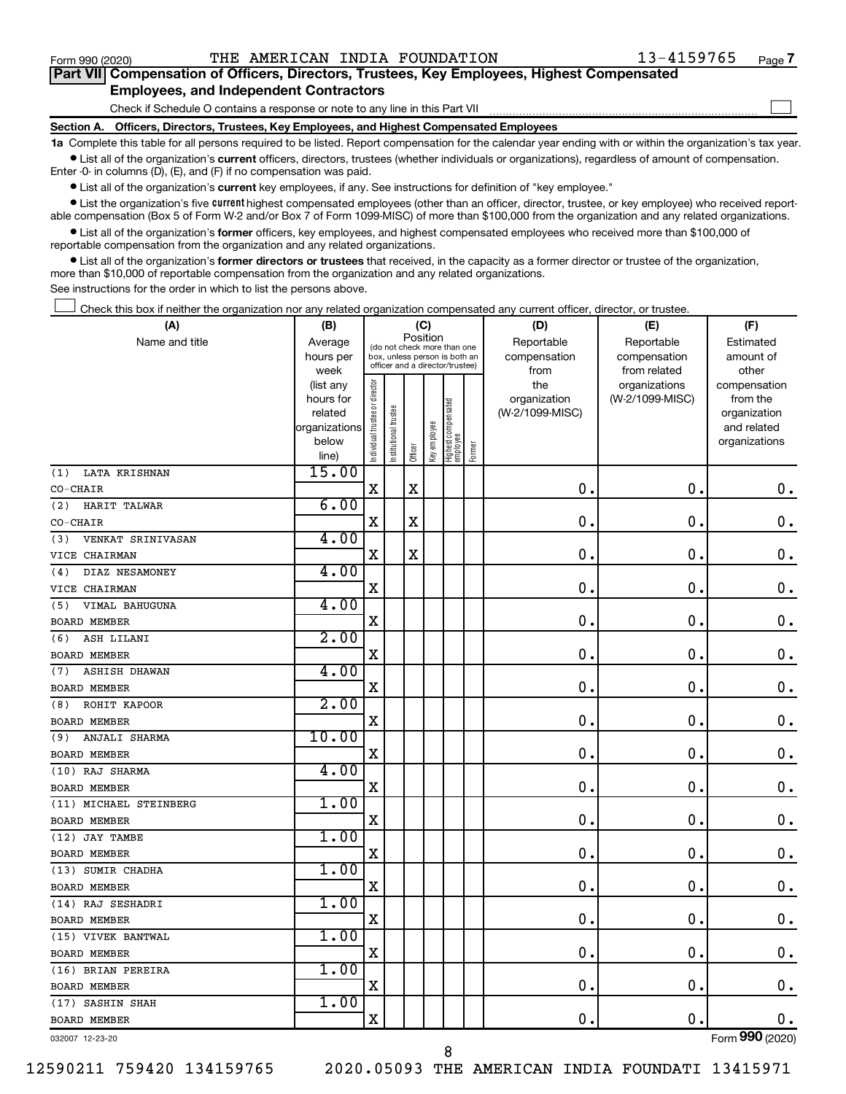$\Box$ 

| Part VII Compensation of Officers, Directors, Trustees, Key Employees, Highest Compensated |  |  |  |  |
|--------------------------------------------------------------------------------------------|--|--|--|--|
| <b>Employees, and Independent Contractors</b>                                              |  |  |  |  |

#### Check if Schedule O contains a response or note to any line in this Part VII

**Section A. Officers, Directors, Trustees, Key Employees, and Highest Compensated Employees**

**1a**  Complete this table for all persons required to be listed. Report compensation for the calendar year ending with or within the organization's tax year.  $\bullet$  List all of the organization's current officers, directors, trustees (whether individuals or organizations), regardless of amount of compensation.

Enter -0- in columns (D), (E), and (F) if no compensation was paid.

**•** List all of the organization's current key employees, if any. See instructions for definition of "key employee."

• List the organization's five *current* highest compensated employees (other than an officer, director, trustee, or key employee) who received reportable compensation (Box 5 of Form W-2 and/or Box 7 of Form 1099-MISC) of more than \$100,000 from the organization and any related organizations.

 $\bullet$  List all of the organization's former officers, key employees, and highest compensated employees who received more than \$100,000 of reportable compensation from the organization and any related organizations.

**•** List all of the organization's former directors or trustees that received, in the capacity as a former director or trustee of the organization, more than \$10,000 of reportable compensation from the organization and any related organizations.

See instructions for the order in which to list the persons above.

Check this box if neither the organization nor any related organization compensated any current officer, director, or trustee.  $\Box$ 

| Position<br>Name and title<br>Reportable<br>Reportable<br>Estimated<br>Average<br>(do not check more than one<br>compensation<br>hours per<br>box, unless person is both an<br>compensation<br>amount of<br>officer and a director/trustee)<br>week<br>from related<br>other<br>from<br>Individual trustee or director<br>the<br>organizations<br>(list any<br>compensation<br>organization<br>(W-2/1099-MISC)<br>hours for<br>from the<br>Highest compensated<br>employee<br>Institutional trustee<br>related<br>(W-2/1099-MISC)<br>organization<br>Key employee<br>organizations<br>and related<br>below<br>organizations<br>Former<br>Officer<br>line)<br>15.00<br>LATA KRISHNAN<br>(1)<br>$\rm X$<br>$\mathbf X$<br>$\mathbf 0$<br>$\mathbf 0$ .<br>0.<br>CO-CHAIR<br>6.00<br>HARIT TALWAR<br>(2)<br>X<br>$\mathbf 0$ .<br>X<br>0<br>0.<br>CO-CHAIR<br>4.00<br>VENKAT SRINIVASAN<br>(3)<br>X<br>0<br>$\mathbf 0$<br>$0$ .<br>X<br>VICE CHAIRMAN<br>4.00<br>DIAZ NESAMONEY<br>(4)<br>$\mathbf 0$ .<br>0<br>$\mathbf 0$ .<br>X<br>VICE CHAIRMAN<br>4.00<br>VIMAL BAHUGUNA<br>(5)<br>$\mathbf 0$<br>0<br>X<br>$0$ .<br><b>BOARD MEMBER</b><br>2.00<br>ASH LILANI<br>(6)<br>$\mathbf 0$<br>0<br>0.<br>X<br><b>BOARD MEMBER</b><br>4.00<br><b>ASHISH DHAWAN</b><br>(7)<br>0<br>$\mathbf 0$<br>$\mathbf 0$ .<br>X<br><b>BOARD MEMBER</b><br>2.00<br>ROHIT KAPOOR<br>(8)<br>$\mathbf 0$ .<br>$\mathbf 0$<br>$\mathbf 0$ .<br>X<br><b>BOARD MEMBER</b><br>10.00<br>ANJALI SHARMA<br>(9)<br>$\mathbf 0$ .<br>0<br>$\mathbf 0$ .<br>Χ<br><b>BOARD MEMBER</b><br>4.00<br>(10) RAJ SHARMA<br>$\mathbf{0}$ .<br>$\mathbf 0$ .<br>$0$ .<br>X<br><b>BOARD MEMBER</b><br>1.00<br>(11) MICHAEL STEINBERG<br>$\mathbf 0$ .<br>$\mathbf 0$ .<br>$\mathbf 0$ .<br>X<br><b>BOARD MEMBER</b><br>1.00<br>(12) JAY TAMBE<br>$\rm X$<br>0.<br>$\mathbf 0$ .<br>$\mathbf 0$ .<br><b>BOARD MEMBER</b><br>1.00<br>(13) SUMIR CHADHA<br>X<br>0<br>0.<br>$\mathbf 0$ .<br><b>BOARD MEMBER</b><br>1.00<br>(14) RAJ SESHADRI<br>$\mathbf 0$<br>0<br>$0$ .<br>$\mathbf X$<br><b>BOARD MEMBER</b><br>1.00<br>(15) VIVEK BANTWAL<br>X<br>0<br>0<br>0.<br>BOARD MEMBER<br>1.00<br>(16) BRIAN PEREIRA<br>$\mathbf 0$<br>$\mathbf 0$ .<br>$\mathbf X$<br>$\mathbf 0$ .<br><b>BOARD MEMBER</b><br>1.00<br>(17) SASHIN SHAH<br>X<br>$\mathbf 0$<br>$\mathbf 0$ .<br>0.<br><b>BOARD MEMBER</b><br>$000 \times 10^{-1}$ | (A) | (B) |  | (C) |  | (D) | (E) | (F) |
|-----------------------------------------------------------------------------------------------------------------------------------------------------------------------------------------------------------------------------------------------------------------------------------------------------------------------------------------------------------------------------------------------------------------------------------------------------------------------------------------------------------------------------------------------------------------------------------------------------------------------------------------------------------------------------------------------------------------------------------------------------------------------------------------------------------------------------------------------------------------------------------------------------------------------------------------------------------------------------------------------------------------------------------------------------------------------------------------------------------------------------------------------------------------------------------------------------------------------------------------------------------------------------------------------------------------------------------------------------------------------------------------------------------------------------------------------------------------------------------------------------------------------------------------------------------------------------------------------------------------------------------------------------------------------------------------------------------------------------------------------------------------------------------------------------------------------------------------------------------------------------------------------------------------------------------------------------------------------------------------------------------------------------------------------------------------------------------------------------------------------------------------------------------------------------------------------------------------------------------------------------------------------------------------------------------------------------------------------------------------------------------|-----|-----|--|-----|--|-----|-----|-----|
|                                                                                                                                                                                                                                                                                                                                                                                                                                                                                                                                                                                                                                                                                                                                                                                                                                                                                                                                                                                                                                                                                                                                                                                                                                                                                                                                                                                                                                                                                                                                                                                                                                                                                                                                                                                                                                                                                                                                                                                                                                                                                                                                                                                                                                                                                                                                                                                   |     |     |  |     |  |     |     |     |
|                                                                                                                                                                                                                                                                                                                                                                                                                                                                                                                                                                                                                                                                                                                                                                                                                                                                                                                                                                                                                                                                                                                                                                                                                                                                                                                                                                                                                                                                                                                                                                                                                                                                                                                                                                                                                                                                                                                                                                                                                                                                                                                                                                                                                                                                                                                                                                                   |     |     |  |     |  |     |     |     |
|                                                                                                                                                                                                                                                                                                                                                                                                                                                                                                                                                                                                                                                                                                                                                                                                                                                                                                                                                                                                                                                                                                                                                                                                                                                                                                                                                                                                                                                                                                                                                                                                                                                                                                                                                                                                                                                                                                                                                                                                                                                                                                                                                                                                                                                                                                                                                                                   |     |     |  |     |  |     |     |     |
|                                                                                                                                                                                                                                                                                                                                                                                                                                                                                                                                                                                                                                                                                                                                                                                                                                                                                                                                                                                                                                                                                                                                                                                                                                                                                                                                                                                                                                                                                                                                                                                                                                                                                                                                                                                                                                                                                                                                                                                                                                                                                                                                                                                                                                                                                                                                                                                   |     |     |  |     |  |     |     |     |
|                                                                                                                                                                                                                                                                                                                                                                                                                                                                                                                                                                                                                                                                                                                                                                                                                                                                                                                                                                                                                                                                                                                                                                                                                                                                                                                                                                                                                                                                                                                                                                                                                                                                                                                                                                                                                                                                                                                                                                                                                                                                                                                                                                                                                                                                                                                                                                                   |     |     |  |     |  |     |     |     |
|                                                                                                                                                                                                                                                                                                                                                                                                                                                                                                                                                                                                                                                                                                                                                                                                                                                                                                                                                                                                                                                                                                                                                                                                                                                                                                                                                                                                                                                                                                                                                                                                                                                                                                                                                                                                                                                                                                                                                                                                                                                                                                                                                                                                                                                                                                                                                                                   |     |     |  |     |  |     |     |     |
|                                                                                                                                                                                                                                                                                                                                                                                                                                                                                                                                                                                                                                                                                                                                                                                                                                                                                                                                                                                                                                                                                                                                                                                                                                                                                                                                                                                                                                                                                                                                                                                                                                                                                                                                                                                                                                                                                                                                                                                                                                                                                                                                                                                                                                                                                                                                                                                   |     |     |  |     |  |     |     |     |
|                                                                                                                                                                                                                                                                                                                                                                                                                                                                                                                                                                                                                                                                                                                                                                                                                                                                                                                                                                                                                                                                                                                                                                                                                                                                                                                                                                                                                                                                                                                                                                                                                                                                                                                                                                                                                                                                                                                                                                                                                                                                                                                                                                                                                                                                                                                                                                                   |     |     |  |     |  |     |     |     |
|                                                                                                                                                                                                                                                                                                                                                                                                                                                                                                                                                                                                                                                                                                                                                                                                                                                                                                                                                                                                                                                                                                                                                                                                                                                                                                                                                                                                                                                                                                                                                                                                                                                                                                                                                                                                                                                                                                                                                                                                                                                                                                                                                                                                                                                                                                                                                                                   |     |     |  |     |  |     |     |     |
|                                                                                                                                                                                                                                                                                                                                                                                                                                                                                                                                                                                                                                                                                                                                                                                                                                                                                                                                                                                                                                                                                                                                                                                                                                                                                                                                                                                                                                                                                                                                                                                                                                                                                                                                                                                                                                                                                                                                                                                                                                                                                                                                                                                                                                                                                                                                                                                   |     |     |  |     |  |     |     |     |
|                                                                                                                                                                                                                                                                                                                                                                                                                                                                                                                                                                                                                                                                                                                                                                                                                                                                                                                                                                                                                                                                                                                                                                                                                                                                                                                                                                                                                                                                                                                                                                                                                                                                                                                                                                                                                                                                                                                                                                                                                                                                                                                                                                                                                                                                                                                                                                                   |     |     |  |     |  |     |     |     |
|                                                                                                                                                                                                                                                                                                                                                                                                                                                                                                                                                                                                                                                                                                                                                                                                                                                                                                                                                                                                                                                                                                                                                                                                                                                                                                                                                                                                                                                                                                                                                                                                                                                                                                                                                                                                                                                                                                                                                                                                                                                                                                                                                                                                                                                                                                                                                                                   |     |     |  |     |  |     |     |     |
|                                                                                                                                                                                                                                                                                                                                                                                                                                                                                                                                                                                                                                                                                                                                                                                                                                                                                                                                                                                                                                                                                                                                                                                                                                                                                                                                                                                                                                                                                                                                                                                                                                                                                                                                                                                                                                                                                                                                                                                                                                                                                                                                                                                                                                                                                                                                                                                   |     |     |  |     |  |     |     |     |
|                                                                                                                                                                                                                                                                                                                                                                                                                                                                                                                                                                                                                                                                                                                                                                                                                                                                                                                                                                                                                                                                                                                                                                                                                                                                                                                                                                                                                                                                                                                                                                                                                                                                                                                                                                                                                                                                                                                                                                                                                                                                                                                                                                                                                                                                                                                                                                                   |     |     |  |     |  |     |     |     |
|                                                                                                                                                                                                                                                                                                                                                                                                                                                                                                                                                                                                                                                                                                                                                                                                                                                                                                                                                                                                                                                                                                                                                                                                                                                                                                                                                                                                                                                                                                                                                                                                                                                                                                                                                                                                                                                                                                                                                                                                                                                                                                                                                                                                                                                                                                                                                                                   |     |     |  |     |  |     |     |     |
|                                                                                                                                                                                                                                                                                                                                                                                                                                                                                                                                                                                                                                                                                                                                                                                                                                                                                                                                                                                                                                                                                                                                                                                                                                                                                                                                                                                                                                                                                                                                                                                                                                                                                                                                                                                                                                                                                                                                                                                                                                                                                                                                                                                                                                                                                                                                                                                   |     |     |  |     |  |     |     |     |
|                                                                                                                                                                                                                                                                                                                                                                                                                                                                                                                                                                                                                                                                                                                                                                                                                                                                                                                                                                                                                                                                                                                                                                                                                                                                                                                                                                                                                                                                                                                                                                                                                                                                                                                                                                                                                                                                                                                                                                                                                                                                                                                                                                                                                                                                                                                                                                                   |     |     |  |     |  |     |     |     |
|                                                                                                                                                                                                                                                                                                                                                                                                                                                                                                                                                                                                                                                                                                                                                                                                                                                                                                                                                                                                                                                                                                                                                                                                                                                                                                                                                                                                                                                                                                                                                                                                                                                                                                                                                                                                                                                                                                                                                                                                                                                                                                                                                                                                                                                                                                                                                                                   |     |     |  |     |  |     |     |     |
|                                                                                                                                                                                                                                                                                                                                                                                                                                                                                                                                                                                                                                                                                                                                                                                                                                                                                                                                                                                                                                                                                                                                                                                                                                                                                                                                                                                                                                                                                                                                                                                                                                                                                                                                                                                                                                                                                                                                                                                                                                                                                                                                                                                                                                                                                                                                                                                   |     |     |  |     |  |     |     |     |
|                                                                                                                                                                                                                                                                                                                                                                                                                                                                                                                                                                                                                                                                                                                                                                                                                                                                                                                                                                                                                                                                                                                                                                                                                                                                                                                                                                                                                                                                                                                                                                                                                                                                                                                                                                                                                                                                                                                                                                                                                                                                                                                                                                                                                                                                                                                                                                                   |     |     |  |     |  |     |     |     |
|                                                                                                                                                                                                                                                                                                                                                                                                                                                                                                                                                                                                                                                                                                                                                                                                                                                                                                                                                                                                                                                                                                                                                                                                                                                                                                                                                                                                                                                                                                                                                                                                                                                                                                                                                                                                                                                                                                                                                                                                                                                                                                                                                                                                                                                                                                                                                                                   |     |     |  |     |  |     |     |     |
|                                                                                                                                                                                                                                                                                                                                                                                                                                                                                                                                                                                                                                                                                                                                                                                                                                                                                                                                                                                                                                                                                                                                                                                                                                                                                                                                                                                                                                                                                                                                                                                                                                                                                                                                                                                                                                                                                                                                                                                                                                                                                                                                                                                                                                                                                                                                                                                   |     |     |  |     |  |     |     |     |
|                                                                                                                                                                                                                                                                                                                                                                                                                                                                                                                                                                                                                                                                                                                                                                                                                                                                                                                                                                                                                                                                                                                                                                                                                                                                                                                                                                                                                                                                                                                                                                                                                                                                                                                                                                                                                                                                                                                                                                                                                                                                                                                                                                                                                                                                                                                                                                                   |     |     |  |     |  |     |     |     |
|                                                                                                                                                                                                                                                                                                                                                                                                                                                                                                                                                                                                                                                                                                                                                                                                                                                                                                                                                                                                                                                                                                                                                                                                                                                                                                                                                                                                                                                                                                                                                                                                                                                                                                                                                                                                                                                                                                                                                                                                                                                                                                                                                                                                                                                                                                                                                                                   |     |     |  |     |  |     |     |     |
|                                                                                                                                                                                                                                                                                                                                                                                                                                                                                                                                                                                                                                                                                                                                                                                                                                                                                                                                                                                                                                                                                                                                                                                                                                                                                                                                                                                                                                                                                                                                                                                                                                                                                                                                                                                                                                                                                                                                                                                                                                                                                                                                                                                                                                                                                                                                                                                   |     |     |  |     |  |     |     |     |
|                                                                                                                                                                                                                                                                                                                                                                                                                                                                                                                                                                                                                                                                                                                                                                                                                                                                                                                                                                                                                                                                                                                                                                                                                                                                                                                                                                                                                                                                                                                                                                                                                                                                                                                                                                                                                                                                                                                                                                                                                                                                                                                                                                                                                                                                                                                                                                                   |     |     |  |     |  |     |     |     |
|                                                                                                                                                                                                                                                                                                                                                                                                                                                                                                                                                                                                                                                                                                                                                                                                                                                                                                                                                                                                                                                                                                                                                                                                                                                                                                                                                                                                                                                                                                                                                                                                                                                                                                                                                                                                                                                                                                                                                                                                                                                                                                                                                                                                                                                                                                                                                                                   |     |     |  |     |  |     |     |     |
|                                                                                                                                                                                                                                                                                                                                                                                                                                                                                                                                                                                                                                                                                                                                                                                                                                                                                                                                                                                                                                                                                                                                                                                                                                                                                                                                                                                                                                                                                                                                                                                                                                                                                                                                                                                                                                                                                                                                                                                                                                                                                                                                                                                                                                                                                                                                                                                   |     |     |  |     |  |     |     |     |
|                                                                                                                                                                                                                                                                                                                                                                                                                                                                                                                                                                                                                                                                                                                                                                                                                                                                                                                                                                                                                                                                                                                                                                                                                                                                                                                                                                                                                                                                                                                                                                                                                                                                                                                                                                                                                                                                                                                                                                                                                                                                                                                                                                                                                                                                                                                                                                                   |     |     |  |     |  |     |     |     |
|                                                                                                                                                                                                                                                                                                                                                                                                                                                                                                                                                                                                                                                                                                                                                                                                                                                                                                                                                                                                                                                                                                                                                                                                                                                                                                                                                                                                                                                                                                                                                                                                                                                                                                                                                                                                                                                                                                                                                                                                                                                                                                                                                                                                                                                                                                                                                                                   |     |     |  |     |  |     |     |     |
|                                                                                                                                                                                                                                                                                                                                                                                                                                                                                                                                                                                                                                                                                                                                                                                                                                                                                                                                                                                                                                                                                                                                                                                                                                                                                                                                                                                                                                                                                                                                                                                                                                                                                                                                                                                                                                                                                                                                                                                                                                                                                                                                                                                                                                                                                                                                                                                   |     |     |  |     |  |     |     |     |
|                                                                                                                                                                                                                                                                                                                                                                                                                                                                                                                                                                                                                                                                                                                                                                                                                                                                                                                                                                                                                                                                                                                                                                                                                                                                                                                                                                                                                                                                                                                                                                                                                                                                                                                                                                                                                                                                                                                                                                                                                                                                                                                                                                                                                                                                                                                                                                                   |     |     |  |     |  |     |     |     |
|                                                                                                                                                                                                                                                                                                                                                                                                                                                                                                                                                                                                                                                                                                                                                                                                                                                                                                                                                                                                                                                                                                                                                                                                                                                                                                                                                                                                                                                                                                                                                                                                                                                                                                                                                                                                                                                                                                                                                                                                                                                                                                                                                                                                                                                                                                                                                                                   |     |     |  |     |  |     |     |     |
|                                                                                                                                                                                                                                                                                                                                                                                                                                                                                                                                                                                                                                                                                                                                                                                                                                                                                                                                                                                                                                                                                                                                                                                                                                                                                                                                                                                                                                                                                                                                                                                                                                                                                                                                                                                                                                                                                                                                                                                                                                                                                                                                                                                                                                                                                                                                                                                   |     |     |  |     |  |     |     |     |
|                                                                                                                                                                                                                                                                                                                                                                                                                                                                                                                                                                                                                                                                                                                                                                                                                                                                                                                                                                                                                                                                                                                                                                                                                                                                                                                                                                                                                                                                                                                                                                                                                                                                                                                                                                                                                                                                                                                                                                                                                                                                                                                                                                                                                                                                                                                                                                                   |     |     |  |     |  |     |     |     |
|                                                                                                                                                                                                                                                                                                                                                                                                                                                                                                                                                                                                                                                                                                                                                                                                                                                                                                                                                                                                                                                                                                                                                                                                                                                                                                                                                                                                                                                                                                                                                                                                                                                                                                                                                                                                                                                                                                                                                                                                                                                                                                                                                                                                                                                                                                                                                                                   |     |     |  |     |  |     |     |     |
|                                                                                                                                                                                                                                                                                                                                                                                                                                                                                                                                                                                                                                                                                                                                                                                                                                                                                                                                                                                                                                                                                                                                                                                                                                                                                                                                                                                                                                                                                                                                                                                                                                                                                                                                                                                                                                                                                                                                                                                                                                                                                                                                                                                                                                                                                                                                                                                   |     |     |  |     |  |     |     |     |
|                                                                                                                                                                                                                                                                                                                                                                                                                                                                                                                                                                                                                                                                                                                                                                                                                                                                                                                                                                                                                                                                                                                                                                                                                                                                                                                                                                                                                                                                                                                                                                                                                                                                                                                                                                                                                                                                                                                                                                                                                                                                                                                                                                                                                                                                                                                                                                                   |     |     |  |     |  |     |     |     |
|                                                                                                                                                                                                                                                                                                                                                                                                                                                                                                                                                                                                                                                                                                                                                                                                                                                                                                                                                                                                                                                                                                                                                                                                                                                                                                                                                                                                                                                                                                                                                                                                                                                                                                                                                                                                                                                                                                                                                                                                                                                                                                                                                                                                                                                                                                                                                                                   |     |     |  |     |  |     |     |     |
|                                                                                                                                                                                                                                                                                                                                                                                                                                                                                                                                                                                                                                                                                                                                                                                                                                                                                                                                                                                                                                                                                                                                                                                                                                                                                                                                                                                                                                                                                                                                                                                                                                                                                                                                                                                                                                                                                                                                                                                                                                                                                                                                                                                                                                                                                                                                                                                   |     |     |  |     |  |     |     |     |
|                                                                                                                                                                                                                                                                                                                                                                                                                                                                                                                                                                                                                                                                                                                                                                                                                                                                                                                                                                                                                                                                                                                                                                                                                                                                                                                                                                                                                                                                                                                                                                                                                                                                                                                                                                                                                                                                                                                                                                                                                                                                                                                                                                                                                                                                                                                                                                                   |     |     |  |     |  |     |     |     |
|                                                                                                                                                                                                                                                                                                                                                                                                                                                                                                                                                                                                                                                                                                                                                                                                                                                                                                                                                                                                                                                                                                                                                                                                                                                                                                                                                                                                                                                                                                                                                                                                                                                                                                                                                                                                                                                                                                                                                                                                                                                                                                                                                                                                                                                                                                                                                                                   |     |     |  |     |  |     |     |     |

032007 12-23-20

8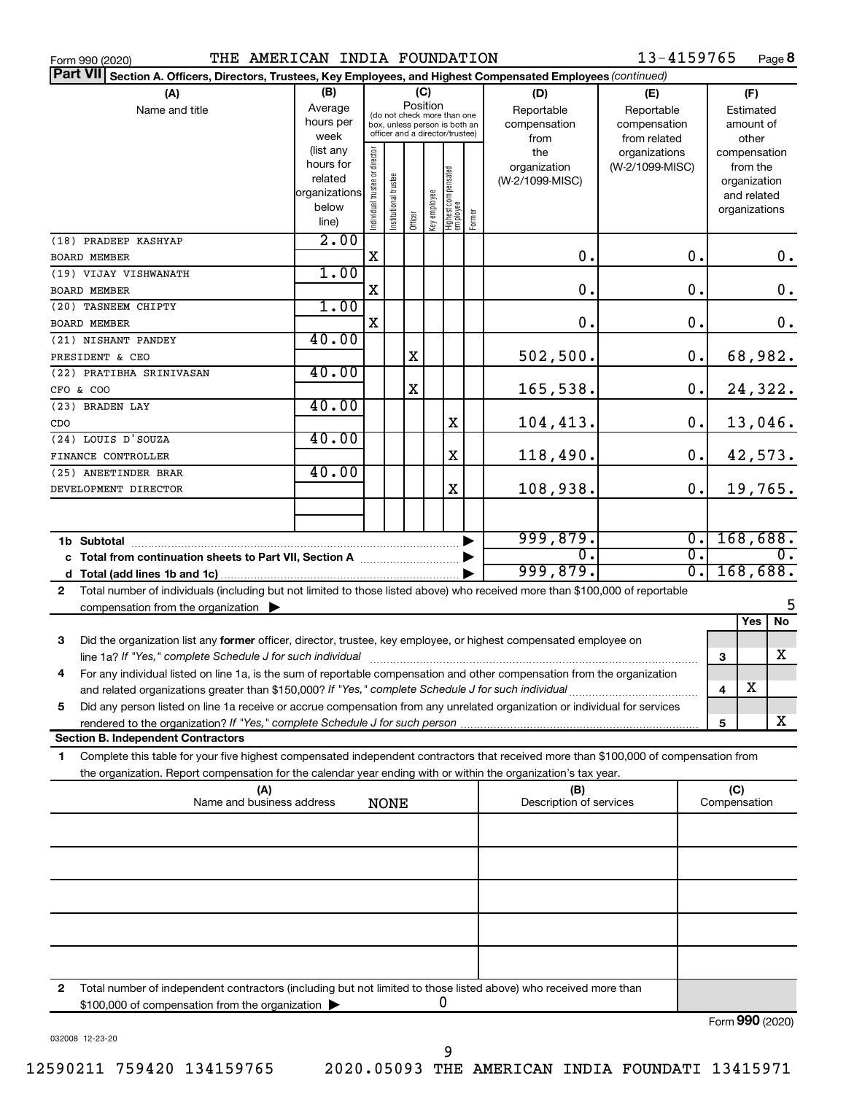|  | Form 990 (2020) |
|--|-----------------|
|  |                 |

Form 990 (2020) **PHE AMERICAN INDIA FOUNDATION** 13-4159765 Page

13-4159765 Page 8

| Part VII Section A. Officers, Directors, Trustees, Key Employees, and Highest Compensated Employees (continued)                              |                   |                                |                                                                  |         |              |                                   |        |                         |                               |              |                          |               |
|----------------------------------------------------------------------------------------------------------------------------------------------|-------------------|--------------------------------|------------------------------------------------------------------|---------|--------------|-----------------------------------|--------|-------------------------|-------------------------------|--------------|--------------------------|---------------|
| (A)                                                                                                                                          | (B)               |                                |                                                                  |         | (C)          |                                   |        | (D)                     | (E)                           |              | (F)                      |               |
| Name and title                                                                                                                               | Average           |                                | (do not check more than one                                      |         | Position     |                                   |        | Reportable              | Reportable                    |              | Estimated                |               |
|                                                                                                                                              | hours per         |                                | box, unless person is both an<br>officer and a director/trustee) |         |              |                                   |        | compensation            | compensation                  |              | amount of                |               |
|                                                                                                                                              | week<br>(list any |                                |                                                                  |         |              |                                   |        | from                    | from related<br>organizations |              | other                    |               |
|                                                                                                                                              | hours for         |                                |                                                                  |         |              |                                   |        | the<br>organization     | (W-2/1099-MISC)               |              | compensation<br>from the |               |
|                                                                                                                                              | related           |                                |                                                                  |         |              |                                   |        | (W-2/1099-MISC)         |                               |              | organization             |               |
|                                                                                                                                              | organizations     |                                |                                                                  |         |              |                                   |        |                         |                               |              | and related              |               |
|                                                                                                                                              | below             | Individual trustee or director | Institutional trustee                                            | Officer | Key employee | Highest compensated<br>  employee | Former |                         |                               |              | organizations            |               |
|                                                                                                                                              | line)             |                                |                                                                  |         |              |                                   |        |                         |                               |              |                          |               |
| (18) PRADEEP KASHYAP                                                                                                                         | 2.00              |                                |                                                                  |         |              |                                   |        |                         |                               |              |                          |               |
| <b>BOARD MEMBER</b>                                                                                                                          |                   | X                              |                                                                  |         |              |                                   |        | 0.                      | О.                            |              |                          | 0.            |
| (19) VIJAY VISHWANATH                                                                                                                        | 1.00              |                                |                                                                  |         |              |                                   |        |                         |                               |              |                          |               |
| <b>BOARD MEMBER</b>                                                                                                                          |                   | X                              |                                                                  |         |              |                                   |        | $\mathbf 0$ .           | О.                            |              |                          | $\mathbf 0$ . |
| (20) TASNEEM CHIPTY                                                                                                                          | 1.00              |                                |                                                                  |         |              |                                   |        |                         |                               |              |                          |               |
| <b>BOARD MEMBER</b>                                                                                                                          |                   | X                              |                                                                  |         |              |                                   |        | 0.                      | $\mathbf 0$ .                 |              |                          | $0$ .         |
| (21) NISHANT PANDEY                                                                                                                          | 40.00             |                                |                                                                  |         |              |                                   |        |                         |                               |              |                          |               |
| PRESIDENT & CEO                                                                                                                              |                   |                                |                                                                  | X       |              |                                   |        | 502, 500.               | 0.                            |              |                          | 68,982.       |
| (22) PRATIBHA SRINIVASAN                                                                                                                     | 40.00             |                                |                                                                  |         |              |                                   |        |                         |                               |              |                          |               |
| CFO & COO                                                                                                                                    |                   |                                |                                                                  | X       |              |                                   |        | 165,538.                | 0.                            |              |                          | 24,322.       |
| (23) BRADEN LAY                                                                                                                              | 40.00             |                                |                                                                  |         |              |                                   |        |                         |                               |              |                          |               |
| CDO                                                                                                                                          |                   |                                |                                                                  |         |              | X                                 |        | 104,413.                | 0.                            |              |                          | 13,046.       |
| (24) LOUIS D'SOUZA                                                                                                                           | 40.00             |                                |                                                                  |         |              | X                                 |        |                         | 0.                            |              |                          |               |
| FINANCE CONTROLLER                                                                                                                           | 40.00             |                                |                                                                  |         |              |                                   |        | 118,490.                |                               |              |                          | 42,573.       |
| (25) ANEETINDER BRAR                                                                                                                         |                   |                                |                                                                  |         |              | X                                 |        | 108,938.                | 0.                            |              |                          | 19,765.       |
| DEVELOPMENT DIRECTOR                                                                                                                         |                   |                                |                                                                  |         |              |                                   |        |                         |                               |              |                          |               |
|                                                                                                                                              |                   |                                |                                                                  |         |              |                                   |        |                         |                               |              |                          |               |
|                                                                                                                                              |                   |                                |                                                                  |         |              |                                   |        | 999,879.                | σ.                            |              |                          | 168,688.      |
| c Total from continuation sheets to Part VII, Section A [111] [2000]                                                                         |                   |                                |                                                                  |         |              |                                   |        | 0.                      | σ.                            |              |                          | 0.            |
|                                                                                                                                              |                   |                                |                                                                  |         |              |                                   |        | 999,879.                | σ.                            |              | 168,688.                 |               |
| Total number of individuals (including but not limited to those listed above) who received more than \$100,000 of reportable<br>$\mathbf{2}$ |                   |                                |                                                                  |         |              |                                   |        |                         |                               |              |                          |               |
| compensation from the organization $\blacktriangleright$                                                                                     |                   |                                |                                                                  |         |              |                                   |        |                         |                               |              |                          | 5             |
|                                                                                                                                              |                   |                                |                                                                  |         |              |                                   |        |                         |                               |              | Yes                      | No            |
| Did the organization list any former officer, director, trustee, key employee, or highest compensated employee on<br>3                       |                   |                                |                                                                  |         |              |                                   |        |                         |                               |              |                          |               |
| line 1a? If "Yes," complete Schedule J for such individual                                                                                   |                   |                                |                                                                  |         |              |                                   |        |                         |                               | 3            |                          | x             |
| For any individual listed on line 1a, is the sum of reportable compensation and other compensation from the organization<br>4                |                   |                                |                                                                  |         |              |                                   |        |                         |                               |              |                          |               |
|                                                                                                                                              |                   |                                |                                                                  |         |              |                                   |        |                         |                               | 4            | $\overline{\textbf{X}}$  |               |
| Did any person listed on line 1a receive or accrue compensation from any unrelated organization or individual for services<br>5              |                   |                                |                                                                  |         |              |                                   |        |                         |                               |              |                          |               |
| rendered to the organization? If "Yes," complete Schedule J for such person manufacture content content content                              |                   |                                |                                                                  |         |              |                                   |        |                         |                               | 5            |                          | x             |
| <b>Section B. Independent Contractors</b>                                                                                                    |                   |                                |                                                                  |         |              |                                   |        |                         |                               |              |                          |               |
| Complete this table for your five highest compensated independent contractors that received more than \$100,000 of compensation from<br>1    |                   |                                |                                                                  |         |              |                                   |        |                         |                               |              |                          |               |
| the organization. Report compensation for the calendar year ending with or within the organization's tax year.                               |                   |                                |                                                                  |         |              |                                   |        |                         |                               |              |                          |               |
| (A)                                                                                                                                          |                   |                                |                                                                  |         |              |                                   |        | (B)                     |                               | (C)          |                          |               |
| Name and business address                                                                                                                    |                   |                                | <b>NONE</b>                                                      |         |              |                                   |        | Description of services |                               | Compensation |                          |               |
|                                                                                                                                              |                   |                                |                                                                  |         |              |                                   |        |                         |                               |              |                          |               |
|                                                                                                                                              |                   |                                |                                                                  |         |              |                                   |        |                         |                               |              |                          |               |
|                                                                                                                                              |                   |                                |                                                                  |         |              |                                   |        |                         |                               |              |                          |               |
|                                                                                                                                              |                   |                                |                                                                  |         |              |                                   |        |                         |                               |              |                          |               |
|                                                                                                                                              |                   |                                |                                                                  |         |              |                                   |        |                         |                               |              |                          |               |
|                                                                                                                                              |                   |                                |                                                                  |         |              |                                   |        |                         |                               |              |                          |               |
|                                                                                                                                              |                   |                                |                                                                  |         |              |                                   |        |                         |                               |              |                          |               |
|                                                                                                                                              |                   |                                |                                                                  |         |              |                                   |        |                         |                               |              |                          |               |
|                                                                                                                                              |                   |                                |                                                                  |         |              |                                   |        |                         |                               |              |                          |               |
|                                                                                                                                              |                   |                                |                                                                  |         |              |                                   |        |                         |                               |              |                          |               |
| 2<br>Total number of independent contractors (including but not limited to those listed above) who received more than                        |                   |                                |                                                                  |         |              |                                   |        |                         |                               |              |                          |               |
| \$100,000 of compensation from the organization >                                                                                            |                   |                                |                                                                  |         |              | 0                                 |        |                         |                               |              |                          |               |

032008 12-23-20

Form (2020) **990**

9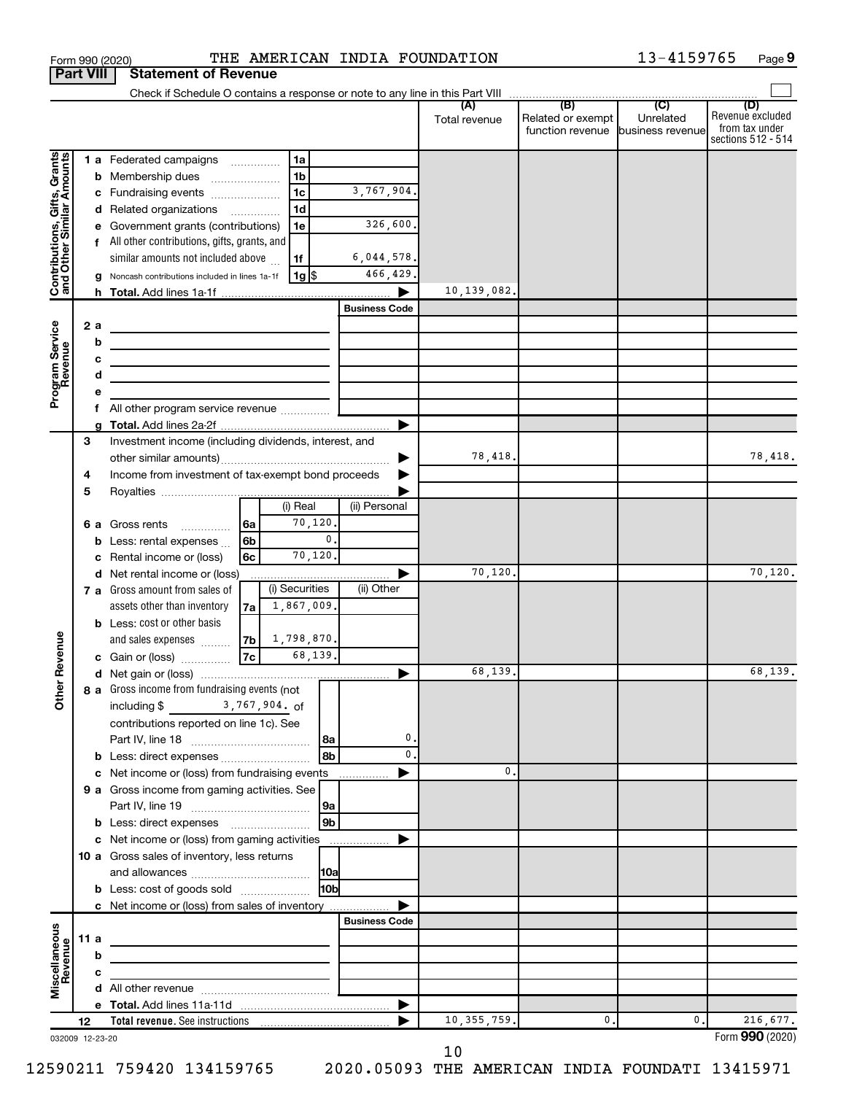|                                                           |                  |     | Form 990 (2020)                                                                           |      |                   |                 | THE AMERICAN INDIA FOUNDATION |               |                                   | 13-4159765 | Page 9                               |
|-----------------------------------------------------------|------------------|-----|-------------------------------------------------------------------------------------------|------|-------------------|-----------------|-------------------------------|---------------|-----------------------------------|------------|--------------------------------------|
|                                                           | <b>Part VIII</b> |     | <b>Statement of Revenue</b>                                                               |      |                   |                 |                               |               |                                   |            |                                      |
|                                                           |                  |     |                                                                                           |      |                   |                 |                               |               |                                   |            |                                      |
|                                                           |                  |     |                                                                                           |      |                   |                 |                               | Total revenue | Related or exempt                 | Unrelated  | (D)<br>Revenue excluded              |
|                                                           |                  |     |                                                                                           |      |                   |                 |                               |               | function revenue business revenue |            | from tax under<br>sections 512 - 514 |
|                                                           |                  |     |                                                                                           |      |                   |                 |                               |               |                                   |            |                                      |
|                                                           |                  |     | 1 a Federated campaigns                                                                   |      | l 1a              |                 |                               |               |                                   |            |                                      |
|                                                           |                  |     | <b>b</b> Membership dues                                                                  |      | 1 <sub>b</sub>    |                 |                               |               |                                   |            |                                      |
|                                                           |                  |     | c Fundraising events                                                                      |      | 1 <sub>c</sub>    |                 | 3,767,904.                    |               |                                   |            |                                      |
|                                                           |                  |     | d Related organizations                                                                   |      | 1 <sub>d</sub>    |                 |                               |               |                                   |            |                                      |
| Contributions, Gifts, Grants<br>and Other Similar Amounts |                  |     | e Government grants (contributions)                                                       |      | 1e                |                 | 326,600.                      |               |                                   |            |                                      |
|                                                           |                  |     | f All other contributions, gifts, grants, and                                             |      |                   |                 |                               |               |                                   |            |                                      |
|                                                           |                  |     | similar amounts not included above                                                        |      | 1f                |                 | 6,044,578.                    |               |                                   |            |                                      |
|                                                           |                  |     | g Noncash contributions included in lines 1a-1f                                           |      | 1g  \$            |                 | 466,429.                      |               |                                   |            |                                      |
|                                                           |                  |     |                                                                                           |      |                   |                 |                               | 10,139,082.   |                                   |            |                                      |
|                                                           |                  |     |                                                                                           |      |                   |                 | <b>Business Code</b>          |               |                                   |            |                                      |
| Program Service<br>Revenue                                |                  | 2a  |                                                                                           |      |                   |                 |                               |               |                                   |            |                                      |
|                                                           |                  | b   | the control of the control of the control of the control of the control of                |      |                   |                 |                               |               |                                   |            |                                      |
|                                                           |                  | c   | the control of the control of the control of the control of the control of the control of |      |                   |                 |                               |               |                                   |            |                                      |
|                                                           |                  | d   | the control of the control of the control of the control of the control of                |      |                   |                 |                               |               |                                   |            |                                      |
|                                                           |                  |     |                                                                                           |      |                   |                 |                               |               |                                   |            |                                      |
|                                                           |                  |     | All other program service revenue                                                         |      |                   |                 |                               |               |                                   |            |                                      |
|                                                           | 3                |     | Investment income (including dividends, interest, and                                     |      |                   |                 |                               |               |                                   |            |                                      |
|                                                           |                  |     |                                                                                           |      |                   |                 |                               | 78,418.       |                                   |            | 78,418.                              |
|                                                           | 4                |     | Income from investment of tax-exempt bond proceeds                                        |      |                   |                 |                               |               |                                   |            |                                      |
|                                                           | 5                |     |                                                                                           |      |                   |                 |                               |               |                                   |            |                                      |
|                                                           |                  |     |                                                                                           |      | (i) Real          |                 | (ii) Personal                 |               |                                   |            |                                      |
|                                                           |                  |     | <b>6 a</b> Gross rents                                                                    | 6a   | 70,120.           |                 |                               |               |                                   |            |                                      |
|                                                           |                  |     | Less: rental expenses                                                                     | 6b   |                   | $\mathbf{0}$ .  |                               |               |                                   |            |                                      |
|                                                           |                  |     | Rental income or (loss)                                                                   | 6c   | 70,120.           |                 |                               |               |                                   |            |                                      |
|                                                           |                  |     | d Net rental income or (loss)                                                             |      |                   |                 |                               | 70,120.       |                                   |            | 70, 120.                             |
|                                                           |                  |     | 7 a Gross amount from sales of                                                            |      | (i) Securities    |                 | (ii) Other                    |               |                                   |            |                                      |
|                                                           |                  |     | assets other than inventory                                                               | 7a l | 1,867,009.        |                 |                               |               |                                   |            |                                      |
|                                                           |                  |     | <b>b</b> Less: cost or other basis                                                        |      |                   |                 |                               |               |                                   |            |                                      |
|                                                           |                  |     | and sales expenses                                                                        |      | $7b$ 1, 798, 870. |                 |                               |               |                                   |            |                                      |
| venue                                                     |                  |     | c Gain or (loss)                                                                          | 7c   | 68,139.           |                 |                               |               |                                   |            |                                      |
|                                                           |                  |     |                                                                                           |      |                   |                 |                               | 68,139.       |                                   |            | 68,139.                              |
| Other <sub>R</sub>                                        |                  |     | 8 a Gross income from fundraising events (not                                             |      |                   |                 |                               |               |                                   |            |                                      |
|                                                           |                  |     | including \$ 3,767,904. of                                                                |      |                   |                 |                               |               |                                   |            |                                      |
|                                                           |                  |     | contributions reported on line 1c). See                                                   |      |                   |                 |                               |               |                                   |            |                                      |
|                                                           |                  |     |                                                                                           |      |                   |                 | 0.                            |               |                                   |            |                                      |
|                                                           |                  |     | b Less: direct expenses                                                                   |      |                   | 8 <sub>b</sub>  | 0.                            |               |                                   |            |                                      |
|                                                           |                  |     | c Net income or (loss) from fundraising events                                            |      |                   |                 |                               | 0.            |                                   |            |                                      |
|                                                           |                  |     | 9 a Gross income from gaming activities. See                                              |      |                   |                 |                               |               |                                   |            |                                      |
|                                                           |                  |     |                                                                                           |      |                   | 9a              |                               |               |                                   |            |                                      |
|                                                           |                  |     |                                                                                           |      |                   | 9 <sub>b</sub>  |                               |               |                                   |            |                                      |
|                                                           |                  |     | c Net income or (loss) from gaming activities                                             |      |                   |                 |                               |               |                                   |            |                                      |
|                                                           |                  |     | 10 a Gross sales of inventory, less returns                                               |      |                   |                 |                               |               |                                   |            |                                      |
|                                                           |                  |     |                                                                                           |      |                   |                 |                               |               |                                   |            |                                      |
|                                                           |                  |     | <b>b</b> Less: cost of goods sold                                                         |      |                   | 10 <sub>b</sub> |                               |               |                                   |            |                                      |
|                                                           |                  |     | <b>c</b> Net income or (loss) from sales of inventory                                     |      |                   |                 |                               |               |                                   |            |                                      |
|                                                           |                  |     |                                                                                           |      |                   |                 | <b>Business Code</b>          |               |                                   |            |                                      |
|                                                           |                  | 11a |                                                                                           |      |                   |                 |                               |               |                                   |            |                                      |
|                                                           |                  | b   |                                                                                           |      |                   |                 |                               |               |                                   |            |                                      |
| Miscellaneous<br>Revenue                                  |                  | c   |                                                                                           |      |                   |                 |                               |               |                                   |            |                                      |
|                                                           |                  |     |                                                                                           |      |                   |                 |                               |               |                                   |            |                                      |
|                                                           | 12               |     |                                                                                           |      |                   |                 |                               | 10, 355, 759. | 0.                                | 0.         | 216,677.                             |
| 032009 12-23-20                                           |                  |     |                                                                                           |      |                   |                 |                               |               |                                   |            | Form 990 (2020)                      |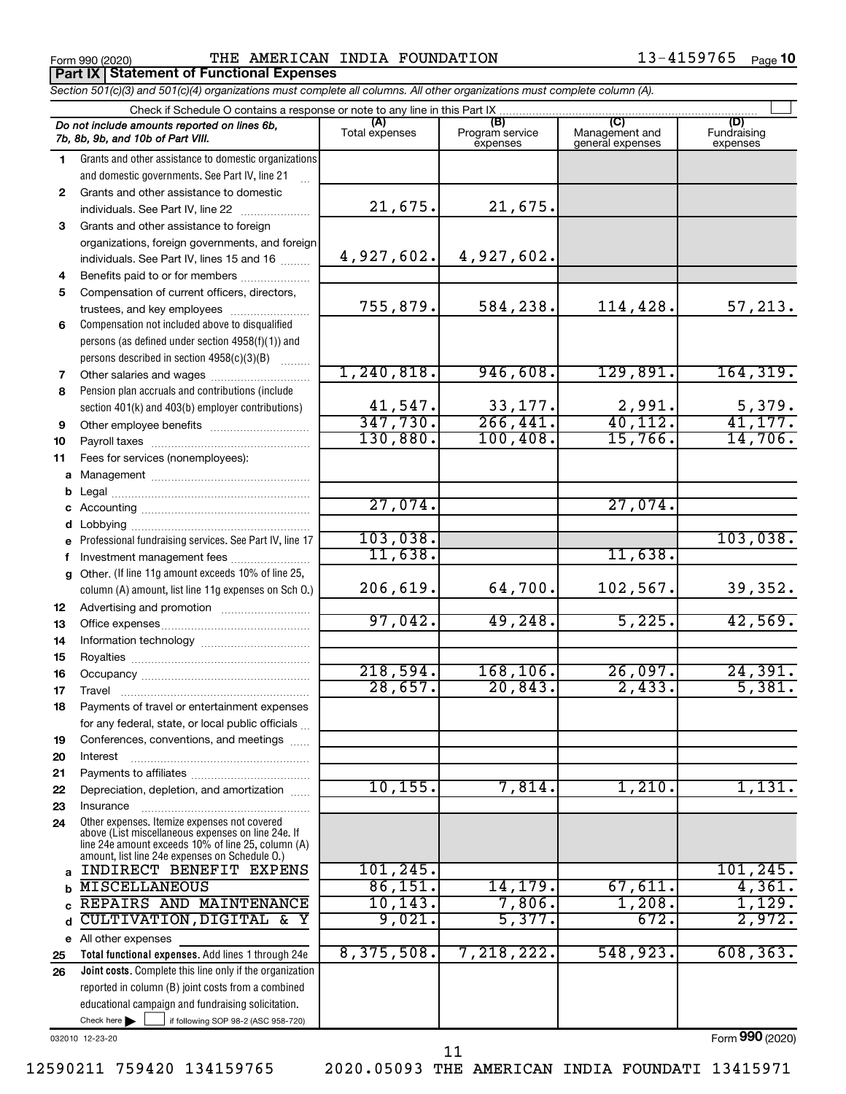**Part IX Statement of Functional Expenses**

Form 990 (2020) **PHE AMERICAN INDIA FOUNDATION** 13-4159765  $_{\text{Page}}$ 

|              | Section 501(c)(3) and 501(c)(4) organizations must complete all columns. All other organizations must complete column (A). |                          |                                    |                                           |                                |
|--------------|----------------------------------------------------------------------------------------------------------------------------|--------------------------|------------------------------------|-------------------------------------------|--------------------------------|
|              | Check if Schedule O contains a response or note to any line in this Part IX.                                               |                          |                                    |                                           |                                |
|              | Do not include amounts reported on lines 6b,<br>7b, 8b, 9b, and 10b of Part VIII.                                          | (A)<br>Total expenses    | (B)<br>Program service<br>expenses | (C)<br>Management and<br>general expenses | (D)<br>Fundraising<br>expenses |
| 1            | Grants and other assistance to domestic organizations                                                                      |                          |                                    |                                           |                                |
|              | and domestic governments. See Part IV, line 21                                                                             |                          |                                    |                                           |                                |
| $\mathbf{2}$ | Grants and other assistance to domestic                                                                                    |                          |                                    |                                           |                                |
|              | individuals. See Part IV, line 22                                                                                          | 21,675.                  | 21,675.                            |                                           |                                |
| 3            | Grants and other assistance to foreign                                                                                     |                          |                                    |                                           |                                |
|              | organizations, foreign governments, and foreign                                                                            |                          |                                    |                                           |                                |
|              | individuals. See Part IV, lines 15 and 16                                                                                  | 4,927,602.               | 4,927,602.                         |                                           |                                |
| 4            | Benefits paid to or for members                                                                                            |                          |                                    |                                           |                                |
| 5            | Compensation of current officers, directors,                                                                               |                          |                                    |                                           |                                |
|              | trustees, and key employees                                                                                                | 755,879.                 | 584,238.                           | 114,428.                                  | 57,213.                        |
| 6            | Compensation not included above to disqualified                                                                            |                          |                                    |                                           |                                |
|              | persons (as defined under section 4958(f)(1)) and                                                                          |                          |                                    |                                           |                                |
|              | persons described in section 4958(c)(3)(B)                                                                                 |                          |                                    |                                           |                                |
| 7            | Other salaries and wages                                                                                                   | 1, 240, 818.             | 946,608.                           | 129,891.                                  | 164, 319.                      |
| 8            | Pension plan accruals and contributions (include                                                                           |                          |                                    |                                           |                                |
|              | section 401(k) and 403(b) employer contributions)                                                                          | $\frac{41,547}{347,730}$ | 33, 177.                           | $\frac{2,991}{40,112}$                    | $\frac{5,379.}{41,177.}$       |
| 9            | Other employee benefits                                                                                                    |                          | 266, 441.                          |                                           |                                |
| 10           |                                                                                                                            | 130,880.                 | 100, 408.                          | 15,766.                                   | 14,706.                        |
| 11           | Fees for services (nonemployees):                                                                                          |                          |                                    |                                           |                                |
|              |                                                                                                                            |                          |                                    |                                           |                                |
|              |                                                                                                                            |                          |                                    |                                           |                                |
|              |                                                                                                                            | 27,074.                  |                                    | 27,074.                                   |                                |
|              |                                                                                                                            |                          |                                    |                                           |                                |
|              | e Professional fundraising services. See Part IV, line 17                                                                  | 103,038.                 |                                    |                                           | 103,038.                       |
|              | Investment management fees                                                                                                 | 11,638.                  |                                    | 11,638.                                   |                                |
|              | g Other. (If line 11g amount exceeds 10% of line 25,<br>column (A) amount, list line 11g expenses on Sch O.)               | 206,619.                 | 64,700.                            | 102,567.                                  | 39,352.                        |
| 12           |                                                                                                                            |                          |                                    |                                           |                                |
| 13           |                                                                                                                            | 97,042.                  | 49,248.                            | 5,225.                                    | 42,569.                        |
| 14           |                                                                                                                            |                          |                                    |                                           |                                |
| 15           |                                                                                                                            |                          |                                    |                                           |                                |
| 16           |                                                                                                                            | 218,594.                 | 168, 106.                          | 26,097.                                   | 24,391.                        |
| 17           |                                                                                                                            | 28,657.                  | 20,843.                            | 2,433.                                    | 5,381.                         |
| 18           | Payments of travel or entertainment expenses                                                                               |                          |                                    |                                           |                                |
|              | for any federal, state, or local public officials                                                                          |                          |                                    |                                           |                                |
| 19           | Conferences, conventions, and meetings                                                                                     |                          |                                    |                                           |                                |
| 20           | Interest                                                                                                                   |                          |                                    |                                           |                                |
| 21           |                                                                                                                            | 10, 155.                 | 7,814.                             | 1,210.                                    | 1,131.                         |
| 22           | Depreciation, depletion, and amortization                                                                                  |                          |                                    |                                           |                                |
| 23           | Insurance<br>Other expenses. Itemize expenses not covered                                                                  |                          |                                    |                                           |                                |
| 24           | above (List miscellaneous expenses on line 24e. If<br>line 24e amount exceeds 10% of line 25, column (A)                   |                          |                                    |                                           |                                |
| a            | amount, list line 24e expenses on Schedule O.)<br>INDIRECT BENEFIT EXPENS                                                  | 101,245.                 |                                    |                                           | 101, 245.                      |
|              | <b>MISCELLANEOUS</b>                                                                                                       | 86,151.                  | 14, 179.                           | $67,611$ .                                | 4,361.                         |
|              | REPAIRS AND MAINTENANCE                                                                                                    | 10, 143.                 | 7,806.                             | 1,208.                                    | 1,129.                         |
| d            | CULTIVATION, DIGITAL & Y                                                                                                   | 9,021.                   | 5,377.                             | 672.                                      | 2,972.                         |
|              | e All other expenses                                                                                                       |                          |                                    |                                           |                                |
| 25           | Total functional expenses. Add lines 1 through 24e                                                                         | 8,375,508.               | 7,218,222.                         | 548,923.                                  | 608, 363.                      |
| 26           | Joint costs. Complete this line only if the organization                                                                   |                          |                                    |                                           |                                |
|              | reported in column (B) joint costs from a combined                                                                         |                          |                                    |                                           |                                |
|              | educational campaign and fundraising solicitation.                                                                         |                          |                                    |                                           |                                |
|              | Check here $\blacktriangleright$<br>if following SOP 98-2 (ASC 958-720)                                                    |                          |                                    |                                           |                                |

032010 12-23-20

12590211 759420 134159765 2020.05093 THE AMERICAN INDIA FOUNDATI 13415971

11

Form (2020) **990**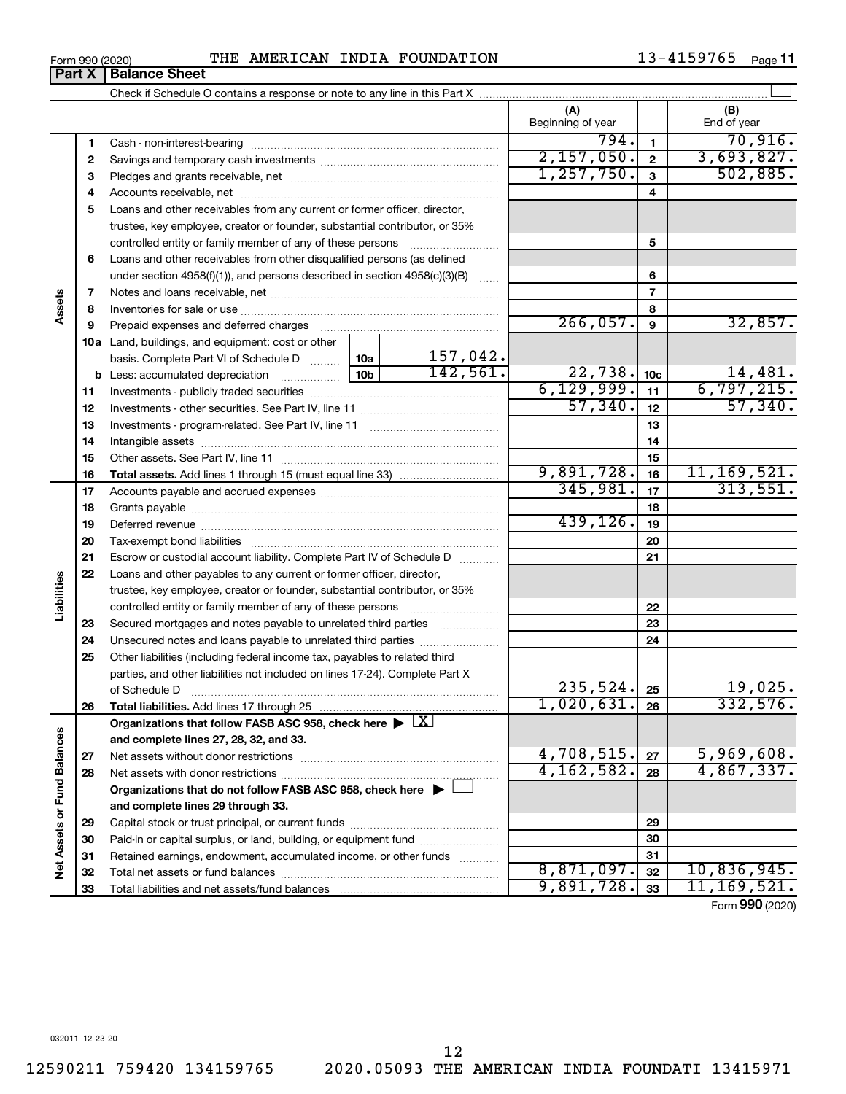#### Form 990 (2020) **PHE AMERICAN INDIA FOUNDATION** 13-4159765  $_{\text{Page}}$

13-4159765 Page 11

|                             | Part X | <b>Balance Sheet</b>                                                                                   |          |                          |                 |                    |
|-----------------------------|--------|--------------------------------------------------------------------------------------------------------|----------|--------------------------|-----------------|--------------------|
|                             |        |                                                                                                        |          |                          |                 |                    |
|                             |        |                                                                                                        |          | (A)<br>Beginning of year |                 | (B)<br>End of year |
|                             | 1      |                                                                                                        |          | 794.                     | 1               | 70,916.            |
|                             | 2      |                                                                                                        |          | 2,157,050.               | $\mathbf{2}$    | 3,693,827.         |
|                             | 3      |                                                                                                        |          | 1, 257, 750.             | 3               | 502,885.           |
|                             | 4      |                                                                                                        |          |                          | 4               |                    |
|                             | 5      | Loans and other receivables from any current or former officer, director,                              |          |                          |                 |                    |
|                             |        | trustee, key employee, creator or founder, substantial contributor, or 35%                             |          |                          |                 |                    |
|                             |        |                                                                                                        |          |                          | 5               |                    |
|                             | 6      | Loans and other receivables from other disqualified persons (as defined                                |          |                          |                 |                    |
|                             |        | under section $4958(f)(1)$ , and persons described in section $4958(c)(3)(B)$                          |          |                          | 6               |                    |
|                             | 7      |                                                                                                        |          |                          | 7               |                    |
| Assets                      | 8      |                                                                                                        |          | 8                        |                 |                    |
|                             | 9      |                                                                                                        |          | 266,057.                 | 9               | 32,857.            |
|                             |        | <b>10a</b> Land, buildings, and equipment: cost or other                                               |          |                          |                 |                    |
|                             |        | basis. Complete Part VI of Schedule D    10a                                                           | 157,042. |                          |                 |                    |
|                             |        |                                                                                                        | 142,561. | 22,738.                  | 10 <sub>c</sub> | 14,481.            |
|                             | 11     |                                                                                                        |          | 6, 129, 999.             | 11              | 6,797,215.         |
|                             | 12     |                                                                                                        |          | 57,340.                  | 12              | 57,340.            |
|                             | 13     |                                                                                                        |          |                          | 13              |                    |
|                             | 14     |                                                                                                        |          |                          | 14              |                    |
|                             | 15     |                                                                                                        |          |                          | 15              |                    |
|                             | 16     |                                                                                                        |          | 9,891,728.               | 16              | 11, 169, 521.      |
|                             | 17     |                                                                                                        |          | 345,981.                 | 17              | 313,551.           |
|                             | 18     |                                                                                                        |          |                          | 18              |                    |
|                             | 19     |                                                                                                        |          | 439, 126.                | 19              |                    |
|                             | 20     |                                                                                                        |          |                          | 20              |                    |
|                             | 21     | Escrow or custodial account liability. Complete Part IV of Schedule D                                  |          |                          | 21              |                    |
|                             | 22     | Loans and other payables to any current or former officer, director,                                   |          |                          |                 |                    |
| Liabilities                 |        | trustee, key employee, creator or founder, substantial contributor, or 35%                             |          |                          |                 |                    |
|                             |        | controlled entity or family member of any of these persons                                             |          |                          | 22              |                    |
|                             | 23     | Secured mortgages and notes payable to unrelated third parties                                         |          |                          | 23              |                    |
|                             | 24     | Unsecured notes and loans payable to unrelated third parties                                           |          |                          | 24              |                    |
|                             | 25     | Other liabilities (including federal income tax, payables to related third                             |          |                          |                 |                    |
|                             |        | parties, and other liabilities not included on lines 17-24). Complete Part X                           |          |                          |                 |                    |
|                             |        | of Schedule D                                                                                          |          | 235,524.                 | 25              | 19,025.            |
|                             | 26     | Total liabilities. Add lines 17 through 25                                                             |          | 1,020,631.               | 26              | 332,576.           |
|                             |        | Organizations that follow FASB ASC 958, check here $\blacktriangleright \lfloor \underline{X} \rfloor$ |          |                          |                 |                    |
|                             |        | and complete lines 27, 28, 32, and 33.                                                                 |          |                          |                 |                    |
|                             | 27     |                                                                                                        |          | 4,708,515.               | 27              | 5,969,608.         |
|                             | 28     |                                                                                                        |          | 4, 162, 582.             | 28              | 4,867,337.         |
|                             |        | Organizations that do not follow FASB ASC 958, check here $\blacktriangleright$                        |          |                          |                 |                    |
|                             |        | and complete lines 29 through 33.                                                                      |          |                          |                 |                    |
| Net Assets or Fund Balances | 29     |                                                                                                        |          |                          | 29              |                    |
|                             | 30     | Paid-in or capital surplus, or land, building, or equipment fund                                       |          |                          | 30              |                    |
|                             | 31     | Retained earnings, endowment, accumulated income, or other funds                                       |          |                          | 31              |                    |
|                             | 32     |                                                                                                        |          | 8,871,097.               | 32              | 10,836,945.        |
|                             | 33     |                                                                                                        |          | 9,891,728.               | 33              | 11,169,521.        |

Form (2020) **990**

12590211 759420 134159765 2020.05093 THE AMERICAN INDIA FOUNDATI 13415971

12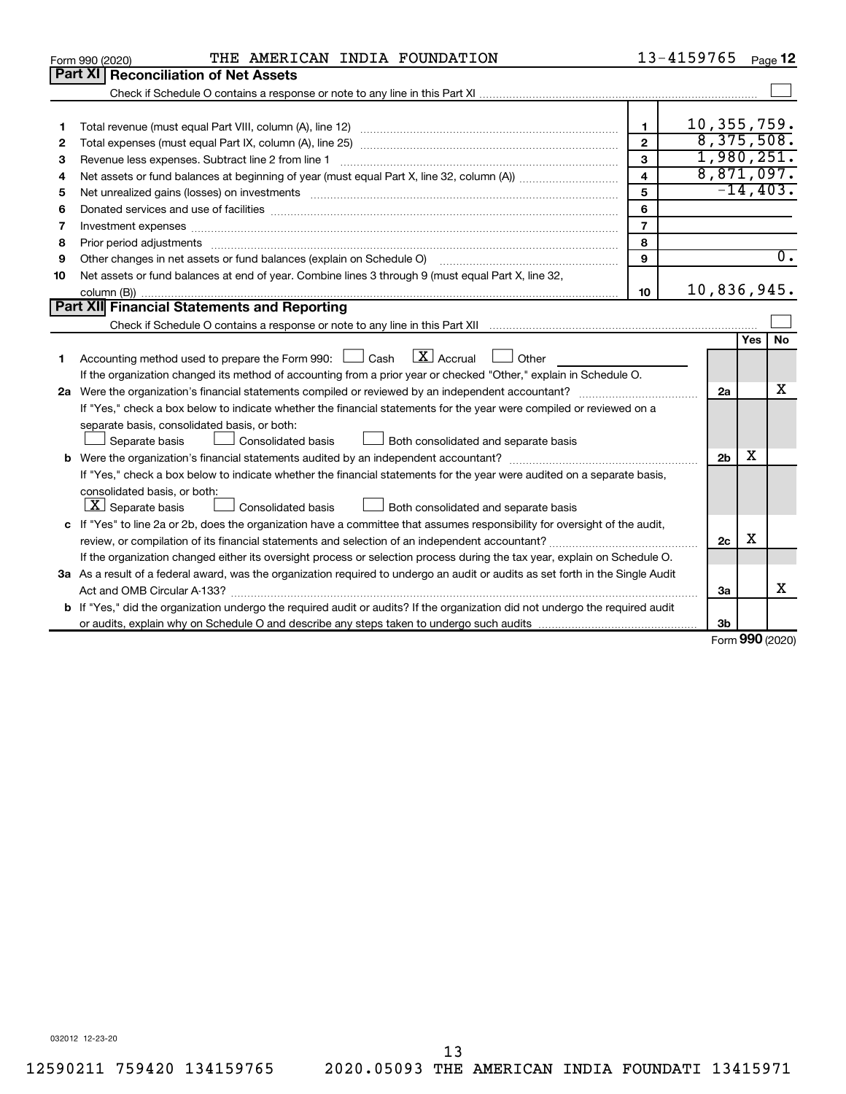|    | THE AMERICAN INDIA FOUNDATION<br>Form 990 (2020)                                                                                                                                                                               |                         | 13-4159765     |     | Page 12          |
|----|--------------------------------------------------------------------------------------------------------------------------------------------------------------------------------------------------------------------------------|-------------------------|----------------|-----|------------------|
|    | <b>Part XI Reconciliation of Net Assets</b>                                                                                                                                                                                    |                         |                |     |                  |
|    |                                                                                                                                                                                                                                |                         |                |     |                  |
|    |                                                                                                                                                                                                                                |                         |                |     |                  |
| 1  |                                                                                                                                                                                                                                | 1                       | 10, 355, 759.  |     |                  |
| 2  |                                                                                                                                                                                                                                | $\overline{2}$          | 8,375,508.     |     |                  |
| з  |                                                                                                                                                                                                                                | 3                       | 1,980,251.     |     |                  |
| 4  |                                                                                                                                                                                                                                | $\overline{\mathbf{4}}$ |                |     | 8,871,097.       |
| 5  | Net unrealized gains (losses) on investments [11] matter than the control of the state of the state of the state of the state of the state of the state of the state of the state of the state of the state of the state of th | 5                       |                |     | $-14, 403.$      |
| 6  |                                                                                                                                                                                                                                | 6                       |                |     |                  |
| 7  |                                                                                                                                                                                                                                | $\overline{7}$          |                |     |                  |
| 8  |                                                                                                                                                                                                                                | 8                       |                |     |                  |
| 9  | Other changes in net assets or fund balances (explain on Schedule O)                                                                                                                                                           | 9                       |                |     | $\overline{0}$ . |
| 10 | Net assets or fund balances at end of year. Combine lines 3 through 9 (must equal Part X, line 32,                                                                                                                             |                         |                |     |                  |
|    |                                                                                                                                                                                                                                | 10                      | 10,836,945.    |     |                  |
|    | Part XII Financial Statements and Reporting                                                                                                                                                                                    |                         |                |     |                  |
|    |                                                                                                                                                                                                                                |                         |                |     |                  |
|    |                                                                                                                                                                                                                                |                         |                | Yes | <b>No</b>        |
| 1  | $\mathbf{X}$ Accrual<br>Accounting method used to prepare the Form 990: [130] Cash<br><b>Durier</b>                                                                                                                            |                         |                |     |                  |
|    | If the organization changed its method of accounting from a prior year or checked "Other," explain in Schedule O.                                                                                                              |                         |                |     |                  |
|    |                                                                                                                                                                                                                                |                         | 2a             |     | x                |
|    | If "Yes," check a box below to indicate whether the financial statements for the year were compiled or reviewed on a                                                                                                           |                         |                |     |                  |
|    | separate basis, consolidated basis, or both:                                                                                                                                                                                   |                         |                |     |                  |
|    | Both consolidated and separate basis<br>Separate basis<br>Consolidated basis                                                                                                                                                   |                         |                |     |                  |
|    |                                                                                                                                                                                                                                |                         | 2 <sub>b</sub> | x   |                  |
|    | If "Yes," check a box below to indicate whether the financial statements for the year were audited on a separate basis,                                                                                                        |                         |                |     |                  |
|    | consolidated basis, or both:                                                                                                                                                                                                   |                         |                |     |                  |
|    | $ \mathbf{X} $ Separate basis<br>Consolidated basis<br>Both consolidated and separate basis                                                                                                                                    |                         |                |     |                  |
|    | c If "Yes" to line 2a or 2b, does the organization have a committee that assumes responsibility for oversight of the audit,                                                                                                    |                         |                |     |                  |
|    |                                                                                                                                                                                                                                |                         | 2c             | х   |                  |
|    | If the organization changed either its oversight process or selection process during the tax year, explain on Schedule O.                                                                                                      |                         |                |     |                  |
|    | 3a As a result of a federal award, was the organization required to undergo an audit or audits as set forth in the Single Audit                                                                                                |                         |                |     |                  |
|    | Act and OMB Circular A-133?                                                                                                                                                                                                    |                         | За             |     | x                |
|    | <b>b</b> If "Yes," did the organization undergo the required audit or audits? If the organization did not undergo the required audit                                                                                           |                         |                |     |                  |
|    |                                                                                                                                                                                                                                |                         | 3b             |     | $000 \times 20$  |

Form (2020) **990**

032012 12-23-20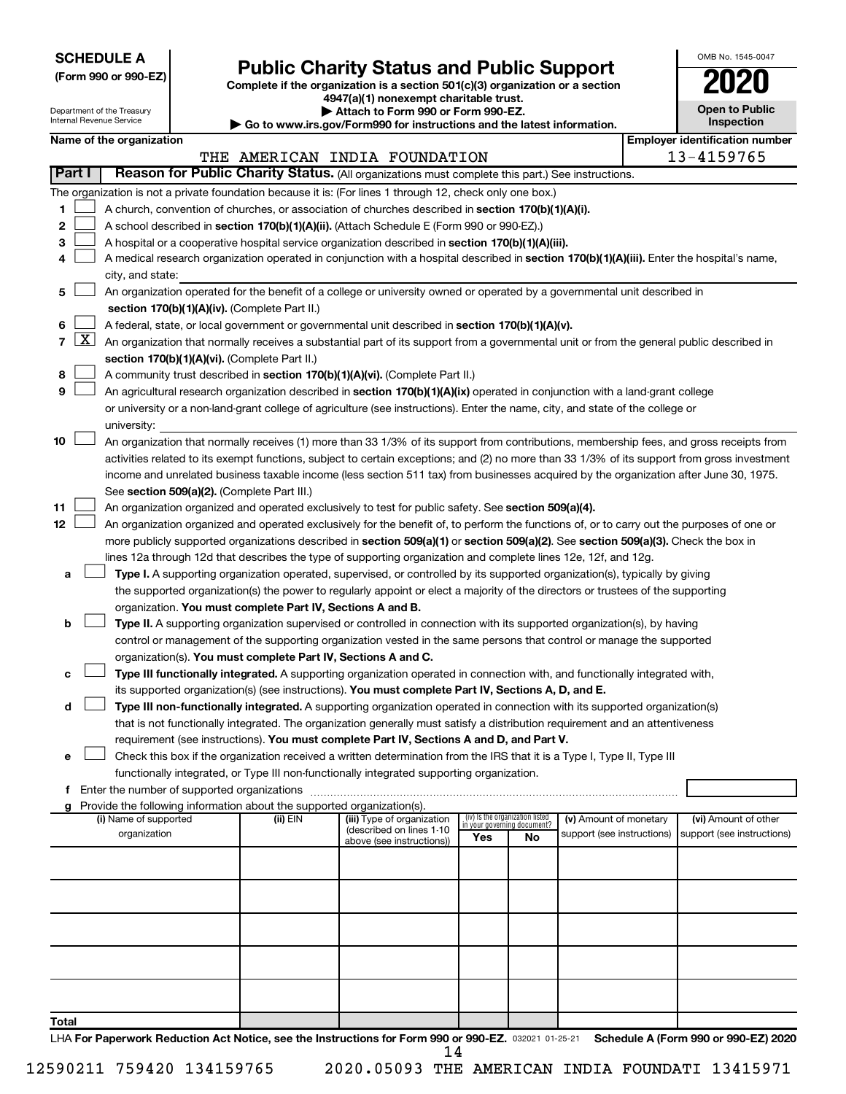**SCHEDULE A**

Department of the Treasury Internal Revenue Service

## Form 990 or 990-EZ) **Public Charity Status and Public Support**<br>
Complete if the organization is a section 501(c)(3) organization or a section<br> **2020**

**4947(a)(1) nonexempt charitable trust.**

**| Attach to Form 990 or Form 990-EZ. | Go to www.irs.gov/Form990 for instructions and the latest information.**

| <b>Open to Public</b><br>Inspection |
|-------------------------------------|
|                                     |

OMB No. 1545-0047

| Name of the organization |  |
|--------------------------|--|
|--------------------------|--|

| Name of the organization                                                                                                                                                                                                                      |            |                                                       |                                                                |    |                            | <b>Employer identification number</b> |
|-----------------------------------------------------------------------------------------------------------------------------------------------------------------------------------------------------------------------------------------------|------------|-------------------------------------------------------|----------------------------------------------------------------|----|----------------------------|---------------------------------------|
|                                                                                                                                                                                                                                               |            | THE AMERICAN INDIA FOUNDATION                         |                                                                |    |                            | 13-4159765                            |
| <b>Part I</b><br>Reason for Public Charity Status. (All organizations must complete this part.) See instructions.                                                                                                                             |            |                                                       |                                                                |    |                            |                                       |
| The organization is not a private foundation because it is: (For lines 1 through 12, check only one box.)                                                                                                                                     |            |                                                       |                                                                |    |                            |                                       |
| 1.<br>A church, convention of churches, or association of churches described in section 170(b)(1)(A)(i).                                                                                                                                      |            |                                                       |                                                                |    |                            |                                       |
| 2<br>A school described in section 170(b)(1)(A)(ii). (Attach Schedule E (Form 990 or 990-EZ).)                                                                                                                                                |            |                                                       |                                                                |    |                            |                                       |
| A hospital or a cooperative hospital service organization described in section 170(b)(1)(A)(iii).<br>з                                                                                                                                        |            |                                                       |                                                                |    |                            |                                       |
| A medical research organization operated in conjunction with a hospital described in section 170(b)(1)(A)(iii). Enter the hospital's name,<br>4                                                                                               |            |                                                       |                                                                |    |                            |                                       |
| city, and state:                                                                                                                                                                                                                              |            |                                                       |                                                                |    |                            |                                       |
| An organization operated for the benefit of a college or university owned or operated by a governmental unit described in<br>5<br>section 170(b)(1)(A)(iv). (Complete Part II.)                                                               |            |                                                       |                                                                |    |                            |                                       |
| A federal, state, or local government or governmental unit described in section 170(b)(1)(A)(v).<br>6                                                                                                                                         |            |                                                       |                                                                |    |                            |                                       |
| 7 $ X $ An organization that normally receives a substantial part of its support from a governmental unit or from the general public described in                                                                                             |            |                                                       |                                                                |    |                            |                                       |
| section 170(b)(1)(A)(vi). (Complete Part II.)                                                                                                                                                                                                 |            |                                                       |                                                                |    |                            |                                       |
| A community trust described in section 170(b)(1)(A)(vi). (Complete Part II.)<br>8                                                                                                                                                             |            |                                                       |                                                                |    |                            |                                       |
| 9<br>An agricultural research organization described in section 170(b)(1)(A)(ix) operated in conjunction with a land-grant college                                                                                                            |            |                                                       |                                                                |    |                            |                                       |
| or university or a non-land-grant college of agriculture (see instructions). Enter the name, city, and state of the college or                                                                                                                |            |                                                       |                                                                |    |                            |                                       |
|                                                                                                                                                                                                                                               |            |                                                       |                                                                |    |                            |                                       |
| university:                                                                                                                                                                                                                                   |            |                                                       |                                                                |    |                            |                                       |
| An organization that normally receives (1) more than 33 1/3% of its support from contributions, membership fees, and gross receipts from<br>10                                                                                                |            |                                                       |                                                                |    |                            |                                       |
| activities related to its exempt functions, subject to certain exceptions; and (2) no more than 33 1/3% of its support from gross investment                                                                                                  |            |                                                       |                                                                |    |                            |                                       |
| income and unrelated business taxable income (less section 511 tax) from businesses acquired by the organization after June 30, 1975.                                                                                                         |            |                                                       |                                                                |    |                            |                                       |
| See section 509(a)(2). (Complete Part III.)                                                                                                                                                                                                   |            |                                                       |                                                                |    |                            |                                       |
| 11<br>An organization organized and operated exclusively to test for public safety. See section 509(a)(4).<br>12                                                                                                                              |            |                                                       |                                                                |    |                            |                                       |
| An organization organized and operated exclusively for the benefit of, to perform the functions of, or to carry out the purposes of one or                                                                                                    |            |                                                       |                                                                |    |                            |                                       |
| more publicly supported organizations described in section 509(a)(1) or section 509(a)(2). See section 509(a)(3). Check the box in                                                                                                            |            |                                                       |                                                                |    |                            |                                       |
| lines 12a through 12d that describes the type of supporting organization and complete lines 12e, 12f, and 12g.<br>Type I. A supporting organization operated, supervised, or controlled by its supported organization(s), typically by giving |            |                                                       |                                                                |    |                            |                                       |
| a<br>the supported organization(s) the power to regularly appoint or elect a majority of the directors or trustees of the supporting                                                                                                          |            |                                                       |                                                                |    |                            |                                       |
| organization. You must complete Part IV, Sections A and B.                                                                                                                                                                                    |            |                                                       |                                                                |    |                            |                                       |
| Type II. A supporting organization supervised or controlled in connection with its supported organization(s), by having<br>b                                                                                                                  |            |                                                       |                                                                |    |                            |                                       |
| control or management of the supporting organization vested in the same persons that control or manage the supported                                                                                                                          |            |                                                       |                                                                |    |                            |                                       |
| organization(s). You must complete Part IV, Sections A and C.                                                                                                                                                                                 |            |                                                       |                                                                |    |                            |                                       |
| Type III functionally integrated. A supporting organization operated in connection with, and functionally integrated with,<br>с                                                                                                               |            |                                                       |                                                                |    |                            |                                       |
| its supported organization(s) (see instructions). You must complete Part IV, Sections A, D, and E.                                                                                                                                            |            |                                                       |                                                                |    |                            |                                       |
| Type III non-functionally integrated. A supporting organization operated in connection with its supported organization(s)<br>d                                                                                                                |            |                                                       |                                                                |    |                            |                                       |
| that is not functionally integrated. The organization generally must satisfy a distribution requirement and an attentiveness                                                                                                                  |            |                                                       |                                                                |    |                            |                                       |
| requirement (see instructions). You must complete Part IV, Sections A and D, and Part V.                                                                                                                                                      |            |                                                       |                                                                |    |                            |                                       |
| Check this box if the organization received a written determination from the IRS that it is a Type I, Type II, Type III                                                                                                                       |            |                                                       |                                                                |    |                            |                                       |
| functionally integrated, or Type III non-functionally integrated supporting organization.                                                                                                                                                     |            |                                                       |                                                                |    |                            |                                       |
|                                                                                                                                                                                                                                               |            |                                                       |                                                                |    |                            |                                       |
| g Provide the following information about the supported organization(s).                                                                                                                                                                      |            |                                                       |                                                                |    |                            |                                       |
| (i) Name of supported                                                                                                                                                                                                                         | (ii) $EIN$ | (iii) Type of organization                            | (iv) Is the organization listed<br>in your governing document? |    | (v) Amount of monetary     | (vi) Amount of other                  |
| organization                                                                                                                                                                                                                                  |            | (described on lines 1-10<br>above (see instructions)) | Yes                                                            | No | support (see instructions) | support (see instructions)            |
|                                                                                                                                                                                                                                               |            |                                                       |                                                                |    |                            |                                       |
|                                                                                                                                                                                                                                               |            |                                                       |                                                                |    |                            |                                       |
|                                                                                                                                                                                                                                               |            |                                                       |                                                                |    |                            |                                       |
|                                                                                                                                                                                                                                               |            |                                                       |                                                                |    |                            |                                       |
|                                                                                                                                                                                                                                               |            |                                                       |                                                                |    |                            |                                       |
|                                                                                                                                                                                                                                               |            |                                                       |                                                                |    |                            |                                       |
|                                                                                                                                                                                                                                               |            |                                                       |                                                                |    |                            |                                       |
|                                                                                                                                                                                                                                               |            |                                                       |                                                                |    |                            |                                       |
|                                                                                                                                                                                                                                               |            |                                                       |                                                                |    |                            |                                       |
| Total                                                                                                                                                                                                                                         |            |                                                       |                                                                |    |                            |                                       |

LHA For Paperwork Reduction Act Notice, see the Instructions for Form 990 or 990-EZ. 032021 01-25-21 Schedule A (Form 990 or 990-EZ) 2020 14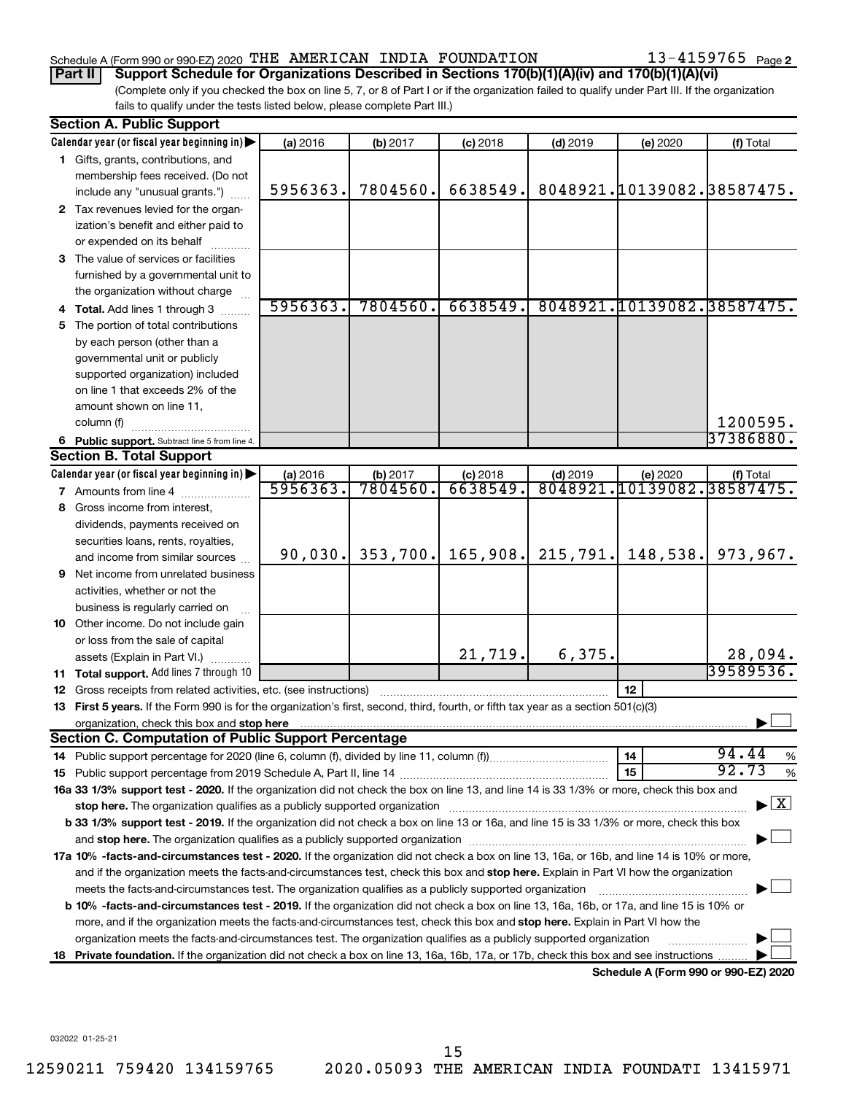#### Schedule A (Form 990 or 990-EZ) 2020 <code>THE AMERICAN INDIA FOUNDATION</code>  $13-4159765$  <code>Page</code>

13-4159765 Page 2

(Complete only if you checked the box on line 5, 7, or 8 of Part I or if the organization failed to qualify under Part III. If the organization fails to qualify under the tests listed below, please complete Part III.) **Part II Support Schedule for Organizations Described in Sections 170(b)(1)(A)(iv) and 170(b)(1)(A)(vi)**

|    | <b>Section A. Public Support</b>                                                                                                                                                                      |          |          |            |            |                                      |                                    |
|----|-------------------------------------------------------------------------------------------------------------------------------------------------------------------------------------------------------|----------|----------|------------|------------|--------------------------------------|------------------------------------|
|    | Calendar year (or fiscal year beginning in)                                                                                                                                                           | (a) 2016 | (b) 2017 | $(c)$ 2018 | $(d)$ 2019 | (e) 2020                             | (f) Total                          |
|    | 1 Gifts, grants, contributions, and                                                                                                                                                                   |          |          |            |            |                                      |                                    |
|    | membership fees received. (Do not                                                                                                                                                                     |          |          |            |            |                                      |                                    |
|    | include any "unusual grants.")                                                                                                                                                                        | 5956363. | 7804560. | 6638549.   |            | 8048921.10139082.38587475.           |                                    |
|    | 2 Tax revenues levied for the organ-                                                                                                                                                                  |          |          |            |            |                                      |                                    |
|    | ization's benefit and either paid to                                                                                                                                                                  |          |          |            |            |                                      |                                    |
|    | or expended on its behalf                                                                                                                                                                             |          |          |            |            |                                      |                                    |
|    | 3 The value of services or facilities                                                                                                                                                                 |          |          |            |            |                                      |                                    |
|    | furnished by a governmental unit to                                                                                                                                                                   |          |          |            |            |                                      |                                    |
|    | the organization without charge                                                                                                                                                                       |          |          |            |            |                                      |                                    |
|    | Total. Add lines 1 through 3                                                                                                                                                                          | 5956363. | 7804560. | 6638549.   |            | 8048921.10139082.38587475.           |                                    |
| 5. | The portion of total contributions                                                                                                                                                                    |          |          |            |            |                                      |                                    |
|    | by each person (other than a                                                                                                                                                                          |          |          |            |            |                                      |                                    |
|    | governmental unit or publicly                                                                                                                                                                         |          |          |            |            |                                      |                                    |
|    | supported organization) included                                                                                                                                                                      |          |          |            |            |                                      |                                    |
|    | on line 1 that exceeds 2% of the                                                                                                                                                                      |          |          |            |            |                                      |                                    |
|    | amount shown on line 11,                                                                                                                                                                              |          |          |            |            |                                      |                                    |
|    | column (f)                                                                                                                                                                                            |          |          |            |            |                                      | 1200595.                           |
|    | 6 Public support. Subtract line 5 from line 4.                                                                                                                                                        |          |          |            |            |                                      | 37386880.                          |
|    | <b>Section B. Total Support</b>                                                                                                                                                                       |          |          |            |            |                                      |                                    |
|    | Calendar year (or fiscal year beginning in)                                                                                                                                                           | (a) 2016 | (b) 2017 | $(c)$ 2018 | $(d)$ 2019 | (e) 2020                             | (f) Total                          |
|    | <b>7</b> Amounts from line 4                                                                                                                                                                          | 5956363. | 7804560  | 6638549.   | 8048921    | 10139082.38587475.                   |                                    |
| 8  | Gross income from interest,                                                                                                                                                                           |          |          |            |            |                                      |                                    |
|    | dividends, payments received on                                                                                                                                                                       |          |          |            |            |                                      |                                    |
|    | securities loans, rents, royalties,                                                                                                                                                                   |          |          |            |            |                                      |                                    |
|    | and income from similar sources                                                                                                                                                                       | 90,030.  | 353,700. | 165,908.   | 215,791.   | 148,538.                             | 973,967.                           |
| 9. | Net income from unrelated business                                                                                                                                                                    |          |          |            |            |                                      |                                    |
|    | activities, whether or not the                                                                                                                                                                        |          |          |            |            |                                      |                                    |
|    | business is regularly carried on                                                                                                                                                                      |          |          |            |            |                                      |                                    |
|    | 10 Other income. Do not include gain                                                                                                                                                                  |          |          |            |            |                                      |                                    |
|    | or loss from the sale of capital                                                                                                                                                                      |          |          | 21,719.    | 6,375.     |                                      | 28,094.                            |
|    | assets (Explain in Part VI.)                                                                                                                                                                          |          |          |            |            |                                      | 39589536.                          |
|    | 11 Total support. Add lines 7 through 10                                                                                                                                                              |          |          |            |            |                                      |                                    |
| 12 | Gross receipts from related activities, etc. (see instructions)<br>13 First 5 years. If the Form 990 is for the organization's first, second, third, fourth, or fifth tax year as a section 501(c)(3) |          |          |            |            | 12                                   |                                    |
|    | organization, check this box and stop here                                                                                                                                                            |          |          |            |            |                                      |                                    |
|    | <b>Section C. Computation of Public Support Percentage</b>                                                                                                                                            |          |          |            |            |                                      |                                    |
|    |                                                                                                                                                                                                       |          |          |            |            | 14                                   | 94.44<br>%                         |
|    |                                                                                                                                                                                                       |          |          |            |            | 15                                   | 92.73<br>%                         |
|    | 16a 33 1/3% support test - 2020. If the organization did not check the box on line 13, and line 14 is 33 1/3% or more, check this box and                                                             |          |          |            |            |                                      |                                    |
|    | stop here. The organization qualifies as a publicly supported organization                                                                                                                            |          |          |            |            |                                      | $\blacktriangleright$ $\mathbf{X}$ |
|    | b 33 1/3% support test - 2019. If the organization did not check a box on line 13 or 16a, and line 15 is 33 1/3% or more, check this box                                                              |          |          |            |            |                                      |                                    |
|    |                                                                                                                                                                                                       |          |          |            |            |                                      |                                    |
|    | 17a 10% -facts-and-circumstances test - 2020. If the organization did not check a box on line 13, 16a, or 16b, and line 14 is 10% or more,                                                            |          |          |            |            |                                      |                                    |
|    | and if the organization meets the facts-and-circumstances test, check this box and stop here. Explain in Part VI how the organization                                                                 |          |          |            |            |                                      |                                    |
|    | meets the facts-and-circumstances test. The organization qualifies as a publicly supported organization                                                                                               |          |          |            |            |                                      |                                    |
|    | b 10% -facts-and-circumstances test - 2019. If the organization did not check a box on line 13, 16a, 16b, or 17a, and line 15 is 10% or                                                               |          |          |            |            |                                      |                                    |
|    | more, and if the organization meets the facts-and-circumstances test, check this box and stop here. Explain in Part VI how the                                                                        |          |          |            |            |                                      |                                    |
|    | organization meets the facts-and-circumstances test. The organization qualifies as a publicly supported organization                                                                                  |          |          |            |            |                                      |                                    |
|    | 18 Private foundation. If the organization did not check a box on line 13, 16a, 16b, 17a, or 17b, check this box and see instructions                                                                 |          |          |            |            |                                      |                                    |
|    |                                                                                                                                                                                                       |          |          |            |            | Schedule A (Form 990 or 990-EZ) 2020 |                                    |

032022 01-25-21

15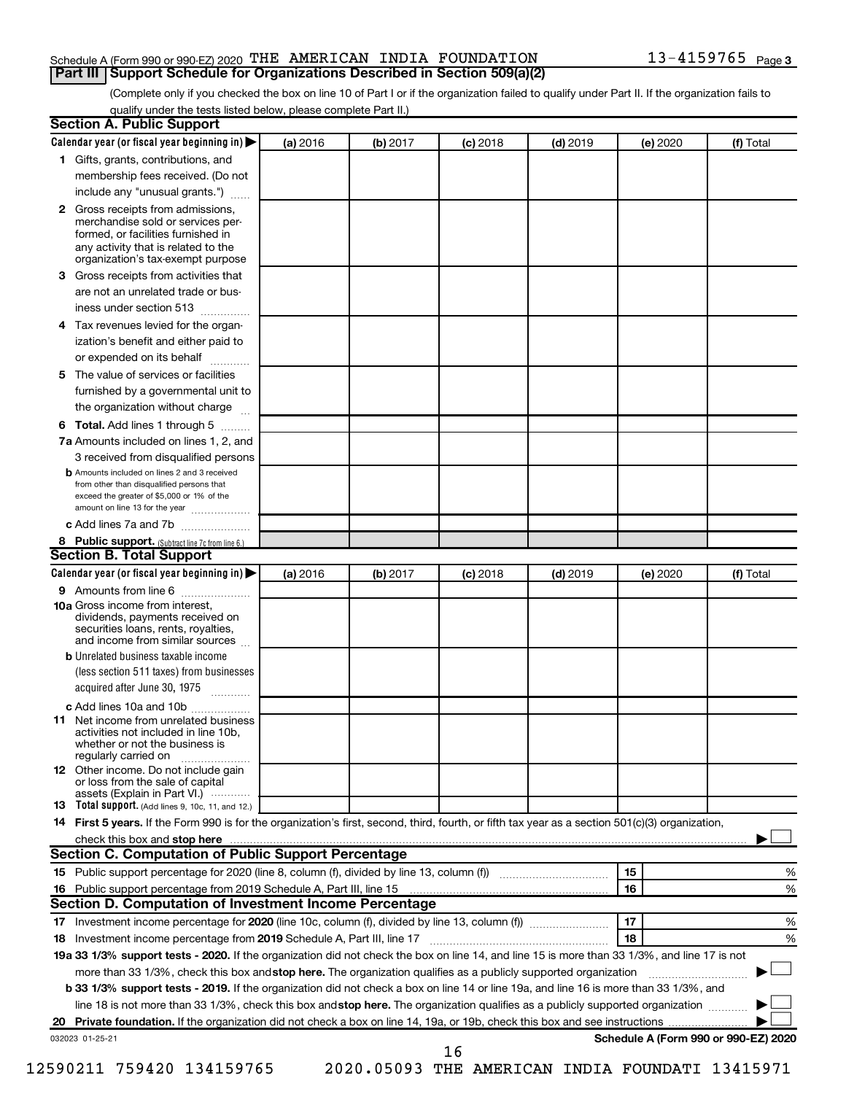#### Schedule A (Form 990 or 990-EZ) 2020 <code>THE AMERICAN INDIA FOUNDATION</code>  $13-4159765$  <code>Page</code> **Part III | Support Schedule for Organizations Described in Section 509(a)(2)**

(Complete only if you checked the box on line 10 of Part I or if the organization failed to qualify under Part II. If the organization fails to qualify under the tests listed below, please complete Part II.)

|              | Calendar year (or fiscal year beginning in)                                                                                                                                                                                                                              | (a) 2016 | (b) 2017 | $(c)$ 2018 | $(d)$ 2019 |    | (e) 2020 | (f) Total |
|--------------|--------------------------------------------------------------------------------------------------------------------------------------------------------------------------------------------------------------------------------------------------------------------------|----------|----------|------------|------------|----|----------|-----------|
|              | 1 Gifts, grants, contributions, and                                                                                                                                                                                                                                      |          |          |            |            |    |          |           |
|              | membership fees received. (Do not                                                                                                                                                                                                                                        |          |          |            |            |    |          |           |
|              | include any "unusual grants.")                                                                                                                                                                                                                                           |          |          |            |            |    |          |           |
| $\mathbf{2}$ | Gross receipts from admissions,<br>merchandise sold or services per-<br>formed, or facilities furnished in<br>any activity that is related to the<br>organization's tax-exempt purpose                                                                                   |          |          |            |            |    |          |           |
| 3            | Gross receipts from activities that                                                                                                                                                                                                                                      |          |          |            |            |    |          |           |
|              | are not an unrelated trade or bus-                                                                                                                                                                                                                                       |          |          |            |            |    |          |           |
|              | iness under section 513                                                                                                                                                                                                                                                  |          |          |            |            |    |          |           |
| 4            | Tax revenues levied for the organ-                                                                                                                                                                                                                                       |          |          |            |            |    |          |           |
|              | ization's benefit and either paid to<br>or expended on its behalf<br>.                                                                                                                                                                                                   |          |          |            |            |    |          |           |
| 5            | The value of services or facilities                                                                                                                                                                                                                                      |          |          |            |            |    |          |           |
|              | furnished by a governmental unit to                                                                                                                                                                                                                                      |          |          |            |            |    |          |           |
|              | the organization without charge                                                                                                                                                                                                                                          |          |          |            |            |    |          |           |
| 6            | Total. Add lines 1 through 5                                                                                                                                                                                                                                             |          |          |            |            |    |          |           |
|              | 7a Amounts included on lines 1, 2, and                                                                                                                                                                                                                                   |          |          |            |            |    |          |           |
|              | 3 received from disqualified persons<br><b>b</b> Amounts included on lines 2 and 3 received                                                                                                                                                                              |          |          |            |            |    |          |           |
|              | from other than disqualified persons that<br>exceed the greater of \$5,000 or 1% of the<br>amount on line 13 for the year                                                                                                                                                |          |          |            |            |    |          |           |
|              | c Add lines 7a and 7b                                                                                                                                                                                                                                                    |          |          |            |            |    |          |           |
|              | 8 Public support. (Subtract line 7c from line 6.)                                                                                                                                                                                                                        |          |          |            |            |    |          |           |
|              | <b>Section B. Total Support</b>                                                                                                                                                                                                                                          |          |          |            |            |    |          |           |
|              | Calendar year (or fiscal year beginning in)                                                                                                                                                                                                                              | (a) 2016 | (b) 2017 | $(c)$ 2018 | $(d)$ 2019 |    | (e) 2020 | (f) Total |
|              | 9 Amounts from line 6                                                                                                                                                                                                                                                    |          |          |            |            |    |          |           |
|              | <b>10a</b> Gross income from interest,<br>dividends, payments received on<br>securities loans, rents, royalties,<br>and income from similar sources                                                                                                                      |          |          |            |            |    |          |           |
|              | <b>b</b> Unrelated business taxable income                                                                                                                                                                                                                               |          |          |            |            |    |          |           |
|              | (less section 511 taxes) from businesses<br>acquired after June 30, 1975                                                                                                                                                                                                 |          |          |            |            |    |          |           |
|              | c Add lines 10a and 10b                                                                                                                                                                                                                                                  |          |          |            |            |    |          |           |
| 11           | Net income from unrelated business<br>activities not included in line 10b.<br>whether or not the business is<br>regularly carried on                                                                                                                                     |          |          |            |            |    |          |           |
|              | <b>12</b> Other income. Do not include gain<br>or loss from the sale of capital<br>assets (Explain in Part VI.)                                                                                                                                                          |          |          |            |            |    |          |           |
|              | 13 Total support. (Add lines 9, 10c, 11, and 12.)                                                                                                                                                                                                                        |          |          |            |            |    |          |           |
|              | 14 First 5 years. If the Form 990 is for the organization's first, second, third, fourth, or fifth tax year as a section 501(c)(3) organization,                                                                                                                         |          |          |            |            |    |          |           |
|              |                                                                                                                                                                                                                                                                          |          |          |            |            |    |          |           |
|              | Section C. Computation of Public Support Percentage                                                                                                                                                                                                                      |          |          |            |            |    |          |           |
|              |                                                                                                                                                                                                                                                                          |          |          |            |            | 15 |          | %         |
|              |                                                                                                                                                                                                                                                                          |          |          |            |            | 16 |          | %         |
|              | Section D. Computation of Investment Income Percentage                                                                                                                                                                                                                   |          |          |            |            |    |          |           |
|              |                                                                                                                                                                                                                                                                          |          |          |            |            | 17 |          | %         |
|              |                                                                                                                                                                                                                                                                          |          |          |            |            | 18 |          | %         |
|              | 19a 33 1/3% support tests - 2020. If the organization did not check the box on line 14, and line 15 is more than 33 1/3%, and line 17 is not                                                                                                                             |          |          |            |            |    |          |           |
|              | more than 33 1/3%, check this box and stop here. The organization qualifies as a publicly supported organization                                                                                                                                                         |          |          |            |            |    |          |           |
|              |                                                                                                                                                                                                                                                                          |          |          |            |            |    |          |           |
|              | b 33 1/3% support tests - 2019. If the organization did not check a box on line 14 or line 19a, and line 16 is more than 33 1/3%, and<br>line 18 is not more than 33 1/3%, check this box and stop here. The organization qualifies as a publicly supported organization |          |          |            |            |    |          |           |
|              |                                                                                                                                                                                                                                                                          |          |          |            |            |    |          |           |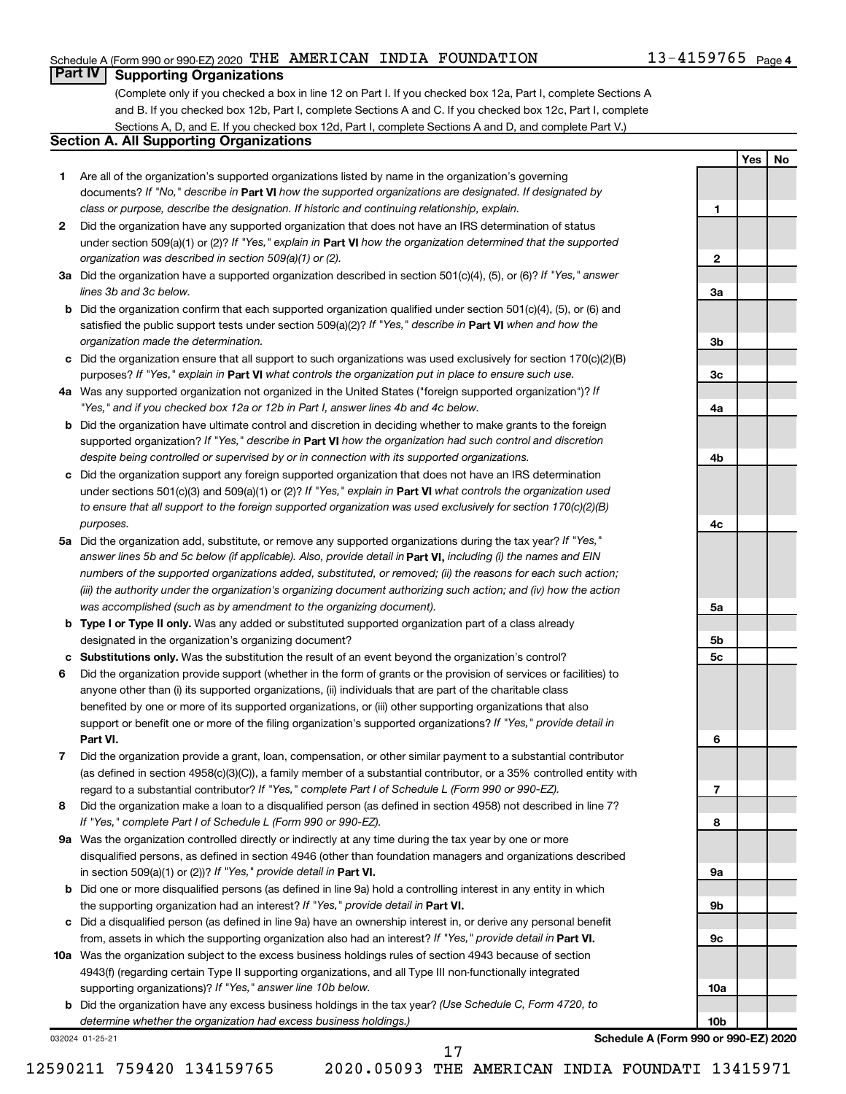#### Schedule A (Form 990 or 990-EZ) 2020 <code>THE AMERICAN INDIA FOUNDATION</code>  $13-4159765$  <code>Page</code>

**1**

**2**

**3a**

**3b**

**3c**

**4a**

**4b**

**4c**

**5a**

**5b 5c**

**6**

**7**

**8**

**9a**

**9b**

**9c**

**10a**

**10b**

**Yes No**

### **Part IV Supporting Organizations**

(Complete only if you checked a box in line 12 on Part I. If you checked box 12a, Part I, complete Sections A and B. If you checked box 12b, Part I, complete Sections A and C. If you checked box 12c, Part I, complete Sections A, D, and E. If you checked box 12d, Part I, complete Sections A and D, and complete Part V.)

### **Section A. All Supporting Organizations**

- **1** Are all of the organization's supported organizations listed by name in the organization's governing documents? If "No," describe in Part VI how the supported organizations are designated. If designated by *class or purpose, describe the designation. If historic and continuing relationship, explain.*
- **2** Did the organization have any supported organization that does not have an IRS determination of status under section 509(a)(1) or (2)? If "Yes," explain in Part **VI** how the organization determined that the supported *organization was described in section 509(a)(1) or (2).*
- **3a** Did the organization have a supported organization described in section 501(c)(4), (5), or (6)? If "Yes," answer *lines 3b and 3c below.*
- **b** Did the organization confirm that each supported organization qualified under section 501(c)(4), (5), or (6) and satisfied the public support tests under section 509(a)(2)? If "Yes," describe in Part VI when and how the *organization made the determination.*
- **c** Did the organization ensure that all support to such organizations was used exclusively for section 170(c)(2)(B) purposes? If "Yes," explain in Part VI what controls the organization put in place to ensure such use.
- **4 a** *If* Was any supported organization not organized in the United States ("foreign supported organization")? *"Yes," and if you checked box 12a or 12b in Part I, answer lines 4b and 4c below.*
- **b** Did the organization have ultimate control and discretion in deciding whether to make grants to the foreign supported organization? If "Yes," describe in Part VI how the organization had such control and discretion *despite being controlled or supervised by or in connection with its supported organizations.*
- **c** Did the organization support any foreign supported organization that does not have an IRS determination under sections 501(c)(3) and 509(a)(1) or (2)? If "Yes," explain in Part VI what controls the organization used *to ensure that all support to the foreign supported organization was used exclusively for section 170(c)(2)(B) purposes.*
- **5a** Did the organization add, substitute, or remove any supported organizations during the tax year? If "Yes," answer lines 5b and 5c below (if applicable). Also, provide detail in **Part VI,** including (i) the names and EIN *numbers of the supported organizations added, substituted, or removed; (ii) the reasons for each such action; (iii) the authority under the organization's organizing document authorizing such action; and (iv) how the action was accomplished (such as by amendment to the organizing document).*
- **b** Type I or Type II only. Was any added or substituted supported organization part of a class already designated in the organization's organizing document?
- **c Substitutions only.**  Was the substitution the result of an event beyond the organization's control?
- **6** Did the organization provide support (whether in the form of grants or the provision of services or facilities) to **Part VI.** support or benefit one or more of the filing organization's supported organizations? If "Yes," provide detail in anyone other than (i) its supported organizations, (ii) individuals that are part of the charitable class benefited by one or more of its supported organizations, or (iii) other supporting organizations that also
- **7** Did the organization provide a grant, loan, compensation, or other similar payment to a substantial contributor regard to a substantial contributor? If "Yes," complete Part I of Schedule L (Form 990 or 990-EZ). (as defined in section 4958(c)(3)(C)), a family member of a substantial contributor, or a 35% controlled entity with
- **8** Did the organization make a loan to a disqualified person (as defined in section 4958) not described in line 7? *If "Yes," complete Part I of Schedule L (Form 990 or 990-EZ).*
- **9 a** Was the organization controlled directly or indirectly at any time during the tax year by one or more in section 509(a)(1) or (2))? If "Yes," provide detail in **Part VI.** disqualified persons, as defined in section 4946 (other than foundation managers and organizations described
- **b** Did one or more disqualified persons (as defined in line 9a) hold a controlling interest in any entity in which the supporting organization had an interest? If "Yes," provide detail in Part VI.
- **c** Did a disqualified person (as defined in line 9a) have an ownership interest in, or derive any personal benefit from, assets in which the supporting organization also had an interest? If "Yes," provide detail in Part VI.
- **10 a** Was the organization subject to the excess business holdings rules of section 4943 because of section supporting organizations)? If "Yes," answer line 10b below. 4943(f) (regarding certain Type II supporting organizations, and all Type III non-functionally integrated
	- **b** Did the organization have any excess business holdings in the tax year? (Use Schedule C, Form 4720, to *determine whether the organization had excess business holdings.)*

032024 01-25-21

**Schedule A (Form 990 or 990-EZ) 2020**

17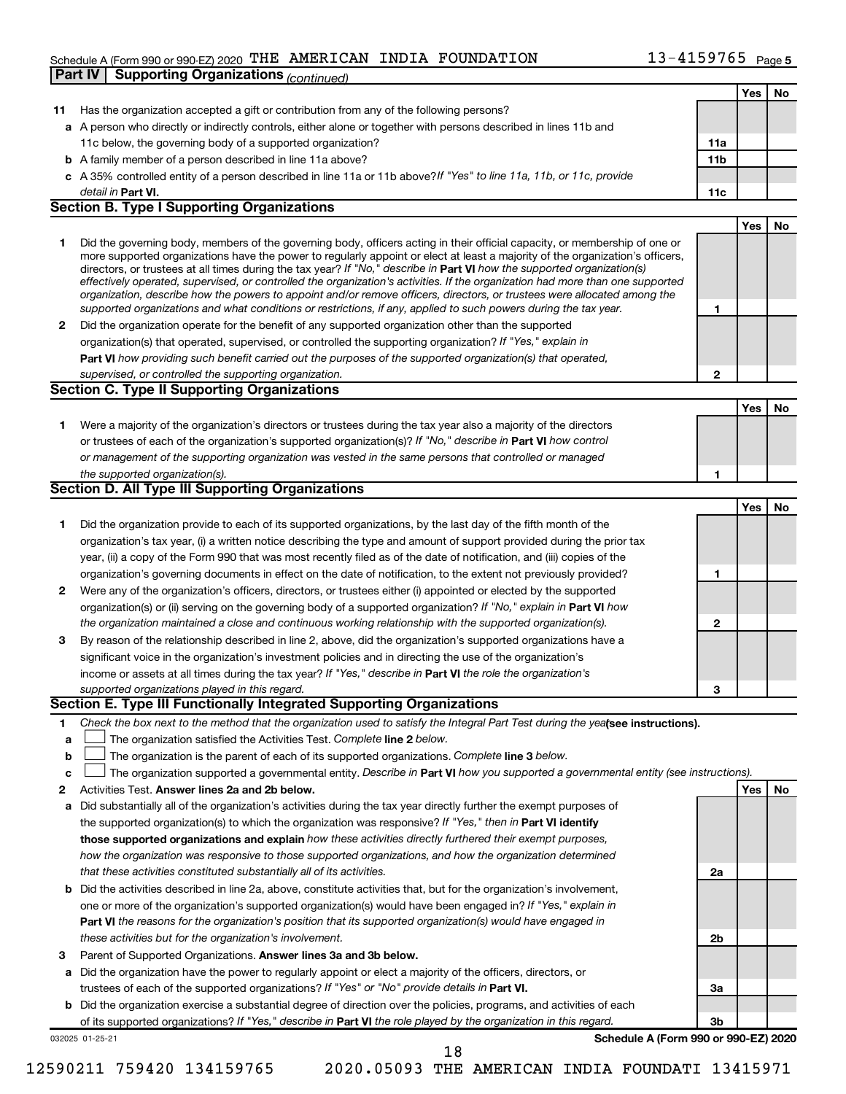#### Schedule A (Form 990 or 990-EZ) 2020 <code>THE AMERICAN INDIA FOUNDATION</code>  $13-4159765$  <code>Page</code> **Part IV Supporting Organizations** *(continued)*

|    |                                                                                                                                                                                                                                                           |                 | Yes        | No |
|----|-----------------------------------------------------------------------------------------------------------------------------------------------------------------------------------------------------------------------------------------------------------|-----------------|------------|----|
| 11 | Has the organization accepted a gift or contribution from any of the following persons?                                                                                                                                                                   |                 |            |    |
|    | a A person who directly or indirectly controls, either alone or together with persons described in lines 11b and                                                                                                                                          |                 |            |    |
|    | 11c below, the governing body of a supported organization?                                                                                                                                                                                                | 11a             |            |    |
|    | <b>b</b> A family member of a person described in line 11a above?                                                                                                                                                                                         | 11 <sub>b</sub> |            |    |
|    | c A 35% controlled entity of a person described in line 11a or 11b above?If "Yes" to line 11a, 11b, or 11c, provide                                                                                                                                       |                 |            |    |
|    | detail in Part VI.                                                                                                                                                                                                                                        | 11c             |            |    |
|    | <b>Section B. Type I Supporting Organizations</b>                                                                                                                                                                                                         |                 |            |    |
|    |                                                                                                                                                                                                                                                           |                 | Yes        | No |
| 1. | Did the governing body, members of the governing body, officers acting in their official capacity, or membership of one or                                                                                                                                |                 |            |    |
|    | more supported organizations have the power to regularly appoint or elect at least a majority of the organization's officers,                                                                                                                             |                 |            |    |
|    | directors, or trustees at all times during the tax year? If "No," describe in Part VI how the supported organization(s)<br>effectively operated, supervised, or controlled the organization's activities. If the organization had more than one supported |                 |            |    |
|    | organization, describe how the powers to appoint and/or remove officers, directors, or trustees were allocated among the                                                                                                                                  |                 |            |    |
|    | supported organizations and what conditions or restrictions, if any, applied to such powers during the tax year.                                                                                                                                          | 1               |            |    |
| 2  | Did the organization operate for the benefit of any supported organization other than the supported                                                                                                                                                       |                 |            |    |
|    | organization(s) that operated, supervised, or controlled the supporting organization? If "Yes," explain in                                                                                                                                                |                 |            |    |
|    | Part VI how providing such benefit carried out the purposes of the supported organization(s) that operated,                                                                                                                                               |                 |            |    |
|    | supervised, or controlled the supporting organization.                                                                                                                                                                                                    | 2               |            |    |
|    | <b>Section C. Type II Supporting Organizations</b>                                                                                                                                                                                                        |                 |            |    |
|    |                                                                                                                                                                                                                                                           |                 | <b>Yes</b> | No |
| 1. | Were a majority of the organization's directors or trustees during the tax year also a majority of the directors                                                                                                                                          |                 |            |    |
|    | or trustees of each of the organization's supported organization(s)? If "No," describe in Part VI how control                                                                                                                                             |                 |            |    |
|    | or management of the supporting organization was vested in the same persons that controlled or managed                                                                                                                                                    |                 |            |    |
|    | the supported organization(s).                                                                                                                                                                                                                            | 1               |            |    |
|    | Section D. All Type III Supporting Organizations                                                                                                                                                                                                          |                 |            |    |
|    |                                                                                                                                                                                                                                                           |                 | <b>Yes</b> | No |
| 1. | Did the organization provide to each of its supported organizations, by the last day of the fifth month of the                                                                                                                                            |                 |            |    |
|    | organization's tax year, (i) a written notice describing the type and amount of support provided during the prior tax                                                                                                                                     |                 |            |    |
|    | year, (ii) a copy of the Form 990 that was most recently filed as of the date of notification, and (iii) copies of the                                                                                                                                    |                 |            |    |
|    | organization's governing documents in effect on the date of notification, to the extent not previously provided?                                                                                                                                          | 1               |            |    |
| 2  | Were any of the organization's officers, directors, or trustees either (i) appointed or elected by the supported                                                                                                                                          |                 |            |    |
|    | organization(s) or (ii) serving on the governing body of a supported organization? If "No," explain in Part VI how                                                                                                                                        |                 |            |    |
|    | the organization maintained a close and continuous working relationship with the supported organization(s).                                                                                                                                               | 2               |            |    |
| 3  | By reason of the relationship described in line 2, above, did the organization's supported organizations have a                                                                                                                                           |                 |            |    |
|    | significant voice in the organization's investment policies and in directing the use of the organization's                                                                                                                                                |                 |            |    |
|    | income or assets at all times during the tax year? If "Yes," describe in Part VI the role the organization's                                                                                                                                              |                 |            |    |
|    | supported organizations played in this regard.                                                                                                                                                                                                            | 3               |            |    |
|    | Section E. Type III Functionally Integrated Supporting Organizations                                                                                                                                                                                      |                 |            |    |
| 1  | Check the box next to the method that the organization used to satisfy the Integral Part Test during the yealsee instructions).                                                                                                                           |                 |            |    |
| a  | The organization satisfied the Activities Test. Complete line 2 below.                                                                                                                                                                                    |                 |            |    |
| b  | The organization is the parent of each of its supported organizations. Complete line 3 below.                                                                                                                                                             |                 |            |    |
| c  | The organization supported a governmental entity. Describe in Part VI how you supported a governmental entity (see instructions).                                                                                                                         |                 |            |    |
| 2  | Activities Test. Answer lines 2a and 2b below.                                                                                                                                                                                                            |                 | Yes        | No |
| а  | Did substantially all of the organization's activities during the tax year directly further the exempt purposes of                                                                                                                                        |                 |            |    |
|    | the supported organization(s) to which the organization was responsive? If "Yes," then in Part VI identify                                                                                                                                                |                 |            |    |
|    | those supported organizations and explain how these activities directly furthered their exempt purposes,                                                                                                                                                  |                 |            |    |
|    | how the organization was responsive to those supported organizations, and how the organization determined                                                                                                                                                 |                 |            |    |
|    | that these activities constituted substantially all of its activities.                                                                                                                                                                                    | 2a              |            |    |
| b  | Did the activities described in line 2a, above, constitute activities that, but for the organization's involvement,                                                                                                                                       |                 |            |    |
|    | one or more of the organization's supported organization(s) would have been engaged in? If "Yes," explain in                                                                                                                                              |                 |            |    |
|    | <b>Part VI</b> the reasons for the organization's position that its supported organization(s) would have engaged in                                                                                                                                       |                 |            |    |
|    | these activities but for the organization's involvement.                                                                                                                                                                                                  | 2b              |            |    |
| 3  | Parent of Supported Organizations. Answer lines 3a and 3b below.                                                                                                                                                                                          |                 |            |    |
| а  | Did the organization have the power to regularly appoint or elect a majority of the officers, directors, or                                                                                                                                               |                 |            |    |
|    | trustees of each of the supported organizations? If "Yes" or "No" provide details in Part VI.                                                                                                                                                             | За              |            |    |
|    | <b>b</b> Did the organization exercise a substantial degree of direction over the policies, programs, and activities of each                                                                                                                              |                 |            |    |
|    | of its supported organizations? If "Yes," describe in Part VI the role played by the organization in this regard.                                                                                                                                         | Зb              |            |    |
|    | Schedule A (Form 990 or 990-EZ) 2020<br>032025 01-25-21                                                                                                                                                                                                   |                 |            |    |
|    | 18                                                                                                                                                                                                                                                        |                 |            |    |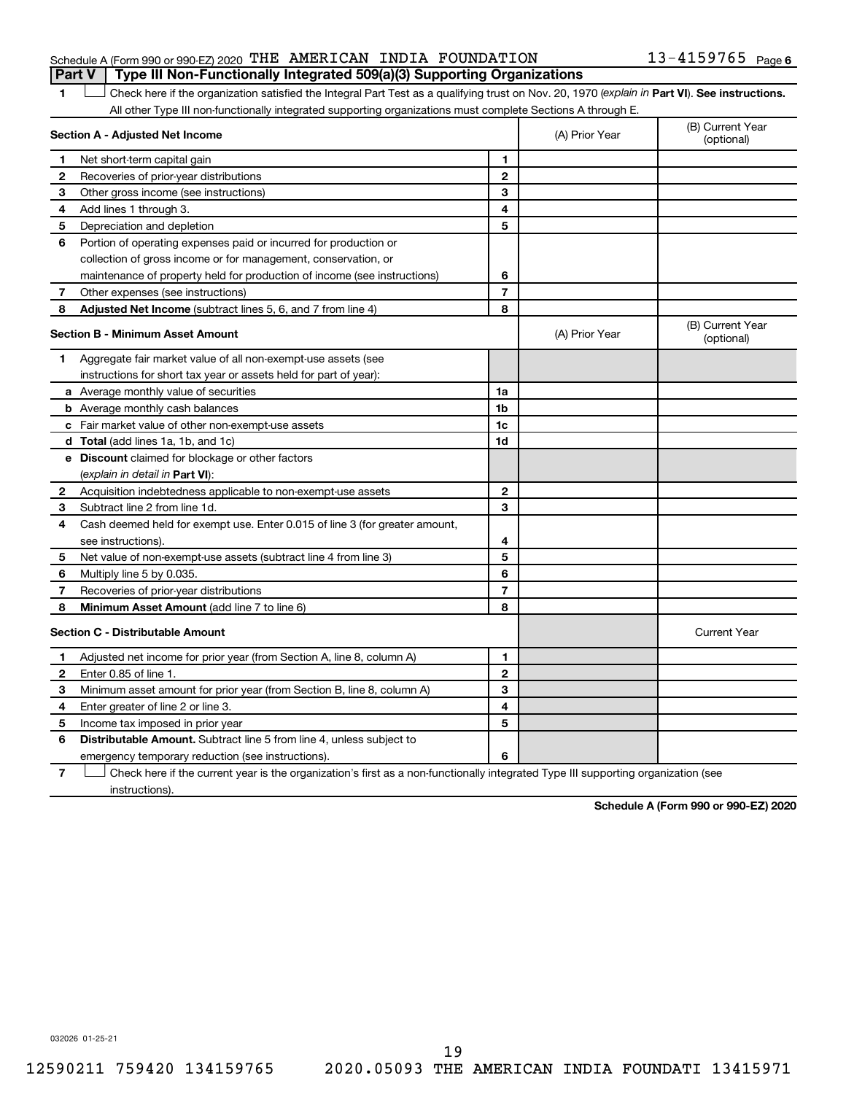#### Schedule A (Form 990 or 990-EZ) 2020 <code>THE AMERICAN INDIA FOUNDATION</code>  $13-4159765$  <code>Page</code> **Part V Type III Non-Functionally Integrated 509(a)(3) Supporting Organizations**

#### 13-4159765 Page 6

1 **Letter See instructions.** Check here if the organization satisfied the Integral Part Test as a qualifying trust on Nov. 20, 1970 (*explain in* Part **VI**). See instructions. All other Type III non-functionally integrated supporting organizations must complete Sections A through E.

|              | Section A - Adjusted Net Income                                             |                | (A) Prior Year | (B) Current Year<br>(optional) |
|--------------|-----------------------------------------------------------------------------|----------------|----------------|--------------------------------|
| 1            | Net short-term capital gain                                                 | 1              |                |                                |
| 2            | Recoveries of prior-year distributions                                      | $\mathbf{2}$   |                |                                |
| З            | Other gross income (see instructions)                                       | 3              |                |                                |
| 4            | Add lines 1 through 3.                                                      | 4              |                |                                |
| 5            | Depreciation and depletion                                                  | 5              |                |                                |
| 6            | Portion of operating expenses paid or incurred for production or            |                |                |                                |
|              | collection of gross income or for management, conservation, or              |                |                |                                |
|              | maintenance of property held for production of income (see instructions)    | 6              |                |                                |
| 7            | Other expenses (see instructions)                                           | $\overline{7}$ |                |                                |
| 8            | Adjusted Net Income (subtract lines 5, 6, and 7 from line 4)                | 8              |                |                                |
|              | <b>Section B - Minimum Asset Amount</b>                                     |                | (A) Prior Year | (B) Current Year<br>(optional) |
| 1.           | Aggregate fair market value of all non-exempt-use assets (see               |                |                |                                |
|              | instructions for short tax year or assets held for part of year):           |                |                |                                |
|              | a Average monthly value of securities                                       | 1a             |                |                                |
|              | <b>b</b> Average monthly cash balances                                      | 1 <sub>b</sub> |                |                                |
|              | <b>c</b> Fair market value of other non-exempt-use assets                   | 1c             |                |                                |
|              | d Total (add lines 1a, 1b, and 1c)                                          | 1 <sub>d</sub> |                |                                |
|              | e Discount claimed for blockage or other factors                            |                |                |                                |
|              | (explain in detail in Part VI):                                             |                |                |                                |
| $\mathbf{2}$ | Acquisition indebtedness applicable to non-exempt-use assets                | $\mathbf{2}$   |                |                                |
| 3            | Subtract line 2 from line 1d.                                               | 3              |                |                                |
| 4            | Cash deemed held for exempt use. Enter 0.015 of line 3 (for greater amount, |                |                |                                |
|              | see instructions).                                                          | 4              |                |                                |
| 5            | Net value of non-exempt-use assets (subtract line 4 from line 3)            | 5              |                |                                |
| 6            | Multiply line 5 by 0.035.                                                   | 6              |                |                                |
| 7            | Recoveries of prior-year distributions                                      | $\overline{7}$ |                |                                |
| 8            | Minimum Asset Amount (add line 7 to line 6)                                 | 8              |                |                                |
|              | <b>Section C - Distributable Amount</b>                                     |                |                | <b>Current Year</b>            |
| 1            | Adjusted net income for prior year (from Section A, line 8, column A)       | 1              |                |                                |
| 2            | Enter 0.85 of line 1.                                                       | $\mathbf{2}$   |                |                                |
| З            | Minimum asset amount for prior year (from Section B, line 8, column A)      | 3              |                |                                |
| 4            | Enter greater of line 2 or line 3.                                          | 4              |                |                                |
| 5            | Income tax imposed in prior year                                            | 5              |                |                                |
| 6            | <b>Distributable Amount.</b> Subtract line 5 from line 4, unless subject to |                |                |                                |
|              | emergency temporary reduction (see instructions).                           | 6              |                |                                |
|              |                                                                             |                |                |                                |

**7** Check here if the current year is the organization's first as a non-functionally integrated Type III supporting organization (see † instructions).

**Schedule A (Form 990 or 990-EZ) 2020**

032026 01-25-21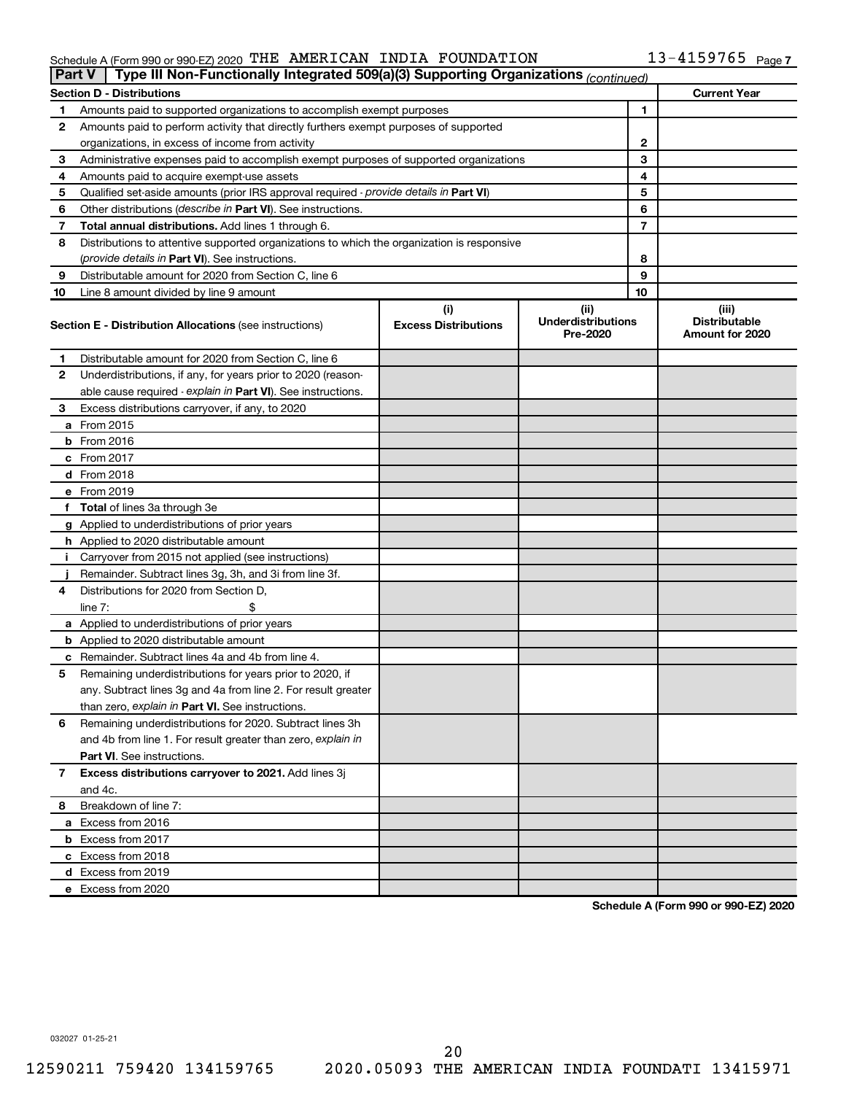#### Schedule A (Form 990 or 990-EZ) 2020 'I'HE' AMERICAN INDIA FOUNDATION FOR RESERVENTION THE AMERICAN INDIA FOUNDATION 13-4159765

| Part V | Type III Non-Functionally Integrated 509(a)(3) Supporting Organizations (continued)        |                                    |                                               |    |                                                  |
|--------|--------------------------------------------------------------------------------------------|------------------------------------|-----------------------------------------------|----|--------------------------------------------------|
|        | <b>Section D - Distributions</b>                                                           |                                    |                                               |    | <b>Current Year</b>                              |
| 1      | Amounts paid to supported organizations to accomplish exempt purposes                      |                                    |                                               | 1  |                                                  |
| 2      | Amounts paid to perform activity that directly furthers exempt purposes of supported       |                                    |                                               |    |                                                  |
|        | organizations, in excess of income from activity                                           |                                    |                                               | 2  |                                                  |
| 3      | Administrative expenses paid to accomplish exempt purposes of supported organizations      |                                    |                                               | 3  |                                                  |
| 4      | Amounts paid to acquire exempt-use assets                                                  |                                    |                                               | 4  |                                                  |
| 5      | Qualified set-aside amounts (prior IRS approval required - provide details in Part VI)     |                                    | 5                                             |    |                                                  |
| 6      | Other distributions (describe in Part VI). See instructions.                               |                                    |                                               | 6  |                                                  |
| 7      | Total annual distributions. Add lines 1 through 6.                                         |                                    |                                               | 7  |                                                  |
| 8      | Distributions to attentive supported organizations to which the organization is responsive |                                    |                                               |    |                                                  |
|        | ( <i>provide details in Part VI</i> ). See instructions.                                   |                                    |                                               | 8  |                                                  |
| 9      | Distributable amount for 2020 from Section C, line 6                                       |                                    |                                               | 9  |                                                  |
| 10     | Line 8 amount divided by line 9 amount                                                     |                                    |                                               | 10 |                                                  |
|        | <b>Section E - Distribution Allocations (see instructions)</b>                             | (i)<br><b>Excess Distributions</b> | (ii)<br><b>Underdistributions</b><br>Pre-2020 |    | (iii)<br><b>Distributable</b><br>Amount for 2020 |
| 1      | Distributable amount for 2020 from Section C, line 6                                       |                                    |                                               |    |                                                  |
| 2      | Underdistributions, if any, for years prior to 2020 (reason-                               |                                    |                                               |    |                                                  |
|        | able cause required - explain in Part VI). See instructions.                               |                                    |                                               |    |                                                  |
| З      | Excess distributions carryover, if any, to 2020                                            |                                    |                                               |    |                                                  |
|        | a From 2015                                                                                |                                    |                                               |    |                                                  |
|        | $b$ From 2016                                                                              |                                    |                                               |    |                                                  |
|        | c From 2017                                                                                |                                    |                                               |    |                                                  |
|        | <b>d</b> From 2018                                                                         |                                    |                                               |    |                                                  |
|        | e From 2019                                                                                |                                    |                                               |    |                                                  |
|        | f Total of lines 3a through 3e                                                             |                                    |                                               |    |                                                  |
|        | g Applied to underdistributions of prior years                                             |                                    |                                               |    |                                                  |
|        | <b>h</b> Applied to 2020 distributable amount                                              |                                    |                                               |    |                                                  |
| Ť.     | Carryover from 2015 not applied (see instructions)                                         |                                    |                                               |    |                                                  |
|        | Remainder. Subtract lines 3g, 3h, and 3i from line 3f.                                     |                                    |                                               |    |                                                  |
| 4      | Distributions for 2020 from Section D,                                                     |                                    |                                               |    |                                                  |
|        | line $7:$                                                                                  |                                    |                                               |    |                                                  |
|        | a Applied to underdistributions of prior years                                             |                                    |                                               |    |                                                  |
|        | <b>b</b> Applied to 2020 distributable amount                                              |                                    |                                               |    |                                                  |
|        | c Remainder. Subtract lines 4a and 4b from line 4.                                         |                                    |                                               |    |                                                  |
| 5      | Remaining underdistributions for years prior to 2020, if                                   |                                    |                                               |    |                                                  |
|        | any. Subtract lines 3g and 4a from line 2. For result greater                              |                                    |                                               |    |                                                  |
|        | than zero, explain in Part VI. See instructions.                                           |                                    |                                               |    |                                                  |
| 6      | Remaining underdistributions for 2020. Subtract lines 3h                                   |                                    |                                               |    |                                                  |
|        | and 4b from line 1. For result greater than zero, explain in                               |                                    |                                               |    |                                                  |
|        | <b>Part VI.</b> See instructions.                                                          |                                    |                                               |    |                                                  |
| 7      | Excess distributions carryover to 2021. Add lines 3j                                       |                                    |                                               |    |                                                  |
|        | and 4c.                                                                                    |                                    |                                               |    |                                                  |
| 8      | Breakdown of line 7:                                                                       |                                    |                                               |    |                                                  |
|        | a Excess from 2016                                                                         |                                    |                                               |    |                                                  |
|        | <b>b</b> Excess from 2017                                                                  |                                    |                                               |    |                                                  |
|        | c Excess from 2018                                                                         |                                    |                                               |    |                                                  |
|        | d Excess from 2019                                                                         |                                    |                                               |    |                                                  |
|        | e Excess from 2020                                                                         |                                    |                                               |    |                                                  |

**Schedule A (Form 990 or 990-EZ) 2020**

032027 01-25-21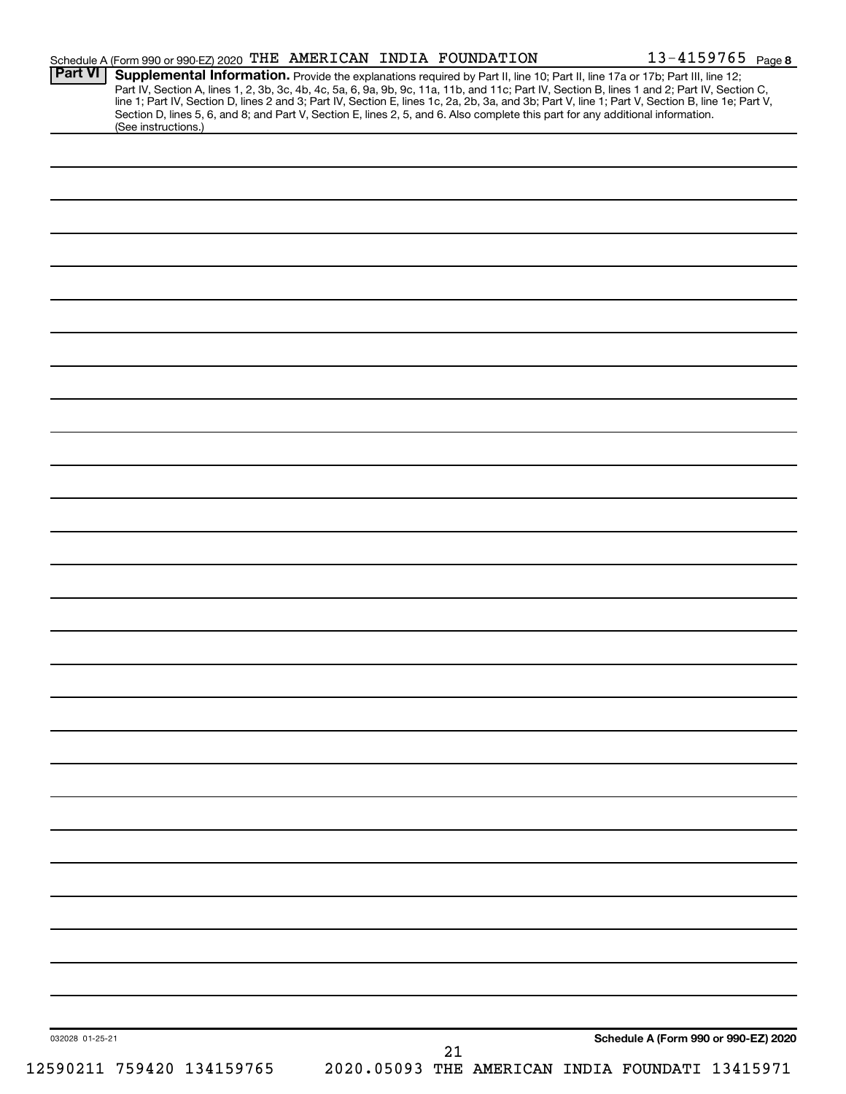| <b>Part VI</b>  | Schedule A (Form 990 or 990-EZ) 2020 THE AMERICAN INDIA FOUNDATION                                                                                                                                                                                                                                                                                                                                                                |  |    |  | $13 - 4159765$ Page 8                |  |
|-----------------|-----------------------------------------------------------------------------------------------------------------------------------------------------------------------------------------------------------------------------------------------------------------------------------------------------------------------------------------------------------------------------------------------------------------------------------|--|----|--|--------------------------------------|--|
|                 | Supplemental Information. Provide the explanations required by Part II, line 10; Part II, line 17a or 17b; Part III, line 12;<br>Part IV, Section A, lines 1, 2, 3b, 3c, 4b, 4c, 5a, 6, 9a, 9b, 9c, 11a, 11b, and 11c; Part IV, Section B, lines 1 and 2; Part IV, Section C,<br>line 1; Part IV, Section D, lines 2 and 3; Part IV, Section E, lines 1c, 2a, 2b, 3a, and 3b; Part V, line 1; Part V, Section B, line 1e; Part V, |  |    |  |                                      |  |
|                 | Section D, lines 5, 6, and 8; and Part V, Section E, lines 2, 5, and 6. Also complete this part for any additional information.<br>(See instructions.)                                                                                                                                                                                                                                                                            |  |    |  |                                      |  |
|                 |                                                                                                                                                                                                                                                                                                                                                                                                                                   |  |    |  |                                      |  |
|                 |                                                                                                                                                                                                                                                                                                                                                                                                                                   |  |    |  |                                      |  |
|                 |                                                                                                                                                                                                                                                                                                                                                                                                                                   |  |    |  |                                      |  |
|                 |                                                                                                                                                                                                                                                                                                                                                                                                                                   |  |    |  |                                      |  |
|                 |                                                                                                                                                                                                                                                                                                                                                                                                                                   |  |    |  |                                      |  |
|                 |                                                                                                                                                                                                                                                                                                                                                                                                                                   |  |    |  |                                      |  |
|                 |                                                                                                                                                                                                                                                                                                                                                                                                                                   |  |    |  |                                      |  |
|                 |                                                                                                                                                                                                                                                                                                                                                                                                                                   |  |    |  |                                      |  |
|                 |                                                                                                                                                                                                                                                                                                                                                                                                                                   |  |    |  |                                      |  |
|                 |                                                                                                                                                                                                                                                                                                                                                                                                                                   |  |    |  |                                      |  |
|                 |                                                                                                                                                                                                                                                                                                                                                                                                                                   |  |    |  |                                      |  |
|                 |                                                                                                                                                                                                                                                                                                                                                                                                                                   |  |    |  |                                      |  |
|                 |                                                                                                                                                                                                                                                                                                                                                                                                                                   |  |    |  |                                      |  |
|                 |                                                                                                                                                                                                                                                                                                                                                                                                                                   |  |    |  |                                      |  |
|                 |                                                                                                                                                                                                                                                                                                                                                                                                                                   |  |    |  |                                      |  |
|                 |                                                                                                                                                                                                                                                                                                                                                                                                                                   |  |    |  |                                      |  |
|                 |                                                                                                                                                                                                                                                                                                                                                                                                                                   |  |    |  |                                      |  |
|                 |                                                                                                                                                                                                                                                                                                                                                                                                                                   |  |    |  |                                      |  |
|                 |                                                                                                                                                                                                                                                                                                                                                                                                                                   |  |    |  |                                      |  |
|                 |                                                                                                                                                                                                                                                                                                                                                                                                                                   |  |    |  |                                      |  |
|                 |                                                                                                                                                                                                                                                                                                                                                                                                                                   |  |    |  |                                      |  |
|                 |                                                                                                                                                                                                                                                                                                                                                                                                                                   |  |    |  |                                      |  |
|                 |                                                                                                                                                                                                                                                                                                                                                                                                                                   |  |    |  |                                      |  |
|                 |                                                                                                                                                                                                                                                                                                                                                                                                                                   |  |    |  |                                      |  |
|                 |                                                                                                                                                                                                                                                                                                                                                                                                                                   |  |    |  |                                      |  |
|                 |                                                                                                                                                                                                                                                                                                                                                                                                                                   |  |    |  |                                      |  |
|                 |                                                                                                                                                                                                                                                                                                                                                                                                                                   |  |    |  |                                      |  |
|                 |                                                                                                                                                                                                                                                                                                                                                                                                                                   |  |    |  |                                      |  |
|                 |                                                                                                                                                                                                                                                                                                                                                                                                                                   |  |    |  |                                      |  |
|                 |                                                                                                                                                                                                                                                                                                                                                                                                                                   |  |    |  |                                      |  |
|                 |                                                                                                                                                                                                                                                                                                                                                                                                                                   |  |    |  |                                      |  |
|                 |                                                                                                                                                                                                                                                                                                                                                                                                                                   |  |    |  |                                      |  |
|                 |                                                                                                                                                                                                                                                                                                                                                                                                                                   |  |    |  |                                      |  |
|                 |                                                                                                                                                                                                                                                                                                                                                                                                                                   |  |    |  |                                      |  |
|                 |                                                                                                                                                                                                                                                                                                                                                                                                                                   |  |    |  |                                      |  |
|                 |                                                                                                                                                                                                                                                                                                                                                                                                                                   |  |    |  |                                      |  |
|                 |                                                                                                                                                                                                                                                                                                                                                                                                                                   |  |    |  |                                      |  |
|                 |                                                                                                                                                                                                                                                                                                                                                                                                                                   |  |    |  |                                      |  |
|                 |                                                                                                                                                                                                                                                                                                                                                                                                                                   |  |    |  |                                      |  |
| 032028 01-25-21 |                                                                                                                                                                                                                                                                                                                                                                                                                                   |  |    |  | Schedule A (Form 990 or 990-EZ) 2020 |  |
|                 |                                                                                                                                                                                                                                                                                                                                                                                                                                   |  | 21 |  |                                      |  |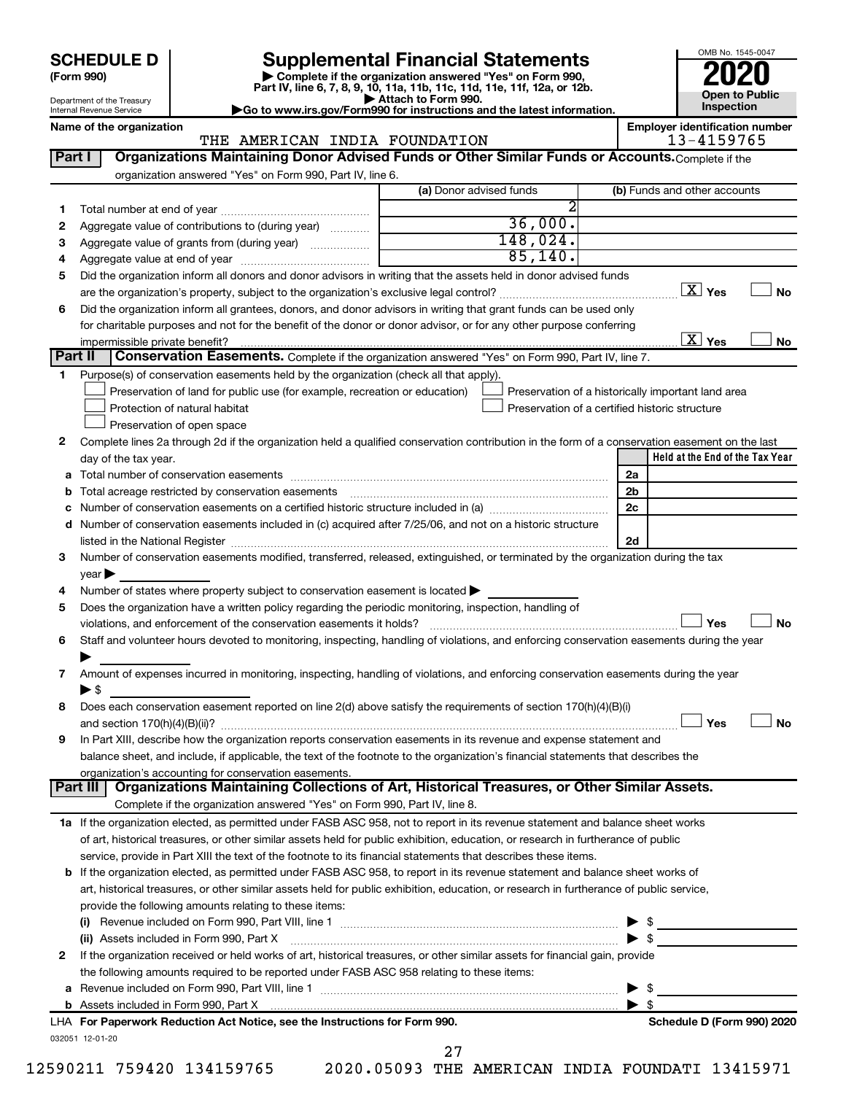# **SCHEDULE D Supplemental Financial Statements**<br> **Form 990 2020**<br> **Part IV** line 6.7.8.9.10, 11a, 11b, 11d, 11d, 11d, 11d, 11d, 12a, 0r, 12b

**(Form 990) | Complete if the organization answered "Yes" on Form 990, Part IV, line 6, 7, 8, 9, 10, 11a, 11b, 11c, 11d, 11e, 11f, 12a, or 12b.**

**| Attach to Form 990. |Go to www.irs.gov/Form990 for instructions and the latest information.**



Department of the Treasury Internal Revenue Service **Name of the organization Employer identification number**

#### THE AMERICAN INDIA FOUNDATION 13-4159765

|             |                                                                                                                                                                                                                                | (a) Donor advised funds | (b) Funds and other accounts                       |
|-------------|--------------------------------------------------------------------------------------------------------------------------------------------------------------------------------------------------------------------------------|-------------------------|----------------------------------------------------|
| 1           |                                                                                                                                                                                                                                |                         |                                                    |
| 2           | Aggregate value of contributions to (during year)                                                                                                                                                                              | 36,000.                 |                                                    |
| 3           | Aggregate value of grants from (during year)                                                                                                                                                                                   | 148,024.                |                                                    |
| 4           |                                                                                                                                                                                                                                | 85,140.                 |                                                    |
| 5           | Did the organization inform all donors and donor advisors in writing that the assets held in donor advised funds                                                                                                               |                         |                                                    |
|             |                                                                                                                                                                                                                                |                         | $\boxed{\text{X}}$ Yes                             |
| 6           | Did the organization inform all grantees, donors, and donor advisors in writing that grant funds can be used only                                                                                                              |                         |                                                    |
|             | for charitable purposes and not for the benefit of the donor or donor advisor, or for any other purpose conferring                                                                                                             |                         |                                                    |
|             |                                                                                                                                                                                                                                |                         | $\overline{\text{X}}$ Yes                          |
|             | Part II<br>Conservation Easements. Complete if the organization answered "Yes" on Form 990, Part IV, line 7.                                                                                                                   |                         |                                                    |
| 1.          | Purpose(s) of conservation easements held by the organization (check all that apply).                                                                                                                                          |                         |                                                    |
|             | Preservation of land for public use (for example, recreation or education)                                                                                                                                                     |                         | Preservation of a historically important land area |
|             | Protection of natural habitat                                                                                                                                                                                                  |                         | Preservation of a certified historic structure     |
|             | Preservation of open space                                                                                                                                                                                                     |                         |                                                    |
| 2           | Complete lines 2a through 2d if the organization held a qualified conservation contribution in the form of a conservation easement on the last                                                                                 |                         |                                                    |
|             | day of the tax year.                                                                                                                                                                                                           |                         | Held at the End of the Tax Year                    |
| а           |                                                                                                                                                                                                                                |                         | 2a                                                 |
|             |                                                                                                                                                                                                                                |                         | 2 <sub>b</sub>                                     |
|             |                                                                                                                                                                                                                                |                         | 2c                                                 |
| d           | Number of conservation easements included in (c) acquired after 7/25/06, and not on a historic structure                                                                                                                       |                         |                                                    |
|             | listed in the National Register [1111] listed in the National Register [111] listed in the National Register [11] listed in the National Register [11] listed in the National Register [11] listed in the National Register [1 |                         | 2d                                                 |
| 3           | Number of conservation easements modified, transferred, released, extinguished, or terminated by the organization during the tax                                                                                               |                         |                                                    |
|             | $year \blacktriangleright$                                                                                                                                                                                                     |                         |                                                    |
|             | Number of states where property subject to conservation easement is located >                                                                                                                                                  |                         |                                                    |
|             |                                                                                                                                                                                                                                |                         |                                                    |
|             |                                                                                                                                                                                                                                |                         |                                                    |
|             | Does the organization have a written policy regarding the periodic monitoring, inspection, handling of                                                                                                                         |                         |                                                    |
|             |                                                                                                                                                                                                                                |                         | Yes                                                |
|             | Staff and volunteer hours devoted to monitoring, inspecting, handling of violations, and enforcing conservation easements during the year                                                                                      |                         |                                                    |
| 4<br>5<br>6 |                                                                                                                                                                                                                                |                         |                                                    |
| 7           | Amount of expenses incurred in monitoring, inspecting, handling of violations, and enforcing conservation easements during the year                                                                                            |                         |                                                    |
|             | $\blacktriangleright$ s                                                                                                                                                                                                        |                         |                                                    |
|             | Does each conservation easement reported on line 2(d) above satisfy the requirements of section 170(h)(4)(B)(i)                                                                                                                |                         |                                                    |
|             |                                                                                                                                                                                                                                |                         | Yes                                                |
|             | In Part XIII, describe how the organization reports conservation easements in its revenue and expense statement and                                                                                                            |                         |                                                    |
|             | balance sheet, and include, if applicable, the text of the footnote to the organization's financial statements that describes the                                                                                              |                         |                                                    |
|             | organization's accounting for conservation easements.                                                                                                                                                                          |                         |                                                    |
|             | Organizations Maintaining Collections of Art, Historical Treasures, or Other Similar Assets.<br>Part III                                                                                                                       |                         |                                                    |
|             | Complete if the organization answered "Yes" on Form 990, Part IV, line 8.                                                                                                                                                      |                         |                                                    |
|             | 1a If the organization elected, as permitted under FASB ASC 958, not to report in its revenue statement and balance sheet works                                                                                                |                         |                                                    |
|             | of art, historical treasures, or other similar assets held for public exhibition, education, or research in furtherance of public                                                                                              |                         |                                                    |
|             | service, provide in Part XIII the text of the footnote to its financial statements that describes these items.                                                                                                                 |                         |                                                    |
|             | b If the organization elected, as permitted under FASB ASC 958, to report in its revenue statement and balance sheet works of                                                                                                  |                         |                                                    |
|             | art, historical treasures, or other similar assets held for public exhibition, education, or research in furtherance of public service,                                                                                        |                         |                                                    |
|             | provide the following amounts relating to these items:                                                                                                                                                                         |                         |                                                    |
|             |                                                                                                                                                                                                                                |                         |                                                    |
|             | (ii) Assets included in Form 990, Part X                                                                                                                                                                                       | $\bullet$               |                                                    |
|             | If the organization received or held works of art, historical treasures, or other similar assets for financial gain, provide                                                                                                   |                         |                                                    |
| 8<br>9<br>2 | the following amounts required to be reported under FASB ASC 958 relating to these items:                                                                                                                                      |                         |                                                    |
| а           |                                                                                                                                                                                                                                |                         | - \$                                               |
|             |                                                                                                                                                                                                                                |                         |                                                    |
|             | LHA For Paperwork Reduction Act Notice, see the Instructions for Form 990.                                                                                                                                                     |                         | Schedule D (Form 990) 2020                         |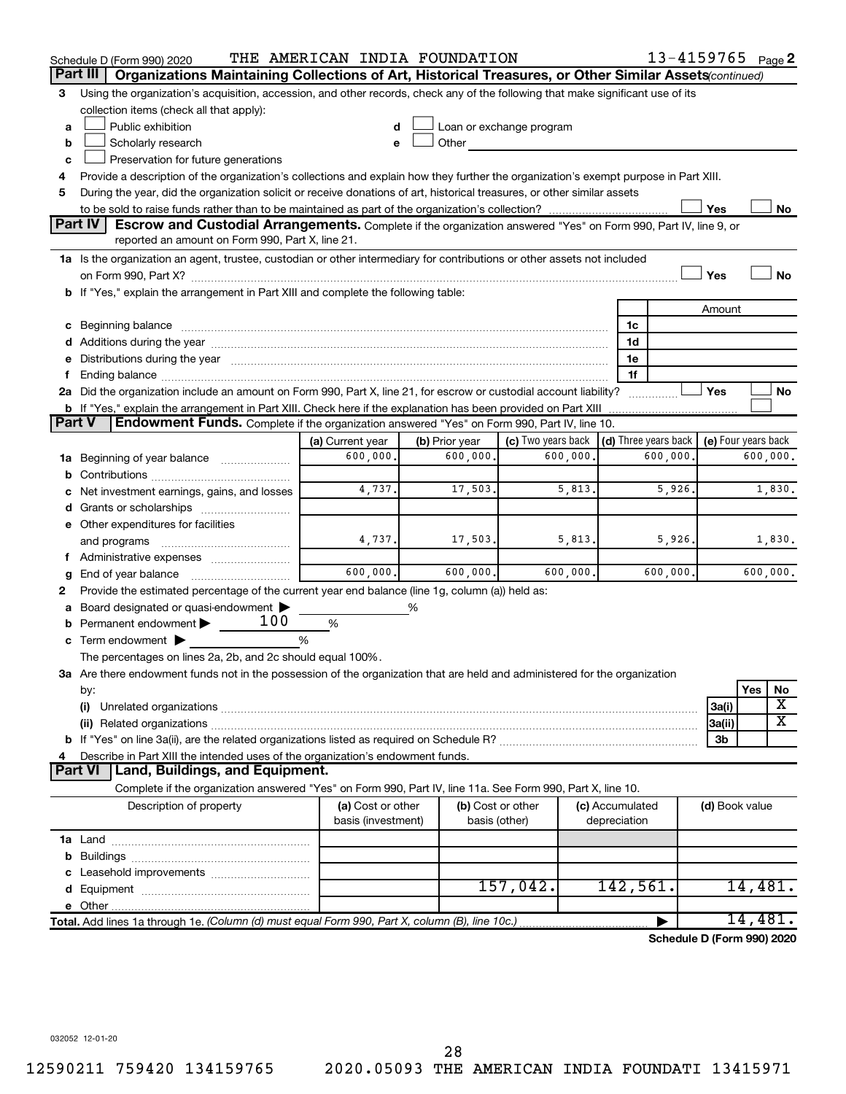|        | Schedule D (Form 990) 2020                                                                                                                                                                                                     | THE AMERICAN INDIA FOUNDATION |                |                          |              |                      | 13-4159765 Page 2          |         |                         |
|--------|--------------------------------------------------------------------------------------------------------------------------------------------------------------------------------------------------------------------------------|-------------------------------|----------------|--------------------------|--------------|----------------------|----------------------------|---------|-------------------------|
|        | Organizations Maintaining Collections of Art, Historical Treasures, or Other Similar Assets (continued)<br>Part III                                                                                                            |                               |                |                          |              |                      |                            |         |                         |
| 3      | Using the organization's acquisition, accession, and other records, check any of the following that make significant use of its                                                                                                |                               |                |                          |              |                      |                            |         |                         |
|        | collection items (check all that apply):                                                                                                                                                                                       |                               |                |                          |              |                      |                            |         |                         |
| a      | Public exhibition                                                                                                                                                                                                              |                               |                | Loan or exchange program |              |                      |                            |         |                         |
| b      | Scholarly research                                                                                                                                                                                                             |                               | Other          |                          |              |                      |                            |         |                         |
| c      | Preservation for future generations                                                                                                                                                                                            |                               |                |                          |              |                      |                            |         |                         |
| 4      | Provide a description of the organization's collections and explain how they further the organization's exempt purpose in Part XIII.                                                                                           |                               |                |                          |              |                      |                            |         |                         |
| 5      | During the year, did the organization solicit or receive donations of art, historical treasures, or other similar assets                                                                                                       |                               |                |                          |              |                      |                            |         |                         |
|        |                                                                                                                                                                                                                                |                               |                |                          |              |                      | Yes                        |         | No                      |
|        | Part IV<br><b>Escrow and Custodial Arrangements.</b> Complete if the organization answered "Yes" on Form 990, Part IV, line 9, or                                                                                              |                               |                |                          |              |                      |                            |         |                         |
|        | reported an amount on Form 990, Part X, line 21.                                                                                                                                                                               |                               |                |                          |              |                      |                            |         |                         |
|        | 1a Is the organization an agent, trustee, custodian or other intermediary for contributions or other assets not included                                                                                                       |                               |                |                          |              |                      |                            |         |                         |
|        |                                                                                                                                                                                                                                |                               |                |                          |              |                      | Yes                        |         | <b>No</b>               |
|        | b If "Yes," explain the arrangement in Part XIII and complete the following table:                                                                                                                                             |                               |                |                          |              |                      |                            |         |                         |
|        |                                                                                                                                                                                                                                |                               |                |                          |              |                      | Amount                     |         |                         |
|        | c Beginning balance measurements and the contract of the contract of the contract of the contract of the contract of the contract of the contract of the contract of the contract of the contract of the contract of the contr |                               |                |                          |              | 1c                   |                            |         |                         |
|        |                                                                                                                                                                                                                                |                               |                |                          |              | 1d                   |                            |         |                         |
|        | e Distributions during the year manufactured and an account of the year manufactured and account of the year manufactured and account of the state of the state of the state of the state of the state of the state of the sta |                               |                |                          |              | 1е<br>1f             |                            |         |                         |
| f.     | 2a Did the organization include an amount on Form 990, Part X, line 21, for escrow or custodial account liability?                                                                                                             |                               |                |                          |              |                      | Yes                        |         | No                      |
|        |                                                                                                                                                                                                                                |                               |                |                          |              |                      |                            |         |                         |
| Part V | <b>Endowment Funds.</b> Complete if the organization answered "Yes" on Form 990, Part IV, line 10.                                                                                                                             |                               |                |                          |              |                      |                            |         |                         |
|        |                                                                                                                                                                                                                                | (a) Current year              | (b) Prior year | (c) Two years back       |              | (d) Three years back | (e) Four years back        |         |                         |
|        | 1a Beginning of year balance                                                                                                                                                                                                   | 600,000.                      | 600,000.       | 600,000.                 |              | 600,000.             |                            |         | 600,000.                |
|        |                                                                                                                                                                                                                                |                               |                |                          |              |                      |                            |         |                         |
|        | c Net investment earnings, gains, and losses                                                                                                                                                                                   | 4,737.                        | 17,503.        | 5,813.                   |              | 5,926.               |                            |         | 1,830.                  |
|        | d Grants or scholarships                                                                                                                                                                                                       |                               |                |                          |              |                      |                            |         |                         |
|        | e Other expenditures for facilities                                                                                                                                                                                            |                               |                |                          |              |                      |                            |         |                         |
|        | and programs                                                                                                                                                                                                                   | 4,737.                        | 17,503.        | 5,813.                   |              | 5,926.               |                            |         | 1,830.                  |
|        | f Administrative expenses                                                                                                                                                                                                      |                               |                |                          |              |                      |                            |         |                         |
| g      |                                                                                                                                                                                                                                | 600,000.                      | 600,000.       | 600,000.                 |              | 600,000.             |                            |         | 600,000.                |
| 2      | Provide the estimated percentage of the current year end balance (line 1g, column (a)) held as:                                                                                                                                |                               |                |                          |              |                      |                            |         |                         |
|        | a Board designated or quasi-endowment >                                                                                                                                                                                        |                               | %              |                          |              |                      |                            |         |                         |
|        | <b>b</b> Permanent endowment $\blacktriangleright$ 100                                                                                                                                                                         | %                             |                |                          |              |                      |                            |         |                         |
|        | c Term endowment $\blacktriangleright$                                                                                                                                                                                         | %                             |                |                          |              |                      |                            |         |                         |
|        | The percentages on lines 2a, 2b, and 2c should equal 100%.                                                                                                                                                                     |                               |                |                          |              |                      |                            |         |                         |
|        | 3a Are there endowment funds not in the possession of the organization that are held and administered for the organization                                                                                                     |                               |                |                          |              |                      |                            |         |                         |
|        | by:                                                                                                                                                                                                                            |                               |                |                          |              |                      |                            | Yes     | No                      |
|        | (i)                                                                                                                                                                                                                            |                               |                |                          |              |                      | 3a(i)                      |         | X                       |
|        | (ii) Related organizations [11] Related organizations [11] Maximum material contract to the contract of the contract of the contract of the contract of the contract of the contract of the contract of the contract of the co |                               |                |                          |              |                      | 3a(ii)                     |         | $\overline{\textbf{X}}$ |
|        |                                                                                                                                                                                                                                |                               |                |                          |              |                      | 3b                         |         |                         |
| 4      | Describe in Part XIII the intended uses of the organization's endowment funds.                                                                                                                                                 |                               |                |                          |              |                      |                            |         |                         |
|        | <b>Part VI</b><br><b>Land, Buildings, and Equipment.</b>                                                                                                                                                                       |                               |                |                          |              |                      |                            |         |                         |
|        | Complete if the organization answered "Yes" on Form 990, Part IV, line 11a. See Form 990, Part X, line 10.                                                                                                                     |                               |                |                          |              |                      |                            |         |                         |
|        | Description of property                                                                                                                                                                                                        | (a) Cost or other             |                | (b) Cost or other        |              | (c) Accumulated      | (d) Book value             |         |                         |
|        |                                                                                                                                                                                                                                | basis (investment)            |                | basis (other)            | depreciation |                      |                            |         |                         |
|        |                                                                                                                                                                                                                                |                               |                |                          |              |                      |                            |         |                         |
|        |                                                                                                                                                                                                                                |                               |                |                          |              |                      |                            |         |                         |
|        |                                                                                                                                                                                                                                |                               |                | 157,042.                 |              | 142,561.             |                            | 14,481. |                         |
|        |                                                                                                                                                                                                                                |                               |                |                          |              |                      |                            |         |                         |
|        | Total. Add lines 1a through 1e. (Column (d) must equal Form 990, Part X, column (B), line 10c.)                                                                                                                                |                               |                |                          |              |                      |                            | 14,481. |                         |
|        |                                                                                                                                                                                                                                |                               |                |                          |              |                      | Schedule D (Form 990) 2020 |         |                         |
|        |                                                                                                                                                                                                                                |                               |                |                          |              |                      |                            |         |                         |

032052 12-01-20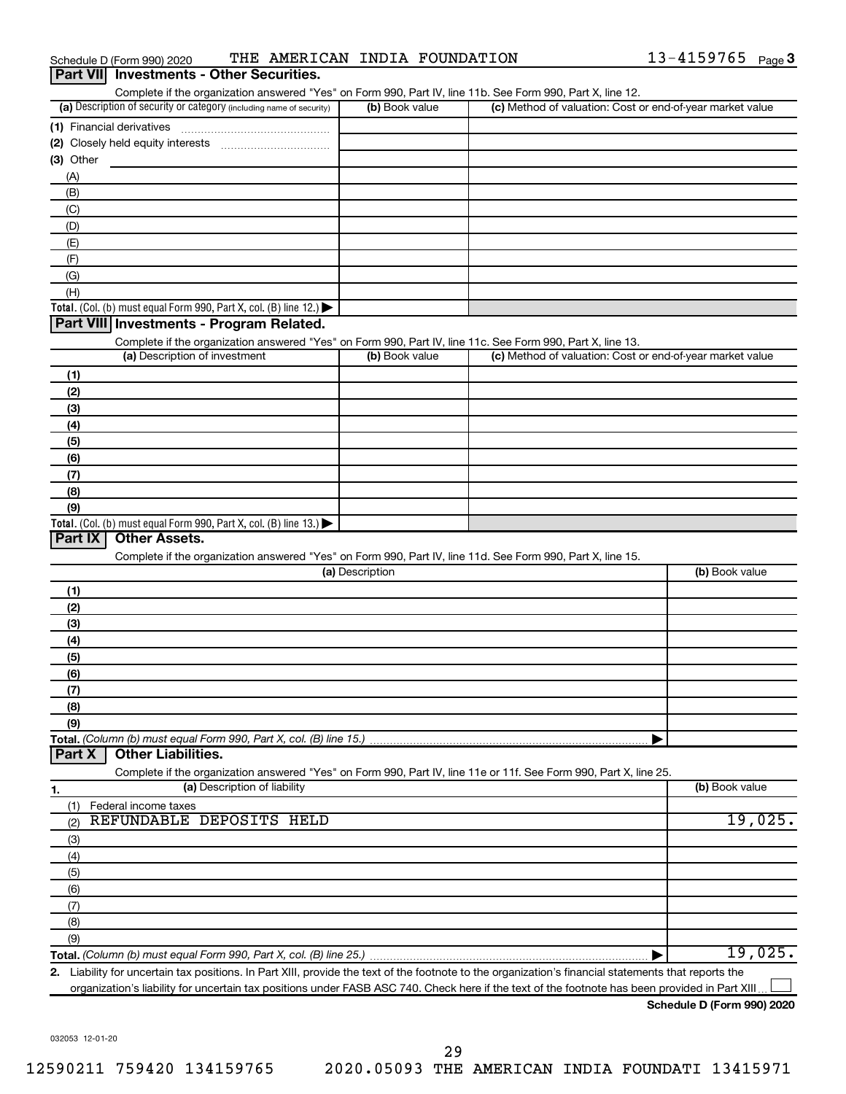| Schedule D (Form 990) 2020 |                                                 |  | THE AMERICAN INDIA FOUNDATION | 13-4159765 | Page $3$ |
|----------------------------|-------------------------------------------------|--|-------------------------------|------------|----------|
|                            | <b>Part VII</b> Investments - Other Securities. |  |                               |            |          |

| Complete if the organization answered "Yes" on Form 990, Part IV, line 11b. See Form 990, Part X, line 12.                                          |                 |                                                           |                |
|-----------------------------------------------------------------------------------------------------------------------------------------------------|-----------------|-----------------------------------------------------------|----------------|
| (a) Description of security or category (including name of security)                                                                                | (b) Book value  | (c) Method of valuation: Cost or end-of-year market value |                |
|                                                                                                                                                     |                 |                                                           |                |
|                                                                                                                                                     |                 |                                                           |                |
| $(3)$ Other                                                                                                                                         |                 |                                                           |                |
| (A)                                                                                                                                                 |                 |                                                           |                |
| (B)                                                                                                                                                 |                 |                                                           |                |
| (C)                                                                                                                                                 |                 |                                                           |                |
| (D)                                                                                                                                                 |                 |                                                           |                |
| (E)                                                                                                                                                 |                 |                                                           |                |
| (F)                                                                                                                                                 |                 |                                                           |                |
| (G)                                                                                                                                                 |                 |                                                           |                |
| (H)                                                                                                                                                 |                 |                                                           |                |
| Total. (Col. (b) must equal Form 990, Part X, col. (B) line 12.)                                                                                    |                 |                                                           |                |
| Part VIII Investments - Program Related.                                                                                                            |                 |                                                           |                |
| Complete if the organization answered "Yes" on Form 990, Part IV, line 11c. See Form 990, Part X, line 13.                                          |                 |                                                           |                |
| (a) Description of investment                                                                                                                       | (b) Book value  | (c) Method of valuation: Cost or end-of-year market value |                |
| (1)                                                                                                                                                 |                 |                                                           |                |
| (2)                                                                                                                                                 |                 |                                                           |                |
| (3)                                                                                                                                                 |                 |                                                           |                |
|                                                                                                                                                     |                 |                                                           |                |
| (4)                                                                                                                                                 |                 |                                                           |                |
| (5)                                                                                                                                                 |                 |                                                           |                |
| (6)                                                                                                                                                 |                 |                                                           |                |
| (7)                                                                                                                                                 |                 |                                                           |                |
| (8)                                                                                                                                                 |                 |                                                           |                |
| (9)                                                                                                                                                 |                 |                                                           |                |
| Total. (Col. (b) must equal Form 990, Part X, col. (B) line 13.) $\blacktriangleright$<br>Part $ X $<br><b>Other Assets.</b>                        |                 |                                                           |                |
|                                                                                                                                                     |                 |                                                           |                |
| Complete if the organization answered "Yes" on Form 990, Part IV, line 11d. See Form 990, Part X, line 15.                                          | (a) Description |                                                           | (b) Book value |
|                                                                                                                                                     |                 |                                                           |                |
| (1)                                                                                                                                                 |                 |                                                           |                |
| (2)                                                                                                                                                 |                 |                                                           |                |
| (3)                                                                                                                                                 |                 |                                                           |                |
| (4)                                                                                                                                                 |                 |                                                           |                |
| (5)                                                                                                                                                 |                 |                                                           |                |
| (6)                                                                                                                                                 |                 |                                                           |                |
| (7)                                                                                                                                                 |                 |                                                           |                |
| (8)                                                                                                                                                 |                 |                                                           |                |
| (9)                                                                                                                                                 |                 |                                                           |                |
|                                                                                                                                                     |                 |                                                           |                |
| <b>Other Liabilities.</b><br>Part X                                                                                                                 |                 |                                                           |                |
| Complete if the organization answered "Yes" on Form 990, Part IV, line 11e or 11f. See Form 990, Part X, line 25.                                   |                 |                                                           |                |
| (a) Description of liability<br>1.                                                                                                                  |                 |                                                           | (b) Book value |
| Federal income taxes<br>(1)                                                                                                                         |                 |                                                           |                |
| REFUNDABLE DEPOSITS HELD<br>(2)                                                                                                                     |                 |                                                           | 19,025.        |
| (3)                                                                                                                                                 |                 |                                                           |                |
| (4)                                                                                                                                                 |                 |                                                           |                |
| (5)                                                                                                                                                 |                 |                                                           |                |
| (6)                                                                                                                                                 |                 |                                                           |                |
| (7)                                                                                                                                                 |                 |                                                           |                |
| (8)                                                                                                                                                 |                 |                                                           |                |
| (9)                                                                                                                                                 |                 |                                                           |                |
|                                                                                                                                                     |                 |                                                           | 19,025.        |
| 2 Liability for uncertain tax positions. In Part XIII, provide the text of the footnote to the organization's financial statements that reports the |                 |                                                           |                |

**2.** bility for uncertain tax positions. In Part XIII, provide the text of the footnote to the organization's financial statements that reports the organization's liability for uncertain tax positions under FASB ASC 740. Check here if the text of the footnote has been provided in Part XIII..

#### **Schedule D (Form 990) 2020**

 $\overline{\phantom{a}}$ 

032053 12-01-20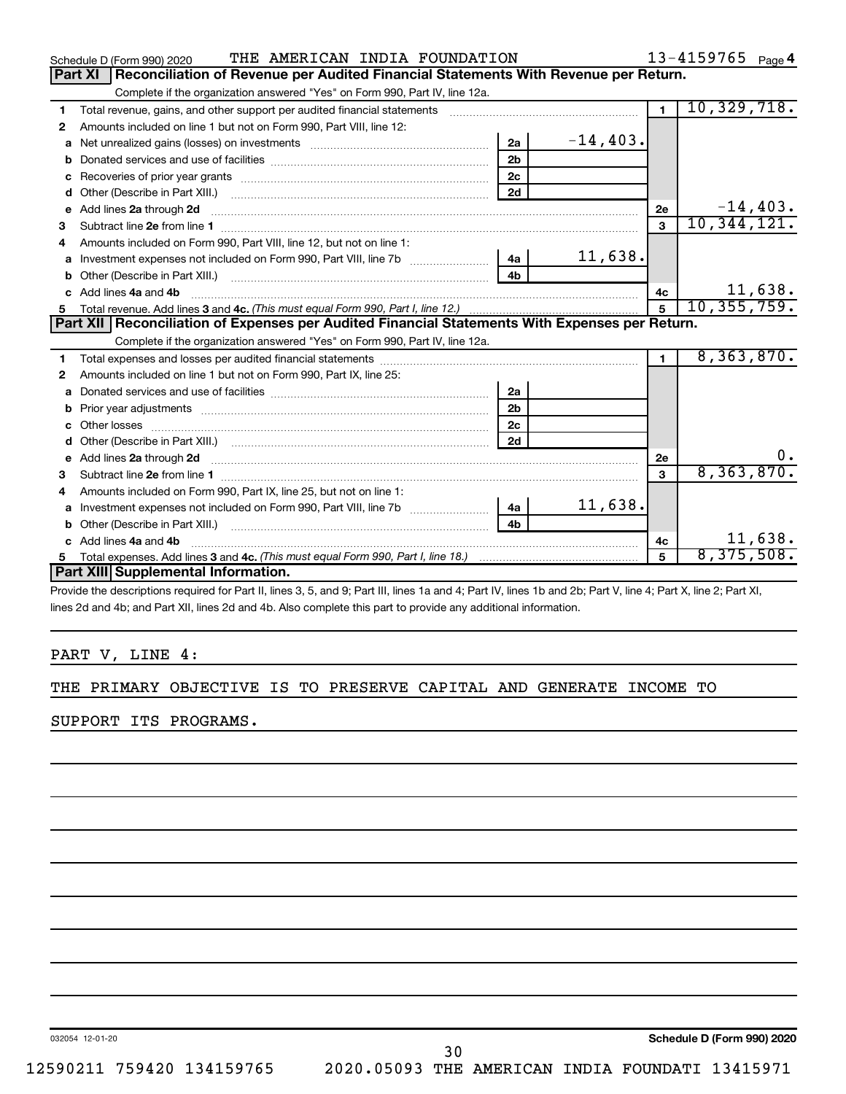|              | THE AMERICAN INDIA FOUNDATION<br>Schedule D (Form 990) 2020                                                                                                                                                                         |                |               |                | $13 - 4159765$ Page 4 |
|--------------|-------------------------------------------------------------------------------------------------------------------------------------------------------------------------------------------------------------------------------------|----------------|---------------|----------------|-----------------------|
|              | Reconciliation of Revenue per Audited Financial Statements With Revenue per Return.<br>Part XI                                                                                                                                      |                |               |                |                       |
|              | Complete if the organization answered "Yes" on Form 990, Part IV, line 12a.                                                                                                                                                         |                |               |                |                       |
| 1            | Total revenue, gains, and other support per audited financial statements                                                                                                                                                            |                |               | $\overline{1}$ | 10,329,718.           |
| 2            | Amounts included on line 1 but not on Form 990, Part VIII, line 12:                                                                                                                                                                 |                |               |                |                       |
| a            |                                                                                                                                                                                                                                     | 2a             | $-14, 403.$   |                |                       |
| b            |                                                                                                                                                                                                                                     | 2 <sub>b</sub> |               |                |                       |
|              |                                                                                                                                                                                                                                     | 2 <sub>c</sub> |               |                |                       |
| d            |                                                                                                                                                                                                                                     | 2d             |               |                |                       |
| $\mathbf{e}$ | Add lines 2a through 2d                                                                                                                                                                                                             |                |               | 2е             | $-14, 403.$           |
| 3            |                                                                                                                                                                                                                                     |                |               | $\mathbf{3}$   | 10, 344, 121.         |
| 4            | Amounts included on Form 990, Part VIII, line 12, but not on line 1:                                                                                                                                                                |                |               |                |                       |
| a            |                                                                                                                                                                                                                                     | 4a             | 11,638.       |                |                       |
|              |                                                                                                                                                                                                                                     |                |               |                |                       |
|              | c Add lines 4a and 4b                                                                                                                                                                                                               | 4с             | 11,638.       |                |                       |
| 5            |                                                                                                                                                                                                                                     | $5^{\circ}$    | 10, 355, 759. |                |                       |
|              | Part XII   Reconciliation of Expenses per Audited Financial Statements With Expenses per Return.                                                                                                                                    |                |               |                |                       |
|              | Complete if the organization answered "Yes" on Form 990, Part IV, line 12a.                                                                                                                                                         |                |               |                |                       |
| 1            |                                                                                                                                                                                                                                     |                |               | $\blacksquare$ | 8,363,870.            |
| 2            | Amounts included on line 1 but not on Form 990, Part IX, line 25:                                                                                                                                                                   |                |               |                |                       |
| a            |                                                                                                                                                                                                                                     | 2a             |               |                |                       |
| b            |                                                                                                                                                                                                                                     | 2 <sub>b</sub> |               |                |                       |
|              | Other losses                                                                                                                                                                                                                        | 2 <sub>c</sub> |               |                |                       |
| d            |                                                                                                                                                                                                                                     | 2d             |               |                |                       |
|              | e Add lines 2a through 2d <b>[10]</b> [10] <b>All and Provide Add lines 2a</b> through 2d <b>[10] All and Provide Add lines 2a</b> through 2d                                                                                       |                |               | 2e             | $0 \cdot$             |
| з            |                                                                                                                                                                                                                                     |                |               | 3              | 8, 363, 870.          |
|              | Amounts included on Form 990, Part IX, line 25, but not on line 1:                                                                                                                                                                  |                |               |                |                       |
| a            |                                                                                                                                                                                                                                     | 4a             | 11,638.       |                |                       |
| b            | Other (Describe in Part XIII.) <b>Construction Contract Construction</b> Chern Construction Chern Chern Chern Chern Chern Chern Chern Chern Chern Chern Chern Chern Chern Chern Chern Chern Chern Chern Chern Chern Chern Chern Che | 4 <sub>b</sub> |               |                |                       |
|              | Add lines 4a and 4b                                                                                                                                                                                                                 |                |               | 4c             | 11,638.               |
| 5            |                                                                                                                                                                                                                                     |                | 5             | 8,375,508.     |                       |
|              | Part XIII Supplemental Information.                                                                                                                                                                                                 |                |               |                |                       |
|              | $\sigma = 10.7$ and $\sigma = 10.7$ and $\sigma = 10.7$ and $\sigma = 10.7$ and $\sigma = 10.7$                                                                                                                                     |                |               |                |                       |

Provide the descriptions required for Part II, lines 3, 5, and 9; Part III, lines 1a and 4; Part IV, lines 1b and 2b; Part V, line 4; Part X, line 2; Part XI, lines 2d and 4b; and Part XII, lines 2d and 4b. Also complete this part to provide any additional information.

#### PART V, LINE 4:

#### THE PRIMARY OBJECTIVE IS TO PRESERVE CAPITAL AND GENERATE INCOME TO

SUPPORT ITS PROGRAMS.

032054 12-01-20

**Schedule D (Form 990) 2020**

30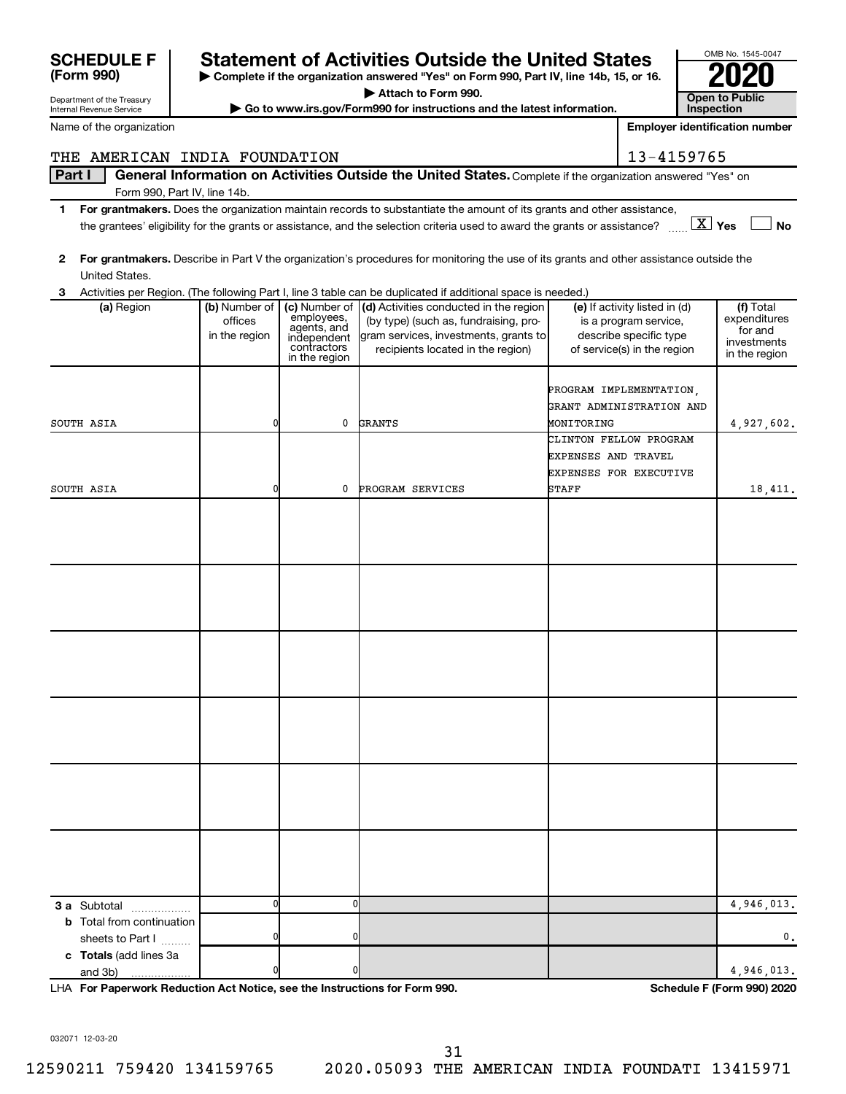| THE AMERICAN INDIA FOUNDATION                        |                                           |                                                                                           |                                                                                                                                                                                                                                                                       |                                   | 13-4159765                                                                                                      |                                                                      |
|------------------------------------------------------|-------------------------------------------|-------------------------------------------------------------------------------------------|-----------------------------------------------------------------------------------------------------------------------------------------------------------------------------------------------------------------------------------------------------------------------|-----------------------------------|-----------------------------------------------------------------------------------------------------------------|----------------------------------------------------------------------|
| Part I                                               |                                           |                                                                                           | General Information on Activities Outside the United States. Complete if the organization answered "Yes" on                                                                                                                                                           |                                   |                                                                                                                 |                                                                      |
| Form 990, Part IV, line 14b.                         |                                           |                                                                                           |                                                                                                                                                                                                                                                                       |                                   |                                                                                                                 |                                                                      |
| 1                                                    |                                           |                                                                                           | For grantmakers. Does the organization maintain records to substantiate the amount of its grants and other assistance,<br>the grantees' eligibility for the grants or assistance, and the selection criteria used to award the grants or assistance? $\ldots$ $X$ Yes |                                   |                                                                                                                 | <b>No</b>                                                            |
| $\mathbf{2}$<br>United States.                       |                                           |                                                                                           | For grantmakers. Describe in Part V the organization's procedures for monitoring the use of its grants and other assistance outside the                                                                                                                               |                                   |                                                                                                                 |                                                                      |
| 3                                                    |                                           |                                                                                           | Activities per Region. (The following Part I, line 3 table can be duplicated if additional space is needed.)                                                                                                                                                          |                                   |                                                                                                                 |                                                                      |
| (a) Region                                           | (b) Number of<br>offices<br>in the region | (c) Number of<br>employees,<br>agents, and<br>independent<br>contractors<br>in the region | (d) Activities conducted in the region<br>(by type) (such as, fundraising, pro-<br>gram services, investments, grants to<br>recipients located in the region)                                                                                                         |                                   | (e) If activity listed in (d)<br>is a program service,<br>describe specific type<br>of service(s) in the region | (f) Total<br>expenditures<br>for and<br>investments<br>in the region |
|                                                      | ŋ                                         | 0                                                                                         |                                                                                                                                                                                                                                                                       |                                   | PROGRAM IMPLEMENTATION,<br>GRANT ADMINISTRATION AND                                                             |                                                                      |
| SOUTH ASIA                                           |                                           |                                                                                           | GRANTS                                                                                                                                                                                                                                                                | MONITORING<br>EXPENSES AND TRAVEL | CLINTON FELLOW PROGRAM<br>EXPENSES FOR EXECUTIVE                                                                | 4,927,602.                                                           |
| SOUTH ASIA                                           |                                           | 0                                                                                         | PROGRAM SERVICES                                                                                                                                                                                                                                                      | <b>STAFF</b>                      |                                                                                                                 | 18,411.                                                              |
|                                                      |                                           |                                                                                           |                                                                                                                                                                                                                                                                       |                                   |                                                                                                                 |                                                                      |
|                                                      |                                           |                                                                                           |                                                                                                                                                                                                                                                                       |                                   |                                                                                                                 |                                                                      |
|                                                      |                                           |                                                                                           |                                                                                                                                                                                                                                                                       |                                   |                                                                                                                 |                                                                      |
|                                                      |                                           |                                                                                           |                                                                                                                                                                                                                                                                       |                                   |                                                                                                                 |                                                                      |
|                                                      |                                           |                                                                                           |                                                                                                                                                                                                                                                                       |                                   |                                                                                                                 |                                                                      |
| <b>3 a</b> Subtotal<br>.                             | $\Omega$                                  | 0                                                                                         |                                                                                                                                                                                                                                                                       |                                   |                                                                                                                 | 4,946,013.                                                           |
| <b>b</b> Total from continuation<br>sheets to Part I |                                           | 0                                                                                         |                                                                                                                                                                                                                                                                       |                                   |                                                                                                                 | 0.                                                                   |
| c Totals (add lines 3a<br>and 3b)                    |                                           | n                                                                                         |                                                                                                                                                                                                                                                                       |                                   |                                                                                                                 | 4,946,013.                                                           |

**| Complete if the organization answered "Yes" on Form 990, Part IV, line 14b, 15, or 16. | Attach to Form 990.**

**SCHEDULE F Statement of Activities Outside the United States 2020**

**| Go to www.irs.gov/Form990 for instructions and the latest information. Open to Public** 

**For Paperwork Reduction Act Notice, see the Instructions for Form 990. Schedule F (Form 990) 2020** LHA

032071 12-03-20

Department of the Treasury Internal Revenue Service

**(Form 990)**

Name of the organization

31

OMB No. 1545-0047

**Inspection Employer identification number**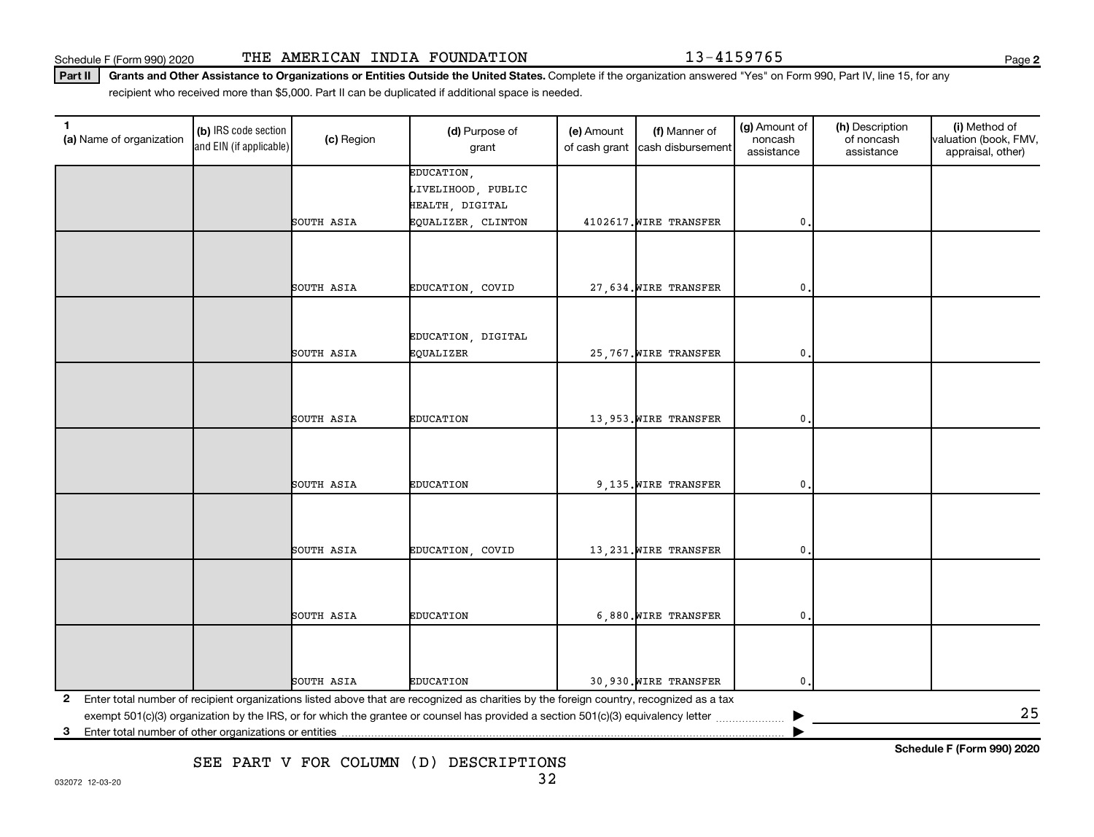Schedule F (Form 990) 2020 THE AMERICAN INDIA FOUNDATION 13-4159765

Part II | Grants and Other Assistance to Organizations or Entities Outside the United States. Complete if the organization answered "Yes" on Form 990, Part IV, line 15, for any recipient who received more than \$5,000. Part II can be duplicated if additional space is needed.

| $\mathbf{1}$<br>(a) Name of organization | (b) IRS code section<br>and EIN (if applicable) | (c) Region | (d) Purpose of<br>grant                                                                                                                 | (e) Amount<br>of cash grant | (f) Manner of<br>cash disbursement | (g) Amount of<br>noncash<br>assistance | (h) Description<br>of noncash<br>assistance | (i) Method of<br>valuation (book, FMV,<br>appraisal, other) |  |  |
|------------------------------------------|-------------------------------------------------|------------|-----------------------------------------------------------------------------------------------------------------------------------------|-----------------------------|------------------------------------|----------------------------------------|---------------------------------------------|-------------------------------------------------------------|--|--|
|                                          |                                                 |            | EDUCATION,                                                                                                                              |                             |                                    |                                        |                                             |                                                             |  |  |
|                                          |                                                 |            | LIVELIHOOD, PUBLIC                                                                                                                      |                             |                                    |                                        |                                             |                                                             |  |  |
|                                          |                                                 | SOUTH ASIA | HEALTH, DIGITAL<br>EQUALIZER, CLINTON                                                                                                   |                             | 4102617. WIRE TRANSFER             | 0.                                     |                                             |                                                             |  |  |
|                                          |                                                 |            |                                                                                                                                         |                             |                                    |                                        |                                             |                                                             |  |  |
|                                          |                                                 |            |                                                                                                                                         |                             |                                    |                                        |                                             |                                                             |  |  |
|                                          |                                                 |            |                                                                                                                                         |                             |                                    |                                        |                                             |                                                             |  |  |
|                                          |                                                 | SOUTH ASIA | EDUCATION, COVID                                                                                                                        |                             | 27,634. WIRE TRANSFER              | 0                                      |                                             |                                                             |  |  |
|                                          |                                                 |            |                                                                                                                                         |                             |                                    |                                        |                                             |                                                             |  |  |
|                                          |                                                 |            |                                                                                                                                         |                             |                                    |                                        |                                             |                                                             |  |  |
|                                          |                                                 |            | EDUCATION, DIGITAL                                                                                                                      |                             |                                    |                                        |                                             |                                                             |  |  |
|                                          |                                                 | SOUTH ASIA | EQUALIZER                                                                                                                               |                             | 25,767. WIRE TRANSFER              | 0                                      |                                             |                                                             |  |  |
|                                          |                                                 |            |                                                                                                                                         |                             |                                    |                                        |                                             |                                                             |  |  |
|                                          |                                                 |            |                                                                                                                                         |                             |                                    |                                        |                                             |                                                             |  |  |
|                                          |                                                 | SOUTH ASIA | <b>EDUCATION</b>                                                                                                                        |                             | 13,953. WIRE TRANSFER              | 0                                      |                                             |                                                             |  |  |
|                                          |                                                 |            |                                                                                                                                         |                             |                                    |                                        |                                             |                                                             |  |  |
|                                          |                                                 |            |                                                                                                                                         |                             |                                    |                                        |                                             |                                                             |  |  |
|                                          |                                                 |            |                                                                                                                                         |                             |                                    |                                        |                                             |                                                             |  |  |
|                                          |                                                 | SOUTH ASIA | <b>EDUCATION</b>                                                                                                                        |                             | 9,135. WIRE TRANSFER               | 0.                                     |                                             |                                                             |  |  |
|                                          |                                                 |            |                                                                                                                                         |                             |                                    |                                        |                                             |                                                             |  |  |
|                                          |                                                 |            |                                                                                                                                         |                             |                                    |                                        |                                             |                                                             |  |  |
|                                          |                                                 | SOUTH ASIA | EDUCATION, COVID                                                                                                                        |                             | 13, 231. WIRE TRANSFER             | 0.                                     |                                             |                                                             |  |  |
|                                          |                                                 |            |                                                                                                                                         |                             |                                    |                                        |                                             |                                                             |  |  |
|                                          |                                                 |            |                                                                                                                                         |                             |                                    |                                        |                                             |                                                             |  |  |
|                                          |                                                 |            |                                                                                                                                         |                             |                                    |                                        |                                             |                                                             |  |  |
|                                          |                                                 | SOUTH ASIA | <b>EDUCATION</b>                                                                                                                        |                             | 6,880. WIRE TRANSFER               | 0.                                     |                                             |                                                             |  |  |
|                                          |                                                 |            |                                                                                                                                         |                             |                                    |                                        |                                             |                                                             |  |  |
|                                          |                                                 |            |                                                                                                                                         |                             |                                    |                                        |                                             |                                                             |  |  |
|                                          |                                                 |            |                                                                                                                                         |                             |                                    |                                        |                                             |                                                             |  |  |
|                                          |                                                 | SOUTH ASIA | <b>EDUCATION</b>                                                                                                                        |                             | 30,930. WIRE TRANSFER              | $\mathbf 0$ .                          |                                             |                                                             |  |  |
| 2                                        |                                                 |            | Enter total number of recipient organizations listed above that are recognized as charities by the foreign country, recognized as a tax |                             |                                    |                                        |                                             | 25                                                          |  |  |
|                                          |                                                 |            |                                                                                                                                         |                             |                                    |                                        |                                             |                                                             |  |  |
|                                          | 3                                               |            |                                                                                                                                         |                             |                                    |                                        |                                             |                                                             |  |  |

SEE PART V FOR COLUMN (D) DESCRIPTIONS

**Schedule F (Form 990) 2020**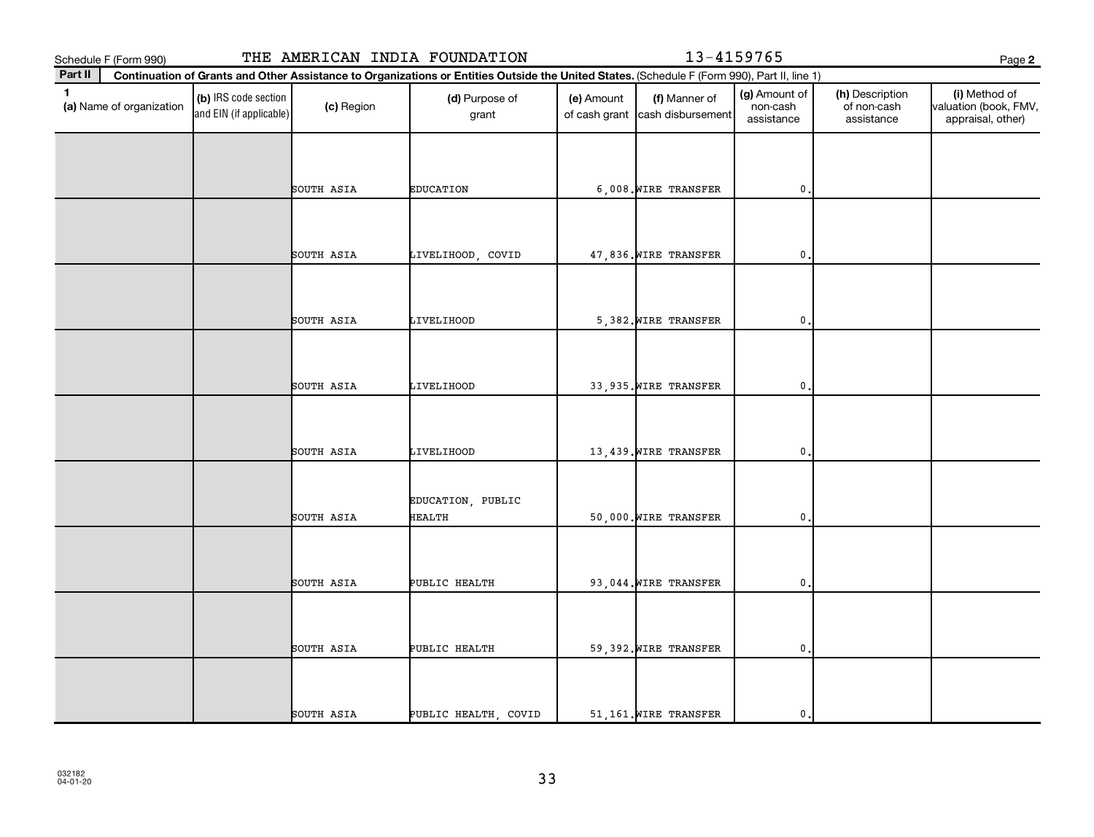**2 Part II (a)**  Name of organization **Continuation of Grants and Other Assistance to Organizations or Entities Outside the United States.**  (Schedule F (Form 990), Part II, line 1) **(b)** IRS code section (c) Region (d) Purpose of (e) Amount (f) Manner of (g) Amount of (h) Description (i) **(a)** Name of organization (h) IRS code section (c) Region (d) Purpose of (d) Amount (f) Manner of (g) Amount of ( and EIN (if applicable) Schedule F (Form 990) THE AMERICAN INDIA FOUNDATION 13-4159765 Page (c) Region (d) Purpose of grant (e) Amount of cash grant (f) Manner of cash disbursement (g) Amount of non-cash assistance (h) Description of non-cash assistance (i) Method of valuation (book, FMV, appraisal, other) SOUTH ASIA EDUCATION 6,008.WIRE TRANSFER 0. SOUTH ASIA LIVELIHOOD, COVID 47,836.WIRE TRANSFER 0. SOUTH ASIA LIVELIHOOD 5,382.WIRE TRANSFER 0. SOUTH ASIA LIVELIHOOD 33,935.WIRE TRANSFER 0. SOUTH ASIA LIVELIHOOD 13,439.WIRE TRANSFER 0. EDUCATION, PUBLIC SOUTH ASIA HEALTH 50,000.WIRE TRANSFER 0. SOUTH ASIA PUBLIC HEALTH 93,044.WIRE TRANSFER 0. SOUTH ASIA PUBLIC HEALTH 59,392.WIRE TRANSFER 0. SOUTH ASIA PUBLIC HEALTH, COVID | 51,161.WIRE TRANSFER | 0.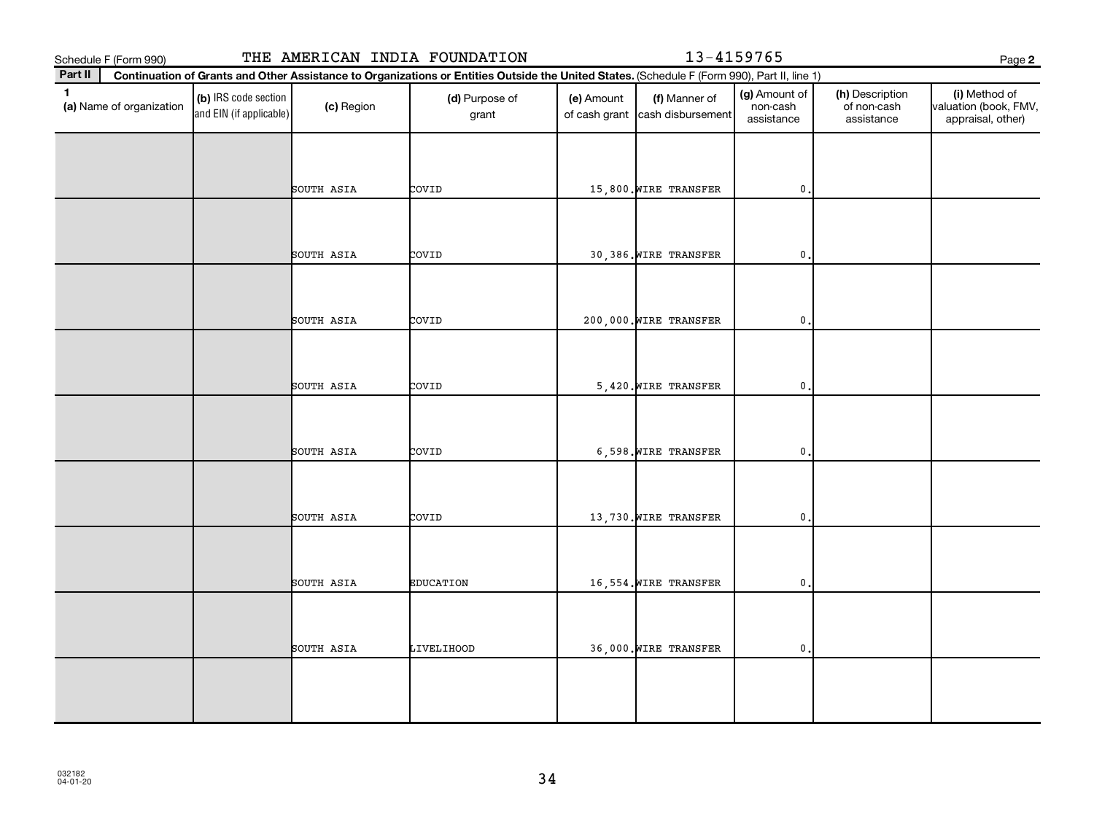**2 Part II (a)**  Name of organization **Continuation of Grants and Other Assistance to Organizations or Entities Outside the United States.**  (Schedule F (Form 990), Part II, line 1) **(b)** IRS code section (c) Region (d) Purpose of (e) Amount (f) Manner of (g) Amount of (h) Description (i) **(a)** Name of organization (h) IRS code section (c) Region (d) Purpose of (d) Amount (f) Manner of (g) Amount of ( and EIN (if applicable) Schedule F (Form 990) THE AMERICAN INDIA FOUNDATION 13-4159765 Page (c) Region (d) Purpose of grant (e) Amount of cash grant (f) Manner of cash disbursement (g) Amount of non-cash assistance (h) Description of non-cash assistance (i) Method of valuation (book, FMV, appraisal, other) SOUTH ASIA COVID 15,800.WIRE TRANSFER 0. SOUTH ASIA COVID 30,386.WIRE TRANSFER 0. SOUTH ASIA COVID 200,000.WIRE TRANSFER 0. SOUTH ASIA COVID 5,420.WIRE TRANSFER 0. SOUTH ASIA COVID 6,598.WIRE TRANSFER 0. SOUTH ASIA COVID 13,730.WIRE TRANSFER 0. SOUTH ASIA EDUCATION 16,554.WIRE TRANSFER 0. SOUTH ASIA LIVELIHOOD 36,000.WIRE TRANSFER 0.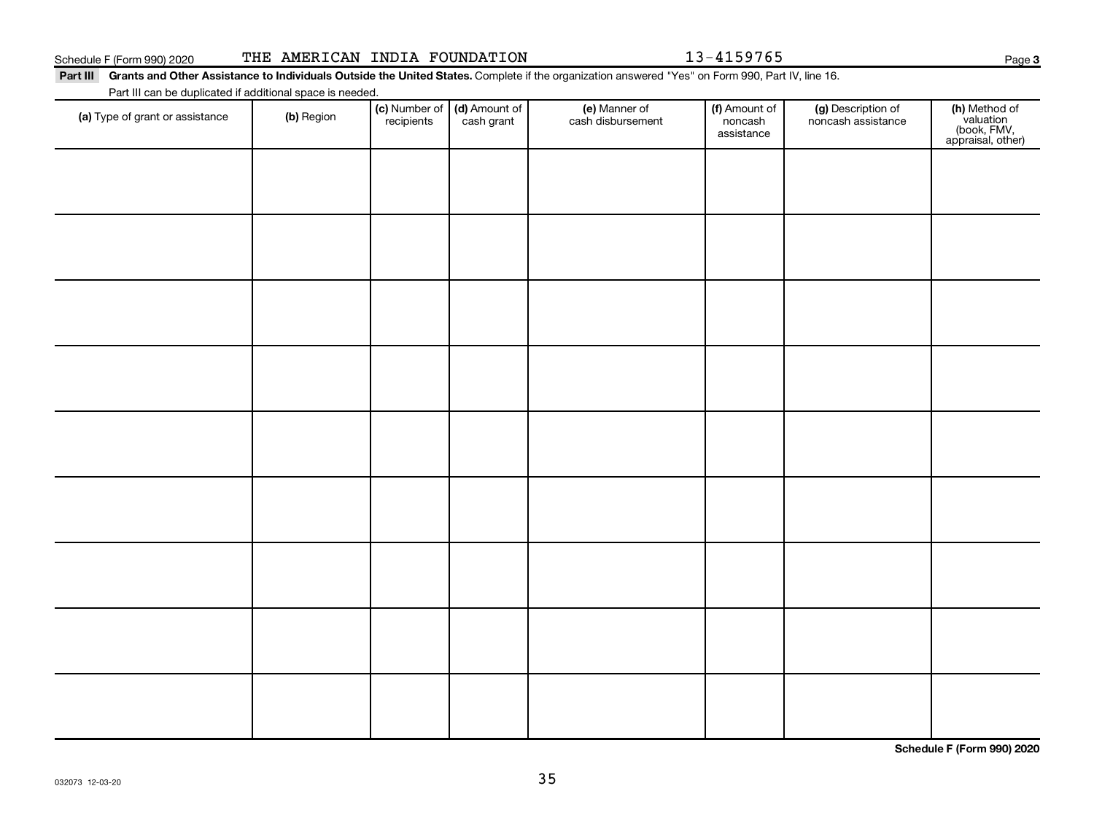032073 12-03-20

**Schedule F (Form 990) 2020**

Part III Grants and Other Assistance to Individuals Outside the United States. Complete if the organization answered "Yes" on Form 990, Part IV, line 16.

| Part III can be duplicated if additional space is needed. |            |                             |                             |                                    |                                        |                                          |                                                                |  |  |  |
|-----------------------------------------------------------|------------|-----------------------------|-----------------------------|------------------------------------|----------------------------------------|------------------------------------------|----------------------------------------------------------------|--|--|--|
| (a) Type of grant or assistance                           | (b) Region | (c) Number of<br>recipients | (d) Amount of<br>cash grant | (e) Manner of<br>cash disbursement | (f) Amount of<br>noncash<br>assistance | (g) Description of<br>noncash assistance | (h) Method of<br>valuation<br>(book, FMV,<br>appraisal, other) |  |  |  |
|                                                           |            |                             |                             |                                    |                                        |                                          |                                                                |  |  |  |
|                                                           |            |                             |                             |                                    |                                        |                                          |                                                                |  |  |  |
|                                                           |            |                             |                             |                                    |                                        |                                          |                                                                |  |  |  |
|                                                           |            |                             |                             |                                    |                                        |                                          |                                                                |  |  |  |
|                                                           |            |                             |                             |                                    |                                        |                                          |                                                                |  |  |  |
|                                                           |            |                             |                             |                                    |                                        |                                          |                                                                |  |  |  |
|                                                           |            |                             |                             |                                    |                                        |                                          |                                                                |  |  |  |
|                                                           |            |                             |                             |                                    |                                        |                                          |                                                                |  |  |  |
|                                                           |            |                             |                             |                                    |                                        |                                          |                                                                |  |  |  |
|                                                           |            |                             |                             |                                    |                                        |                                          |                                                                |  |  |  |
|                                                           |            |                             |                             |                                    |                                        |                                          |                                                                |  |  |  |
|                                                           |            |                             |                             |                                    |                                        |                                          |                                                                |  |  |  |
|                                                           |            |                             |                             |                                    |                                        |                                          |                                                                |  |  |  |
|                                                           |            |                             |                             |                                    |                                        |                                          |                                                                |  |  |  |
|                                                           |            |                             |                             |                                    |                                        |                                          |                                                                |  |  |  |
|                                                           |            |                             |                             |                                    |                                        |                                          |                                                                |  |  |  |
|                                                           |            |                             |                             |                                    |                                        |                                          |                                                                |  |  |  |
|                                                           |            |                             |                             |                                    |                                        |                                          |                                                                |  |  |  |

35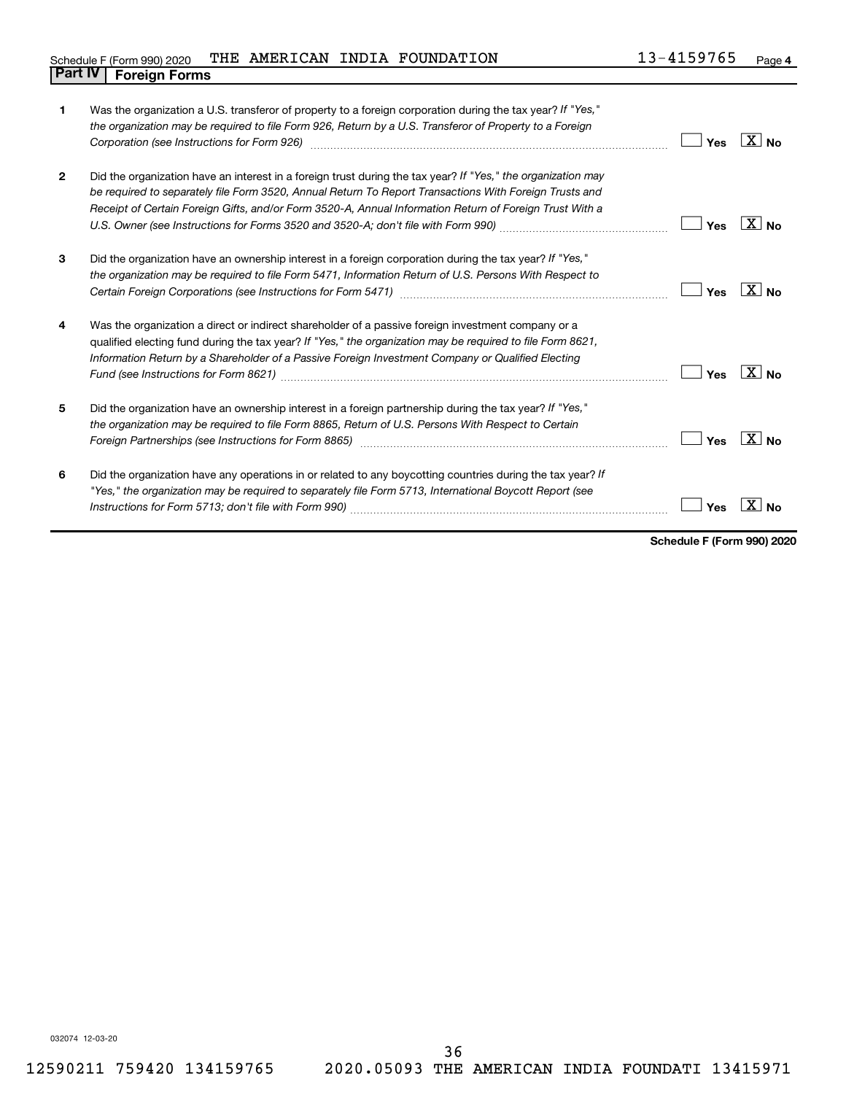#### Schedule F (Form 990) 2020 Page THE AMERICAN INDIA FOUNDATION 13-4159765 **Part IV F** (Form 990) 2020

| 1              | Was the organization a U.S. transferor of property to a foreign corporation during the tax year? If "Yes,"<br>the organization may be required to file Form 926, Return by a U.S. Transferor of Property to a Foreign<br>Corporation (see Instructions for Form 926)                                                              | Yes | $X _{N_{\Omega}}$   |
|----------------|-----------------------------------------------------------------------------------------------------------------------------------------------------------------------------------------------------------------------------------------------------------------------------------------------------------------------------------|-----|---------------------|
| $\overline{2}$ | Did the organization have an interest in a foreign trust during the tax year? If "Yes," the organization may<br>be required to separately file Form 3520, Annual Return To Report Transactions With Foreign Trusts and<br>Receipt of Certain Foreign Gifts, and/or Form 3520-A, Annual Information Return of Foreign Trust With a | Yes | $X _{N_{\Omega}}$   |
| 3              | Did the organization have an ownership interest in a foreign corporation during the tax year? If "Yes,"<br>the organization may be required to file Form 5471, Information Return of U.S. Persons With Respect to                                                                                                                 | Yes | X I                 |
| 4              | Was the organization a direct or indirect shareholder of a passive foreign investment company or a<br>qualified electing fund during the tax year? If "Yes," the organization may be required to file Form 8621,<br>Information Return by a Shareholder of a Passive Foreign Investment Company or Qualified Electing             | Yes | X<br>N <sub>0</sub> |
| 5              | Did the organization have an ownership interest in a foreign partnership during the tax year? If "Yes,"<br>the organization may be required to file Form 8865, Return of U.S. Persons With Respect to Certain                                                                                                                     | Yes |                     |
| 6              | Did the organization have any operations in or related to any boycotting countries during the tax year? If<br>"Yes," the organization may be required to separately file Form 5713, International Boycott Report (see                                                                                                             | Yes |                     |

**Schedule F (Form 990) 2020**

032074 12-03-20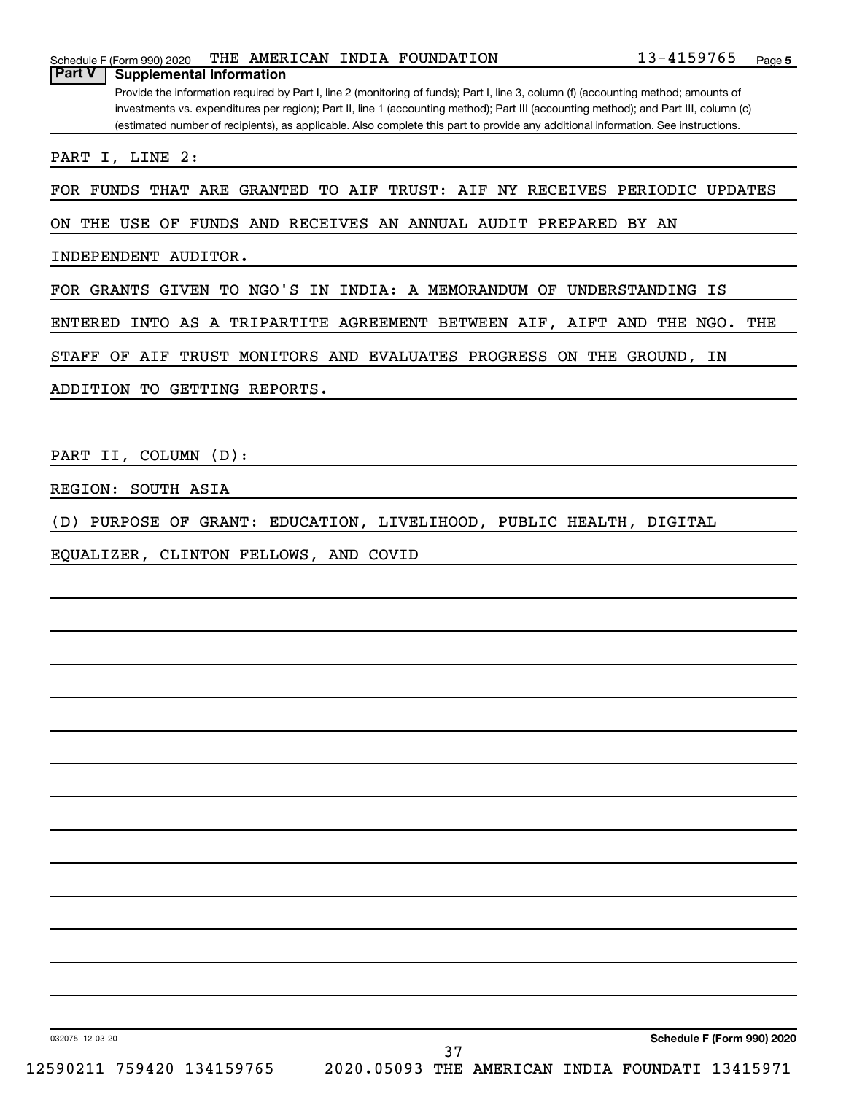| Schedule F (Form 990) 2020               |  | THE AMERICAN INDIA FOUNDATION | 13-4159765 | Page |
|------------------------------------------|--|-------------------------------|------------|------|
| <b>Part V</b>   Supplemental Information |  |                               |            |      |

Provide the information required by Part I, line 2 (monitoring of funds); Part I, line 3, column (f) (accounting method; amounts of investments vs. expenditures per region); Part II, line 1 (accounting method); Part III (accounting method); and Part III, column (c) (estimated number of recipients), as applicable. Also complete this part to provide any additional information. See instructions.

PART I, LINE 2:

FOR FUNDS THAT ARE GRANTED TO AIF TRUST: AIF NY RECEIVES PERIODIC UPDATES

ON THE USE OF FUNDS AND RECEIVES AN ANNUAL AUDIT PREPARED BY AN

INDEPENDENT AUDITOR.

FOR GRANTS GIVEN TO NGO'S IN INDIA: A MEMORANDUM OF UNDERSTANDING IS

ENTERED INTO AS A TRIPARTITE AGREEMENT BETWEEN AIF, AIFT AND THE NGO. THE

STAFF OF AIF TRUST MONITORS AND EVALUATES PROGRESS ON THE GROUND, IN

ADDITION TO GETTING REPORTS.

PART II, COLUMN (D):

REGION: SOUTH ASIA

(D) PURPOSE OF GRANT: EDUCATION, LIVELIHOOD, PUBLIC HEALTH, DIGITAL

EQUALIZER, CLINTON FELLOWS, AND COVID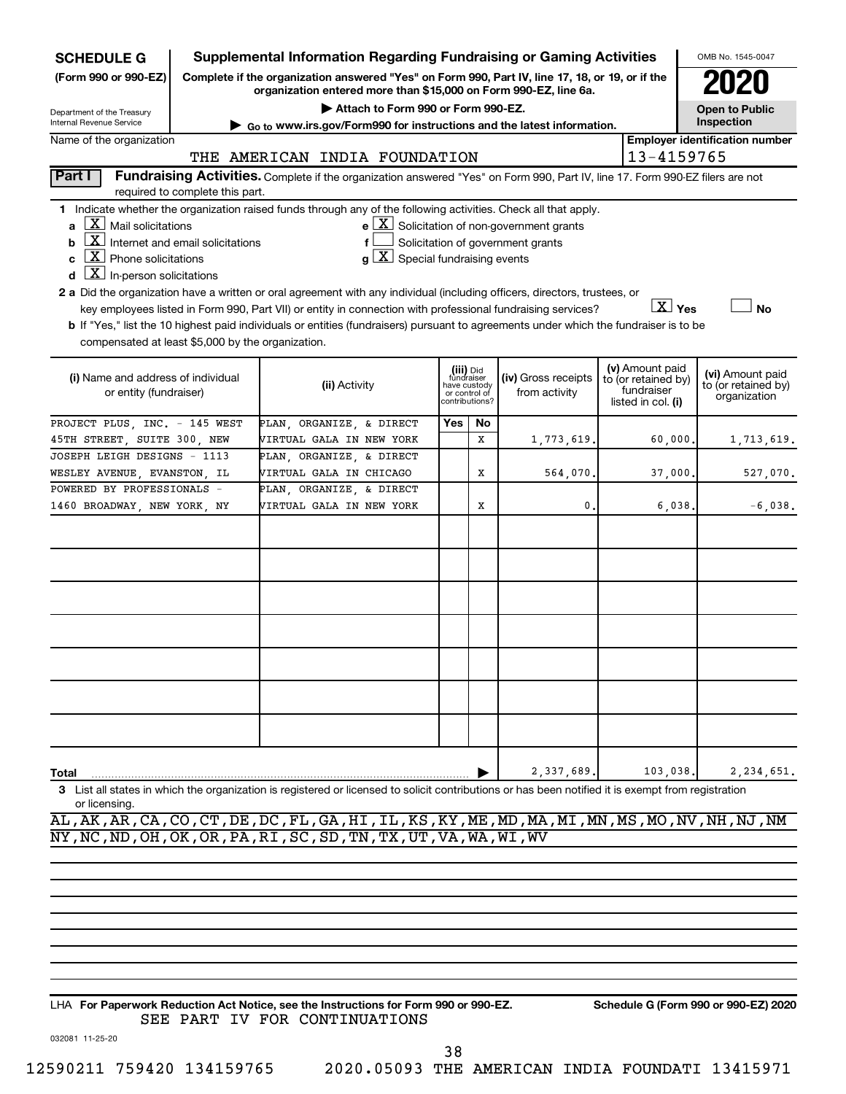| <b>SCHEDULE G</b>                                                                                                                                                            | <b>Supplemental Information Regarding Fundraising or Gaming Activities</b><br>OMB No. 1545-0047                                                                     |                                                                                                                                                  |                                                 |                         |                                                       |  |                                        |                                     |  |  |
|------------------------------------------------------------------------------------------------------------------------------------------------------------------------------|---------------------------------------------------------------------------------------------------------------------------------------------------------------------|--------------------------------------------------------------------------------------------------------------------------------------------------|-------------------------------------------------|-------------------------|-------------------------------------------------------|--|----------------------------------------|-------------------------------------|--|--|
| (Form 990 or 990-EZ)                                                                                                                                                         | Complete if the organization answered "Yes" on Form 990, Part IV, line 17, 18, or 19, or if the<br>organization entered more than \$15,000 on Form 990-EZ, line 6a. |                                                                                                                                                  |                                                 |                         |                                                       |  |                                        |                                     |  |  |
| Department of the Treasury                                                                                                                                                   |                                                                                                                                                                     |                                                                                                                                                  | <b>Open to Public</b><br>Inspection             |                         |                                                       |  |                                        |                                     |  |  |
| Internal Revenue Service<br>Go to www.irs.gov/Form990 for instructions and the latest information.                                                                           |                                                                                                                                                                     |                                                                                                                                                  |                                                 |                         |                                                       |  |                                        |                                     |  |  |
| Name of the organization                                                                                                                                                     |                                                                                                                                                                     | <b>Employer identification number</b>                                                                                                            |                                                 |                         |                                                       |  |                                        |                                     |  |  |
| 13-4159765<br>THE AMERICAN INDIA FOUNDATION<br>Fundraising Activities. Complete if the organization answered "Yes" on Form 990, Part IV, line 17. Form 990-EZ filers are not |                                                                                                                                                                     |                                                                                                                                                  |                                                 |                         |                                                       |  |                                        |                                     |  |  |
| Part I                                                                                                                                                                       | required to complete this part.                                                                                                                                     |                                                                                                                                                  |                                                 |                         |                                                       |  |                                        |                                     |  |  |
| $\lfloor \underline{X} \rfloor$ Mail solicitations<br>a                                                                                                                      |                                                                                                                                                                     | 1 Indicate whether the organization raised funds through any of the following activities. Check all that apply.                                  |                                                 |                         | $e$ $\boxed{X}$ Solicitation of non-government grants |  |                                        |                                     |  |  |
| $\boxed{\textbf{X}}$ Internet and email solicitations<br>b                                                                                                                   |                                                                                                                                                                     |                                                                                                                                                  |                                                 |                         | Solicitation of government grants                     |  |                                        |                                     |  |  |
| $\boxed{\text{X}}$ Phone solicitations<br>C                                                                                                                                  |                                                                                                                                                                     | $\mathbf{X}$<br>Special fundraising events                                                                                                       |                                                 |                         |                                                       |  |                                        |                                     |  |  |
| $\overline{\mathbf{X}}$ In-person solicitations<br>d                                                                                                                         |                                                                                                                                                                     |                                                                                                                                                  |                                                 |                         |                                                       |  |                                        |                                     |  |  |
|                                                                                                                                                                              |                                                                                                                                                                     | 2 a Did the organization have a written or oral agreement with any individual (including officers, directors, trustees, or                       |                                                 |                         |                                                       |  |                                        |                                     |  |  |
|                                                                                                                                                                              |                                                                                                                                                                     | key employees listed in Form 990, Part VII) or entity in connection with professional fundraising services?                                      |                                                 |                         |                                                       |  | $X$ Yes                                | <b>No</b>                           |  |  |
|                                                                                                                                                                              |                                                                                                                                                                     | b If "Yes," list the 10 highest paid individuals or entities (fundraisers) pursuant to agreements under which the fundraiser is to be            |                                                 |                         |                                                       |  |                                        |                                     |  |  |
| compensated at least \$5,000 by the organization.                                                                                                                            |                                                                                                                                                                     |                                                                                                                                                  |                                                 |                         |                                                       |  |                                        |                                     |  |  |
|                                                                                                                                                                              |                                                                                                                                                                     |                                                                                                                                                  |                                                 |                         |                                                       |  |                                        |                                     |  |  |
| (i) Name and address of individual                                                                                                                                           |                                                                                                                                                                     | (ii) Activity                                                                                                                                    |                                                 | (iii) Did<br>fundraiser | (iv) Gross receipts                                   |  | (v) Amount paid<br>to (or retained by) | (vi) Amount paid                    |  |  |
| or entity (fundraiser)                                                                                                                                                       |                                                                                                                                                                     |                                                                                                                                                  | have custody<br>or control of<br>contributions? |                         | from activity                                         |  | fundraiser<br>listed in col. (i)       | to (or retained by)<br>organization |  |  |
|                                                                                                                                                                              |                                                                                                                                                                     |                                                                                                                                                  |                                                 |                         |                                                       |  |                                        |                                     |  |  |
| PROJECT PLUS, INC. - 145 WEST                                                                                                                                                |                                                                                                                                                                     | PLAN ORGANIZE & DIRECT                                                                                                                           | Yes                                             | No                      |                                                       |  |                                        |                                     |  |  |
| 45TH STREET, SUITE 300, NEW                                                                                                                                                  |                                                                                                                                                                     | VIRTUAL GALA IN NEW YORK                                                                                                                         |                                                 | X                       | 1,773,619                                             |  | 60,000                                 | 1,713,619.                          |  |  |
| JOSEPH LEIGH DESIGNS - 1113                                                                                                                                                  |                                                                                                                                                                     | PLAN, ORGANIZE, & DIRECT                                                                                                                         |                                                 |                         |                                                       |  |                                        |                                     |  |  |
| WESLEY AVENUE, EVANSTON, IL                                                                                                                                                  |                                                                                                                                                                     | VIRTUAL GALA IN CHICAGO                                                                                                                          |                                                 | х                       | 564,070                                               |  | 37,000                                 | 527,070.                            |  |  |
| POWERED BY PROFESSIONALS -                                                                                                                                                   |                                                                                                                                                                     | PLAN, ORGANIZE, & DIRECT                                                                                                                         |                                                 |                         |                                                       |  |                                        |                                     |  |  |
| 1460 BROADWAY, NEW YORK, NY                                                                                                                                                  |                                                                                                                                                                     | VIRTUAL GALA IN NEW YORK                                                                                                                         |                                                 | х                       | 0                                                     |  | 6,038                                  | $-6,038.$                           |  |  |
|                                                                                                                                                                              |                                                                                                                                                                     |                                                                                                                                                  |                                                 |                         |                                                       |  |                                        |                                     |  |  |
|                                                                                                                                                                              |                                                                                                                                                                     |                                                                                                                                                  |                                                 |                         |                                                       |  |                                        |                                     |  |  |
|                                                                                                                                                                              |                                                                                                                                                                     |                                                                                                                                                  |                                                 |                         |                                                       |  |                                        |                                     |  |  |
|                                                                                                                                                                              |                                                                                                                                                                     |                                                                                                                                                  |                                                 |                         |                                                       |  |                                        |                                     |  |  |
|                                                                                                                                                                              |                                                                                                                                                                     |                                                                                                                                                  |                                                 |                         |                                                       |  |                                        |                                     |  |  |
|                                                                                                                                                                              |                                                                                                                                                                     |                                                                                                                                                  |                                                 |                         |                                                       |  |                                        |                                     |  |  |
|                                                                                                                                                                              |                                                                                                                                                                     |                                                                                                                                                  |                                                 |                         |                                                       |  |                                        |                                     |  |  |
|                                                                                                                                                                              |                                                                                                                                                                     |                                                                                                                                                  |                                                 |                         |                                                       |  |                                        |                                     |  |  |
|                                                                                                                                                                              |                                                                                                                                                                     |                                                                                                                                                  |                                                 |                         |                                                       |  |                                        |                                     |  |  |
|                                                                                                                                                                              |                                                                                                                                                                     |                                                                                                                                                  |                                                 |                         |                                                       |  |                                        |                                     |  |  |
|                                                                                                                                                                              |                                                                                                                                                                     |                                                                                                                                                  |                                                 |                         |                                                       |  |                                        |                                     |  |  |
|                                                                                                                                                                              |                                                                                                                                                                     |                                                                                                                                                  |                                                 |                         |                                                       |  |                                        |                                     |  |  |
|                                                                                                                                                                              |                                                                                                                                                                     |                                                                                                                                                  |                                                 |                         |                                                       |  |                                        |                                     |  |  |
|                                                                                                                                                                              |                                                                                                                                                                     |                                                                                                                                                  |                                                 |                         |                                                       |  |                                        |                                     |  |  |
|                                                                                                                                                                              |                                                                                                                                                                     |                                                                                                                                                  |                                                 |                         | 2,337,689                                             |  |                                        |                                     |  |  |
| Total                                                                                                                                                                        |                                                                                                                                                                     |                                                                                                                                                  |                                                 |                         |                                                       |  | 103,038                                | 2,234,651.                          |  |  |
| 3<br>or licensing.                                                                                                                                                           |                                                                                                                                                                     | List all states in which the organization is registered or licensed to solicit contributions or has been notified it is exempt from registration |                                                 |                         |                                                       |  |                                        |                                     |  |  |
|                                                                                                                                                                              |                                                                                                                                                                     | AL, AK, AR, CA, CO, CT, DE, DC, FL, GA, HI, IL, KS, KY, ME, MD, MA, MI, MN, MS, MO, NV, NH, NJ, NM                                               |                                                 |                         |                                                       |  |                                        |                                     |  |  |
|                                                                                                                                                                              |                                                                                                                                                                     | NY, NC, ND, OH, OK, OR, PA, RI, SC, SD, TN, TX, UT, VA, WA, WI, WV                                                                               |                                                 |                         |                                                       |  |                                        |                                     |  |  |
|                                                                                                                                                                              |                                                                                                                                                                     |                                                                                                                                                  |                                                 |                         |                                                       |  |                                        |                                     |  |  |

**For Paperwork Reduction Act Notice, see the Instructions for Form 990 or 990-EZ. Schedule G (Form 990 or 990-EZ) 2020** LHA SEE PART IV FOR CONTINUATIONS

38

032081 11-25-20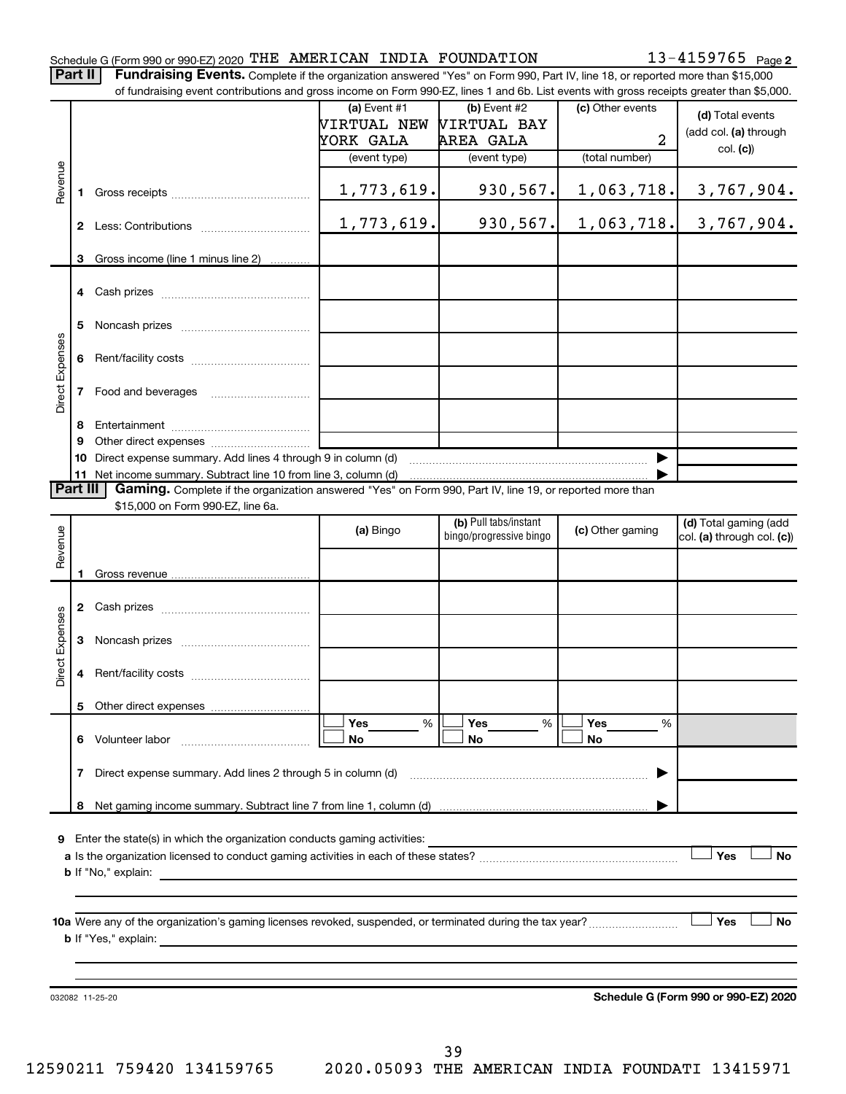#### Schedule G (Form 990 or 990-EZ) 2020 <code>THE AMERICAN INDIA FOUNDATION</code>  $13-4159765$  <code>Page</code>

13-4159765 Page 2

|  | Part II   Fundraising Events. Complete if the organization answered "Yes" on Form 990, Part IV, line 18, or reported more than \$15,000   |
|--|-------------------------------------------------------------------------------------------------------------------------------------------|
|  | of fundraising event contributions and gross income on Form 990-EZ, lines 1 and 6b. List events with gross receipts greater than \$5,000. |
|  |                                                                                                                                           |

|                        |              | ו ומחסומוסות פעלות לטותווטמוטוס מות קוטסס וווטטוול טורו טוווו סטט־בב, ווולס דמות טט. בואג לעלות אתה קוטסס ולכלוטיקול קולמנלו מומח קט,טטט                                                                                                  |                |                                                                                                                                                                                                                                                                                                                                                                    |                  |                                                     |
|------------------------|--------------|-------------------------------------------------------------------------------------------------------------------------------------------------------------------------------------------------------------------------------------------|----------------|--------------------------------------------------------------------------------------------------------------------------------------------------------------------------------------------------------------------------------------------------------------------------------------------------------------------------------------------------------------------|------------------|-----------------------------------------------------|
|                        |              |                                                                                                                                                                                                                                           | (a) Event $#1$ | $(b)$ Event #2                                                                                                                                                                                                                                                                                                                                                     | (c) Other events | (d) Total events                                    |
|                        |              |                                                                                                                                                                                                                                           | VIRTUAL NEW    | <b>VIRTUAL BAY</b>                                                                                                                                                                                                                                                                                                                                                 |                  | (add col. (a) through                               |
|                        |              |                                                                                                                                                                                                                                           | YORK GALA      | AREA GALA                                                                                                                                                                                                                                                                                                                                                          | $\overline{2}$   | col. (c)                                            |
|                        |              |                                                                                                                                                                                                                                           | (event type)   | (event type)                                                                                                                                                                                                                                                                                                                                                       | (total number)   |                                                     |
| Revenue                | 1.           |                                                                                                                                                                                                                                           | 1,773,619.     | 930,567.                                                                                                                                                                                                                                                                                                                                                           | 1,063,718.       | 3,767,904.                                          |
|                        |              |                                                                                                                                                                                                                                           | 1,773,619.     | 930,567.                                                                                                                                                                                                                                                                                                                                                           | 1,063,718.       | 3,767,904.                                          |
|                        |              |                                                                                                                                                                                                                                           |                |                                                                                                                                                                                                                                                                                                                                                                    |                  |                                                     |
|                        |              | 3 Gross income (line 1 minus line 2)                                                                                                                                                                                                      |                |                                                                                                                                                                                                                                                                                                                                                                    |                  |                                                     |
|                        |              |                                                                                                                                                                                                                                           |                |                                                                                                                                                                                                                                                                                                                                                                    |                  |                                                     |
|                        | 5            |                                                                                                                                                                                                                                           |                |                                                                                                                                                                                                                                                                                                                                                                    |                  |                                                     |
| <b>Direct Expenses</b> | 6            |                                                                                                                                                                                                                                           |                |                                                                                                                                                                                                                                                                                                                                                                    |                  |                                                     |
|                        | $\mathbf{7}$ | Food and beverages                                                                                                                                                                                                                        |                |                                                                                                                                                                                                                                                                                                                                                                    |                  |                                                     |
|                        | 8            |                                                                                                                                                                                                                                           |                |                                                                                                                                                                                                                                                                                                                                                                    |                  |                                                     |
|                        | 9            |                                                                                                                                                                                                                                           |                |                                                                                                                                                                                                                                                                                                                                                                    |                  |                                                     |
|                        |              | 10 Direct expense summary. Add lines 4 through 9 in column (d)                                                                                                                                                                            |                | $\begin{picture}(150,10) \put(0,0){\vector(1,0){100}} \put(10,0){\vector(1,0){100}} \put(10,0){\vector(1,0){100}} \put(10,0){\vector(1,0){100}} \put(10,0){\vector(1,0){100}} \put(10,0){\vector(1,0){100}} \put(10,0){\vector(1,0){100}} \put(10,0){\vector(1,0){100}} \put(10,0){\vector(1,0){100}} \put(10,0){\vector(1,0){100}} \put(10,0){\vector(1,0){100}}$ |                  |                                                     |
|                        |              |                                                                                                                                                                                                                                           |                |                                                                                                                                                                                                                                                                                                                                                                    |                  |                                                     |
| Part III               |              | Gaming. Complete if the organization answered "Yes" on Form 990, Part IV, line 19, or reported more than                                                                                                                                  |                |                                                                                                                                                                                                                                                                                                                                                                    |                  |                                                     |
|                        |              | \$15,000 on Form 990-EZ, line 6a.                                                                                                                                                                                                         |                | (b) Pull tabs/instant                                                                                                                                                                                                                                                                                                                                              |                  |                                                     |
|                        |              |                                                                                                                                                                                                                                           | (a) Bingo      | bingo/progressive bingo                                                                                                                                                                                                                                                                                                                                            | (c) Other gaming | (d) Total gaming (add<br>col. (a) through col. (c)) |
| Revenue                |              |                                                                                                                                                                                                                                           |                |                                                                                                                                                                                                                                                                                                                                                                    |                  |                                                     |
|                        |              |                                                                                                                                                                                                                                           |                |                                                                                                                                                                                                                                                                                                                                                                    |                  |                                                     |
|                        |              |                                                                                                                                                                                                                                           |                |                                                                                                                                                                                                                                                                                                                                                                    |                  |                                                     |
|                        |              |                                                                                                                                                                                                                                           |                |                                                                                                                                                                                                                                                                                                                                                                    |                  |                                                     |
|                        | 3            |                                                                                                                                                                                                                                           |                |                                                                                                                                                                                                                                                                                                                                                                    |                  |                                                     |
| <b>Direct Expenses</b> | 4            |                                                                                                                                                                                                                                           |                |                                                                                                                                                                                                                                                                                                                                                                    |                  |                                                     |
|                        |              |                                                                                                                                                                                                                                           |                |                                                                                                                                                                                                                                                                                                                                                                    |                  |                                                     |
|                        |              |                                                                                                                                                                                                                                           |                | Yes                                                                                                                                                                                                                                                                                                                                                                | Yes              |                                                     |
|                        | 6            | Volunteer labor                                                                                                                                                                                                                           | Yes<br>%<br>No | %<br>No                                                                                                                                                                                                                                                                                                                                                            | ℅<br>No          |                                                     |
|                        | 7            | Direct expense summary. Add lines 2 through 5 in column (d)                                                                                                                                                                               |                |                                                                                                                                                                                                                                                                                                                                                                    |                  |                                                     |
|                        | 8            |                                                                                                                                                                                                                                           |                |                                                                                                                                                                                                                                                                                                                                                                    |                  |                                                     |
|                        |              |                                                                                                                                                                                                                                           |                |                                                                                                                                                                                                                                                                                                                                                                    |                  |                                                     |
| 9                      |              | Enter the state(s) in which the organization conducts gaming activities:                                                                                                                                                                  |                |                                                                                                                                                                                                                                                                                                                                                                    |                  |                                                     |
|                        |              |                                                                                                                                                                                                                                           |                |                                                                                                                                                                                                                                                                                                                                                                    |                  | Yes<br>No                                           |
|                        |              | <b>b</b> If "No," explain:                                                                                                                                                                                                                |                |                                                                                                                                                                                                                                                                                                                                                                    |                  |                                                     |
|                        |              |                                                                                                                                                                                                                                           |                |                                                                                                                                                                                                                                                                                                                                                                    |                  |                                                     |
|                        |              |                                                                                                                                                                                                                                           |                |                                                                                                                                                                                                                                                                                                                                                                    |                  |                                                     |
|                        |              |                                                                                                                                                                                                                                           |                |                                                                                                                                                                                                                                                                                                                                                                    |                  | ∣ Yes<br>No                                         |
|                        |              | <b>b</b> If "Yes," explain: <b>contract to the explaint of the contract of the contract of the contract of the contract of the contract of the contract of the contract of the contract of the contract of the contract of the contra</b> |                |                                                                                                                                                                                                                                                                                                                                                                    |                  |                                                     |
|                        |              |                                                                                                                                                                                                                                           |                |                                                                                                                                                                                                                                                                                                                                                                    |                  |                                                     |
|                        |              |                                                                                                                                                                                                                                           |                |                                                                                                                                                                                                                                                                                                                                                                    |                  |                                                     |
|                        |              | 032082 11-25-20                                                                                                                                                                                                                           |                |                                                                                                                                                                                                                                                                                                                                                                    |                  | Schedule G (Form 990 or 990-EZ) 2020                |
|                        |              |                                                                                                                                                                                                                                           |                |                                                                                                                                                                                                                                                                                                                                                                    |                  |                                                     |
|                        |              |                                                                                                                                                                                                                                           |                |                                                                                                                                                                                                                                                                                                                                                                    |                  |                                                     |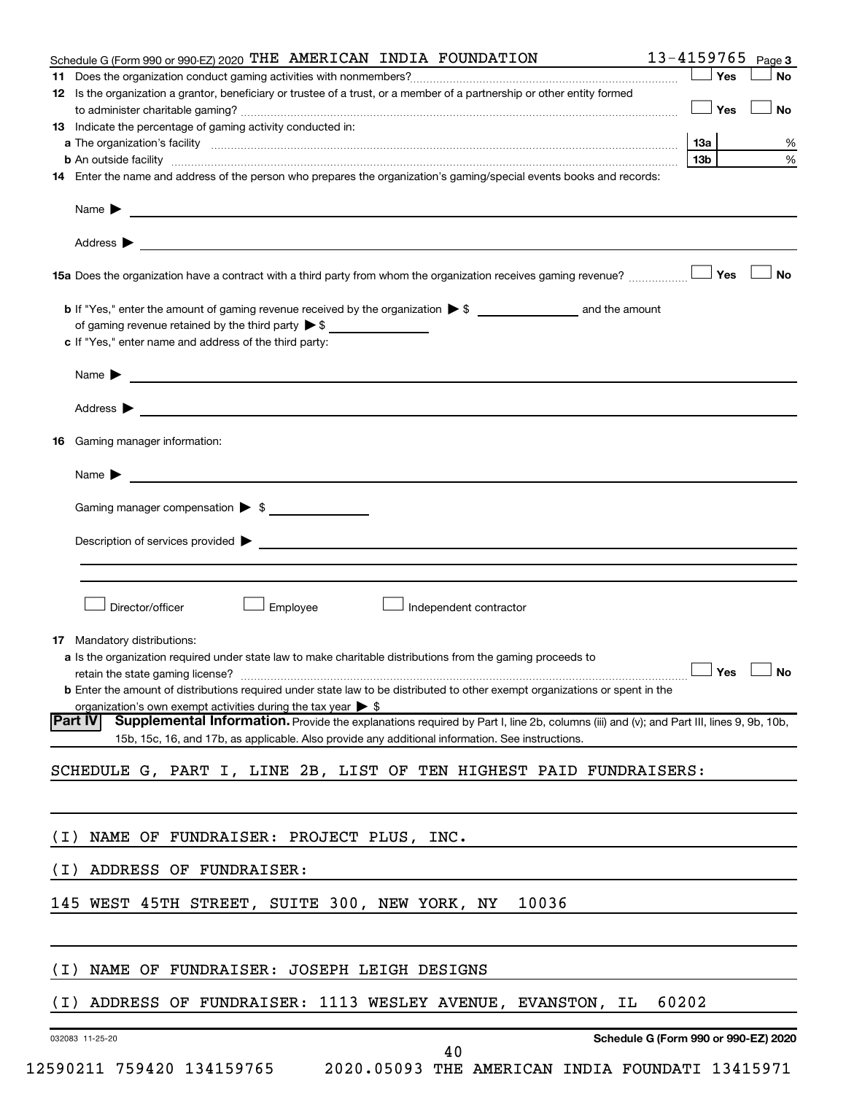| Schedule G (Form 990 or 990 EZ) 2020 THE AMERICAN INDIA FOUNDATION                                                                                                                                                                                           | 13-4159765<br>Page 3                 |
|--------------------------------------------------------------------------------------------------------------------------------------------------------------------------------------------------------------------------------------------------------------|--------------------------------------|
|                                                                                                                                                                                                                                                              | Yes<br>No                            |
| 12 Is the organization a grantor, beneficiary or trustee of a trust, or a member of a partnership or other entity formed                                                                                                                                     |                                      |
|                                                                                                                                                                                                                                                              | Yes<br>No                            |
| 13 Indicate the percentage of gaming activity conducted in:                                                                                                                                                                                                  |                                      |
|                                                                                                                                                                                                                                                              | 13a<br>℅                             |
| <b>b</b> An outside facility <b>with the contract of the contract of the contract of the contract of the contract of the contract of the contract of the contract of the contract of the contract of the contract of the contract of </b>                    | %<br>13 <sub>b</sub>                 |
| 14 Enter the name and address of the person who prepares the organization's gaming/special events books and records:                                                                                                                                         |                                      |
| Name $\blacktriangleright$<br><u> 1989 - Johann Barnett, fransk politik (d. 1989)</u>                                                                                                                                                                        |                                      |
| Address $\blacktriangleright$                                                                                                                                                                                                                                |                                      |
| 15a Does the organization have a contract with a third party from whom the organization receives gaming revenue?                                                                                                                                             | Yes<br><b>No</b>                     |
| <b>b</b> If "Yes," enter the amount of gaming revenue received by the organization $\triangleright$ \$ and the amount                                                                                                                                        |                                      |
| of gaming revenue retained by the third party $\triangleright$ \$                                                                                                                                                                                            |                                      |
| c If "Yes," enter name and address of the third party:                                                                                                                                                                                                       |                                      |
|                                                                                                                                                                                                                                                              |                                      |
| Name > 2008 - 2008 - 2009 - 2009 - 2009 - 2009 - 2009 - 2009 - 2009 - 2009 - 2009 - 2009 - 2009 - 2009 - 2009 - 2009 - 2009 - 2009 - 2009 - 2009 - 2009 - 2009 - 2009 - 2009 - 2009 - 2009 - 2009 - 2009 - 2009 - 2009 - 2009                                |                                      |
| Address $\blacktriangleright$                                                                                                                                                                                                                                |                                      |
| <b>16</b> Gaming manager information:                                                                                                                                                                                                                        |                                      |
| Name $\blacktriangleright$<br><u> 1989 - John Stein, Amerikaansk politiker († 1908)</u>                                                                                                                                                                      |                                      |
| Gaming manager compensation > \$                                                                                                                                                                                                                             |                                      |
|                                                                                                                                                                                                                                                              |                                      |
| Description of services provided > The Communication of Services and Theorem Communication of Services provided                                                                                                                                              |                                      |
|                                                                                                                                                                                                                                                              |                                      |
|                                                                                                                                                                                                                                                              |                                      |
| Director/officer<br>Employee<br>Independent contractor                                                                                                                                                                                                       |                                      |
| 17 Mandatory distributions:                                                                                                                                                                                                                                  |                                      |
| a Is the organization required under state law to make charitable distributions from the gaming proceeds to                                                                                                                                                  |                                      |
|                                                                                                                                                                                                                                                              |                                      |
| <b>b</b> Enter the amount of distributions required under state law to be distributed to other exempt organizations or spent in the                                                                                                                          |                                      |
| organization's own exempt activities during the tax year $\triangleright$ \$                                                                                                                                                                                 |                                      |
| Supplemental Information. Provide the explanations required by Part I, line 2b, columns (iii) and (v); and Part III, lines 9, 9b, 10b,<br><b>Part IV</b><br>15b, 15c, 16, and 17b, as applicable. Also provide any additional information. See instructions. |                                      |
| SCHEDULE G, PART I, LINE 2B, LIST OF TEN HIGHEST PAID FUNDRAISERS:                                                                                                                                                                                           |                                      |
|                                                                                                                                                                                                                                                              |                                      |
| NAME OF FUNDRAISER: PROJECT PLUS, INC.<br>( I )                                                                                                                                                                                                              |                                      |
|                                                                                                                                                                                                                                                              |                                      |
| ADDRESS OF FUNDRAISER:<br>( I )                                                                                                                                                                                                                              |                                      |
| 145 WEST 45TH STREET, SUITE 300, NEW YORK, NY<br>10036                                                                                                                                                                                                       |                                      |
|                                                                                                                                                                                                                                                              |                                      |
| NAME OF FUNDRAISER: JOSEPH LEIGH DESIGNS<br>( I )                                                                                                                                                                                                            |                                      |
|                                                                                                                                                                                                                                                              |                                      |
| ADDRESS OF FUNDRAISER: 1113 WESLEY AVENUE, EVANSTON, IL<br>( I )                                                                                                                                                                                             | 60202                                |
| 032083 11-25-20                                                                                                                                                                                                                                              | Schedule G (Form 990 or 990-EZ) 2020 |
| 40                                                                                                                                                                                                                                                           |                                      |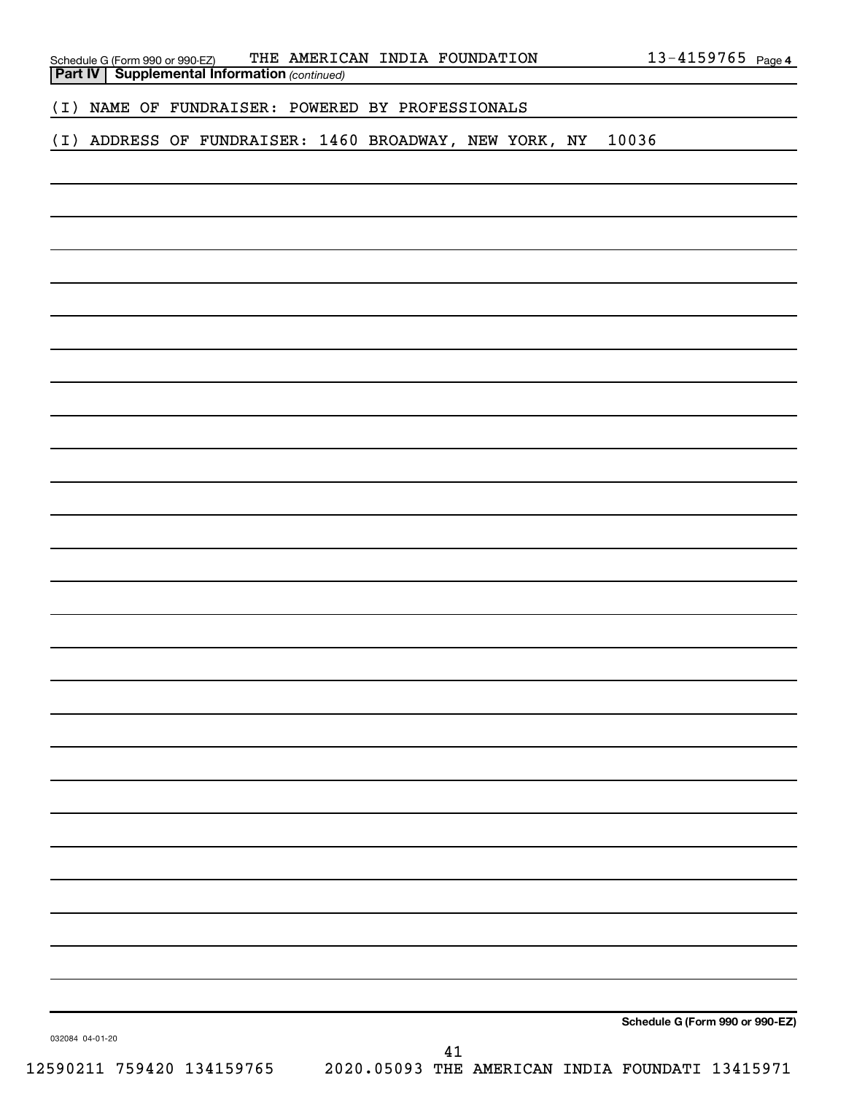| Schedule G (Form 990 or 990-EZ)                       |  | THE AMERICAN INDIA FOUNDATION | $13 - 4159765$ Page 4 |  |
|-------------------------------------------------------|--|-------------------------------|-----------------------|--|
| <b>Part IV   Supplemental Information (continued)</b> |  |                               |                       |  |

(I) NAME OF FUNDRAISER: POWERED BY PROFESSIONALS

(I) ADDRESS OF FUNDRAISER: 1460 BROADWAY, NEW YORK, NY 10036

**Schedule G (Form 990 or 990-EZ)**

032084 04-01-20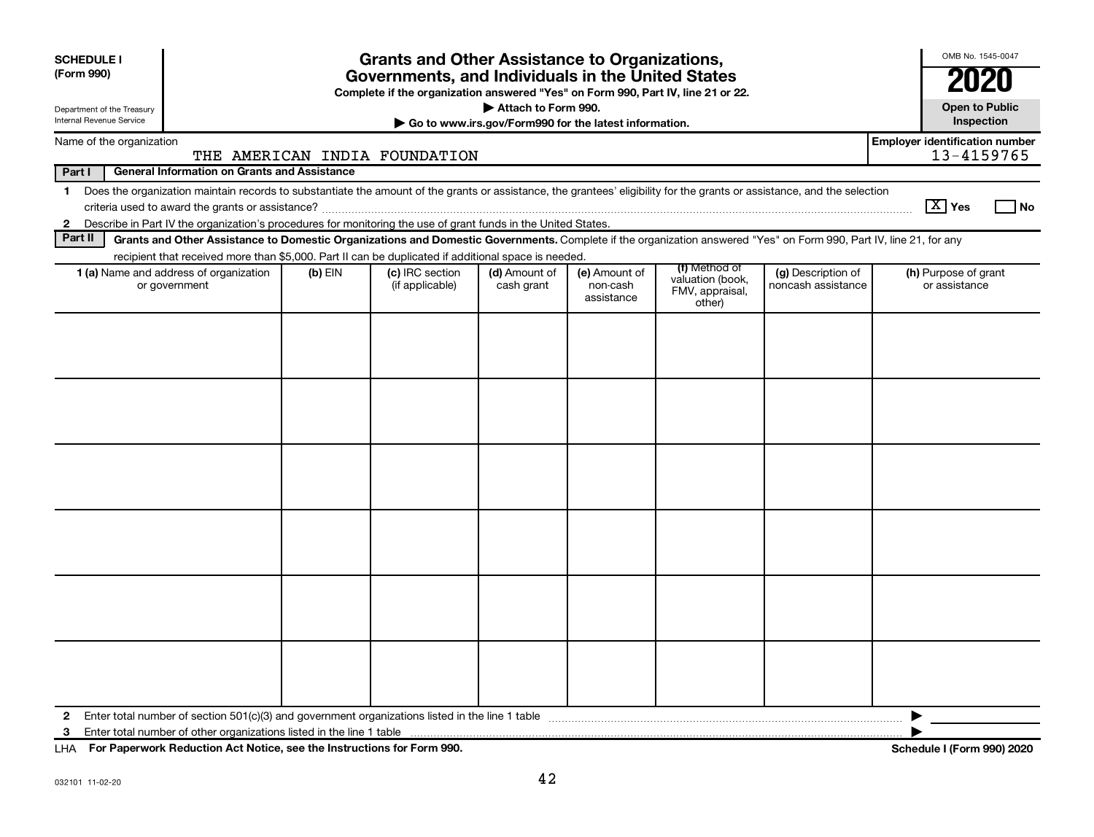| <b>SCHEDULE I</b><br>(Form 990) |                                                                                                                                                                    |                                                                                                                                                                                                    | <b>Grants and Other Assistance to Organizations,</b><br>Governments, and Individuals in the United States |                             |                                         |                                               |                                          | OMB No. 1545-0047<br>2020                           |  |  |  |
|---------------------------------|--------------------------------------------------------------------------------------------------------------------------------------------------------------------|----------------------------------------------------------------------------------------------------------------------------------------------------------------------------------------------------|-----------------------------------------------------------------------------------------------------------|-----------------------------|-----------------------------------------|-----------------------------------------------|------------------------------------------|-----------------------------------------------------|--|--|--|
|                                 | Complete if the organization answered "Yes" on Form 990, Part IV, line 21 or 22.<br>Attach to Form 990.<br>Department of the Treasury                              |                                                                                                                                                                                                    |                                                                                                           |                             |                                         |                                               |                                          |                                                     |  |  |  |
|                                 | Internal Revenue Service<br>Go to www.irs.gov/Form990 for the latest information.                                                                                  |                                                                                                                                                                                                    |                                                                                                           |                             |                                         |                                               |                                          |                                                     |  |  |  |
|                                 | Name of the organization                                                                                                                                           |                                                                                                                                                                                                    | THE AMERICAN INDIA FOUNDATION                                                                             |                             |                                         |                                               |                                          | <b>Employer identification number</b><br>13-4159765 |  |  |  |
| Part I                          | <b>General Information on Grants and Assistance</b>                                                                                                                |                                                                                                                                                                                                    |                                                                                                           |                             |                                         |                                               |                                          |                                                     |  |  |  |
| $\mathbf 1$                     |                                                                                                                                                                    | Does the organization maintain records to substantiate the amount of the grants or assistance, the grantees' eligibility for the grants or assistance, and the selection<br>$\boxed{\text{X}}$ Yes |                                                                                                           |                             |                                         |                                               |                                          |                                                     |  |  |  |
|                                 | 2 Describe in Part IV the organization's procedures for monitoring the use of grant funds in the United States.                                                    |                                                                                                                                                                                                    |                                                                                                           |                             |                                         |                                               |                                          |                                                     |  |  |  |
| Part II                         | Grants and Other Assistance to Domestic Organizations and Domestic Governments. Complete if the organization answered "Yes" on Form 990, Part IV, line 21, for any |                                                                                                                                                                                                    |                                                                                                           |                             |                                         |                                               |                                          |                                                     |  |  |  |
|                                 | recipient that received more than \$5,000. Part II can be duplicated if additional space is needed.                                                                |                                                                                                                                                                                                    |                                                                                                           |                             |                                         | (f) Method of                                 |                                          |                                                     |  |  |  |
|                                 | 1 (a) Name and address of organization<br>or government                                                                                                            | $(b)$ EIN                                                                                                                                                                                          | (c) IRC section<br>(if applicable)                                                                        | (d) Amount of<br>cash grant | (e) Amount of<br>non-cash<br>assistance | valuation (book,<br>FMV, appraisal,<br>other) | (g) Description of<br>noncash assistance | (h) Purpose of grant<br>or assistance               |  |  |  |
|                                 |                                                                                                                                                                    |                                                                                                                                                                                                    |                                                                                                           |                             |                                         |                                               |                                          |                                                     |  |  |  |
| $\mathbf{2}$<br>3               |                                                                                                                                                                    |                                                                                                                                                                                                    |                                                                                                           |                             |                                         |                                               |                                          |                                                     |  |  |  |
|                                 |                                                                                                                                                                    |                                                                                                                                                                                                    |                                                                                                           |                             |                                         |                                               |                                          |                                                     |  |  |  |

**For Paperwork Reduction Act Notice, see the Instructions for Form 990. Schedule I (Form 990) 2020** LHA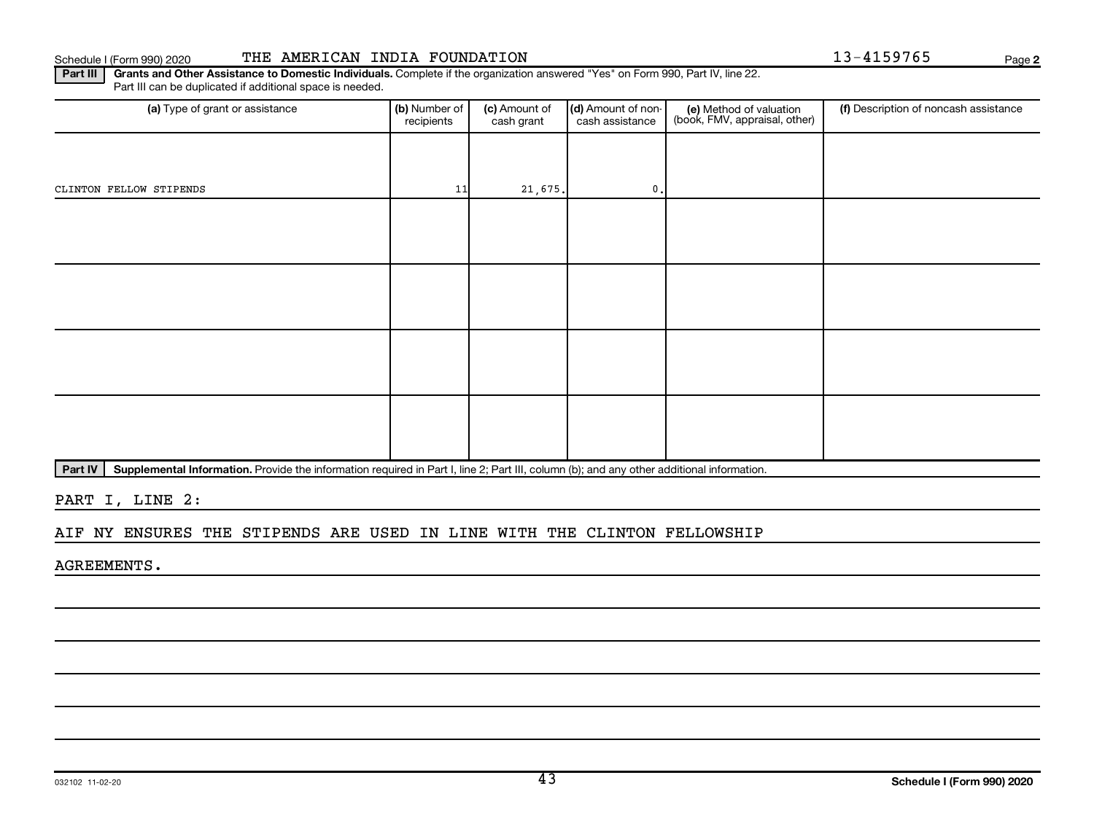**2**

Part III | Grants and Other Assistance to Domestic Individuals. Complete if the organization answered "Yes" on Form 990, Part IV, line 22. Part III can be duplicated if additional space is needed.

| (a) Type of grant or assistance | (b) Number of<br>recipients | (c) Amount of<br>cash grant | (d) Amount of non-<br>cash assistance | (e) Method of valuation<br>(book, FMV, appraisal, other) | (f) Description of noncash assistance |
|---------------------------------|-----------------------------|-----------------------------|---------------------------------------|----------------------------------------------------------|---------------------------------------|
|                                 |                             |                             |                                       |                                                          |                                       |
| CLINTON FELLOW STIPENDS         | 11                          | 21,675.                     | 0.                                    |                                                          |                                       |
|                                 |                             |                             |                                       |                                                          |                                       |
|                                 |                             |                             |                                       |                                                          |                                       |
|                                 |                             |                             |                                       |                                                          |                                       |
|                                 |                             |                             |                                       |                                                          |                                       |
|                                 |                             |                             |                                       |                                                          |                                       |
|                                 |                             |                             |                                       |                                                          |                                       |
|                                 |                             |                             |                                       |                                                          |                                       |
|                                 |                             |                             |                                       |                                                          |                                       |

Part IV | Supplemental Information. Provide the information required in Part I, line 2; Part III, column (b); and any other additional information.

PART I, LINE 2:

#### AIF NY ENSURES THE STIPENDS ARE USED IN LINE WITH THE CLINTON FELLOWSHIP

AGREEMENTS.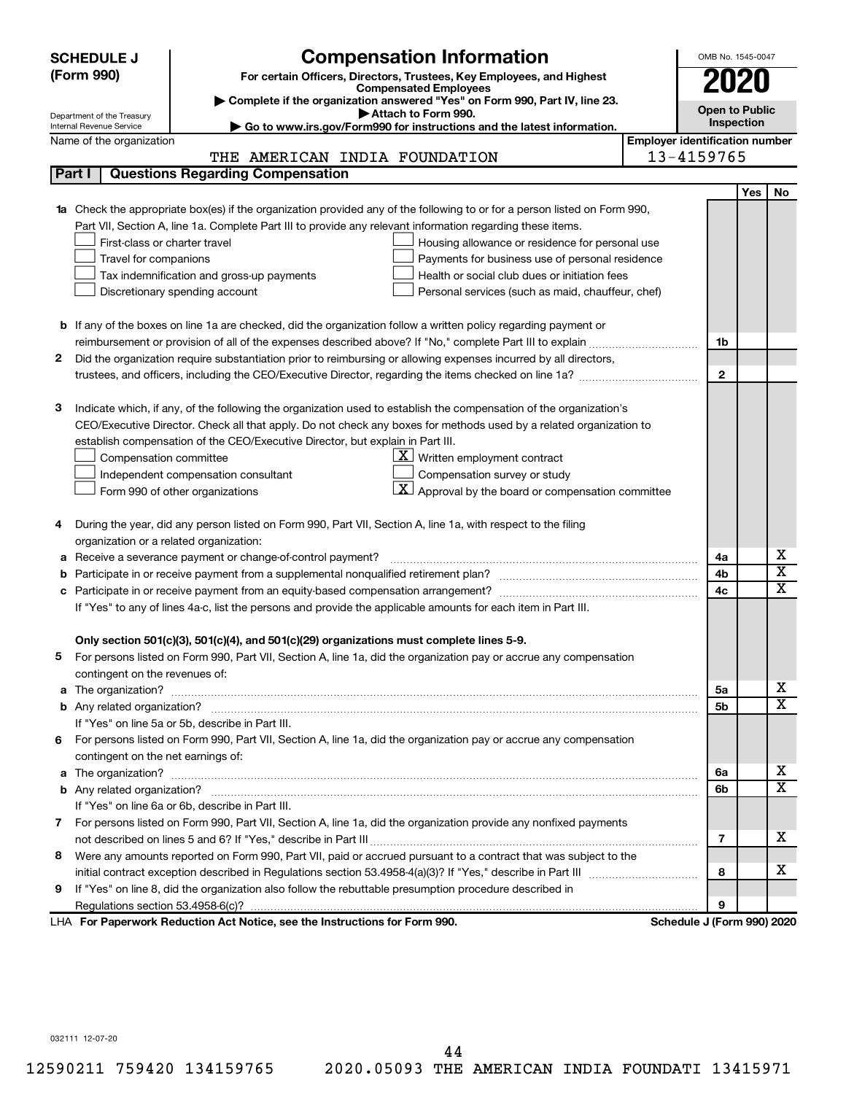| <b>Compensation Information</b><br><b>SCHEDULE J</b>                                                                             | OMB No. 1545-0047                     |                              |  |  |
|----------------------------------------------------------------------------------------------------------------------------------|---------------------------------------|------------------------------|--|--|
| (Form 990)<br>For certain Officers, Directors, Trustees, Key Employees, and Highest                                              |                                       |                              |  |  |
| <b>Compensated Employees</b>                                                                                                     |                                       |                              |  |  |
| Complete if the organization answered "Yes" on Form 990, Part IV, line 23.<br>Attach to Form 990.                                | <b>Open to Public</b>                 |                              |  |  |
| Department of the Treasury<br>Go to www.irs.gov/Form990 for instructions and the latest information.<br>Internal Revenue Service | Inspection                            |                              |  |  |
| Name of the organization                                                                                                         | <b>Employer identification number</b> |                              |  |  |
| THE AMERICAN INDIA FOUNDATION                                                                                                    | 13-4159765                            |                              |  |  |
| <b>Questions Regarding Compensation</b><br>Part I                                                                                |                                       |                              |  |  |
|                                                                                                                                  |                                       | <b>Yes</b><br>No             |  |  |
| 1a Check the appropriate box(es) if the organization provided any of the following to or for a person listed on Form 990,        |                                       |                              |  |  |
| Part VII, Section A, line 1a. Complete Part III to provide any relevant information regarding these items.                       |                                       |                              |  |  |
| First-class or charter travel<br>Housing allowance or residence for personal use                                                 |                                       |                              |  |  |
| Travel for companions<br>Payments for business use of personal residence                                                         |                                       |                              |  |  |
| Health or social club dues or initiation fees<br>Tax indemnification and gross-up payments                                       |                                       |                              |  |  |
| Discretionary spending account<br>Personal services (such as maid, chauffeur, chef)                                              |                                       |                              |  |  |
|                                                                                                                                  |                                       |                              |  |  |
| <b>b</b> If any of the boxes on line 1a are checked, did the organization follow a written policy regarding payment or           |                                       |                              |  |  |
| reimbursement or provision of all of the expenses described above? If "No," complete Part III to explain                         | 1b                                    |                              |  |  |
| 2<br>Did the organization require substantiation prior to reimbursing or allowing expenses incurred by all directors,            |                                       |                              |  |  |
|                                                                                                                                  | $\mathbf{2}$                          |                              |  |  |
| Indicate which, if any, of the following the organization used to establish the compensation of the organization's<br>3          |                                       |                              |  |  |
| CEO/Executive Director. Check all that apply. Do not check any boxes for methods used by a related organization to               |                                       |                              |  |  |
| establish compensation of the CEO/Executive Director, but explain in Part III.                                                   |                                       |                              |  |  |
| $\underline{\mathbf{X}}$ Written employment contract<br>Compensation committee                                                   |                                       |                              |  |  |
| Compensation survey or study<br>Independent compensation consultant                                                              |                                       |                              |  |  |
| X <br>Approval by the board or compensation committee<br>Form 990 of other organizations                                         |                                       |                              |  |  |
|                                                                                                                                  |                                       |                              |  |  |
| During the year, did any person listed on Form 990, Part VII, Section A, line 1a, with respect to the filing<br>4                |                                       |                              |  |  |
| organization or a related organization:                                                                                          |                                       |                              |  |  |
| Receive a severance payment or change-of-control payment?<br>а                                                                   | 4a                                    | х                            |  |  |
|                                                                                                                                  | 4b                                    | $\overline{\textnormal{x}}$  |  |  |
| Participate in or receive payment from an equity-based compensation arrangement?<br>c                                            | 4c                                    | $\overline{\textnormal{x}}$  |  |  |
| If "Yes" to any of lines 4a-c, list the persons and provide the applicable amounts for each item in Part III.                    |                                       |                              |  |  |
|                                                                                                                                  |                                       |                              |  |  |
| Only section 501(c)(3), 501(c)(4), and 501(c)(29) organizations must complete lines 5-9.                                         |                                       |                              |  |  |
| For persons listed on Form 990, Part VII, Section A, line 1a, did the organization pay or accrue any compensation                |                                       |                              |  |  |
| contingent on the revenues of:                                                                                                   |                                       |                              |  |  |
|                                                                                                                                  | 5a                                    | х                            |  |  |
|                                                                                                                                  | 5b                                    | $\overline{\mathbf{X}}$      |  |  |
| If "Yes" on line 5a or 5b, describe in Part III.                                                                                 |                                       |                              |  |  |
| 6 For persons listed on Form 990, Part VII, Section A, line 1a, did the organization pay or accrue any compensation              |                                       |                              |  |  |
| contingent on the net earnings of:                                                                                               |                                       |                              |  |  |
| The organization? <b>William Commission Commission Commission</b> Commission Commission Commission Commission Commission<br>a    | 6a                                    | х<br>$\overline{\mathbf{X}}$ |  |  |
|                                                                                                                                  | 6b                                    |                              |  |  |
| If "Yes" on line 6a or 6b, describe in Part III.                                                                                 |                                       |                              |  |  |
| 7 For persons listed on Form 990, Part VII, Section A, line 1a, did the organization provide any nonfixed payments               |                                       | x                            |  |  |
|                                                                                                                                  | 7                                     |                              |  |  |
| Were any amounts reported on Form 990, Part VII, paid or accrued pursuant to a contract that was subject to the<br>8             |                                       | х                            |  |  |
| If "Yes" on line 8, did the organization also follow the rebuttable presumption procedure described in                           | 8                                     |                              |  |  |
| 9                                                                                                                                | 9                                     |                              |  |  |
| LHA For Paperwork Reduction Act Notice, see the Instructions for Form 990.                                                       | Schedule J (Form 990) 2020            |                              |  |  |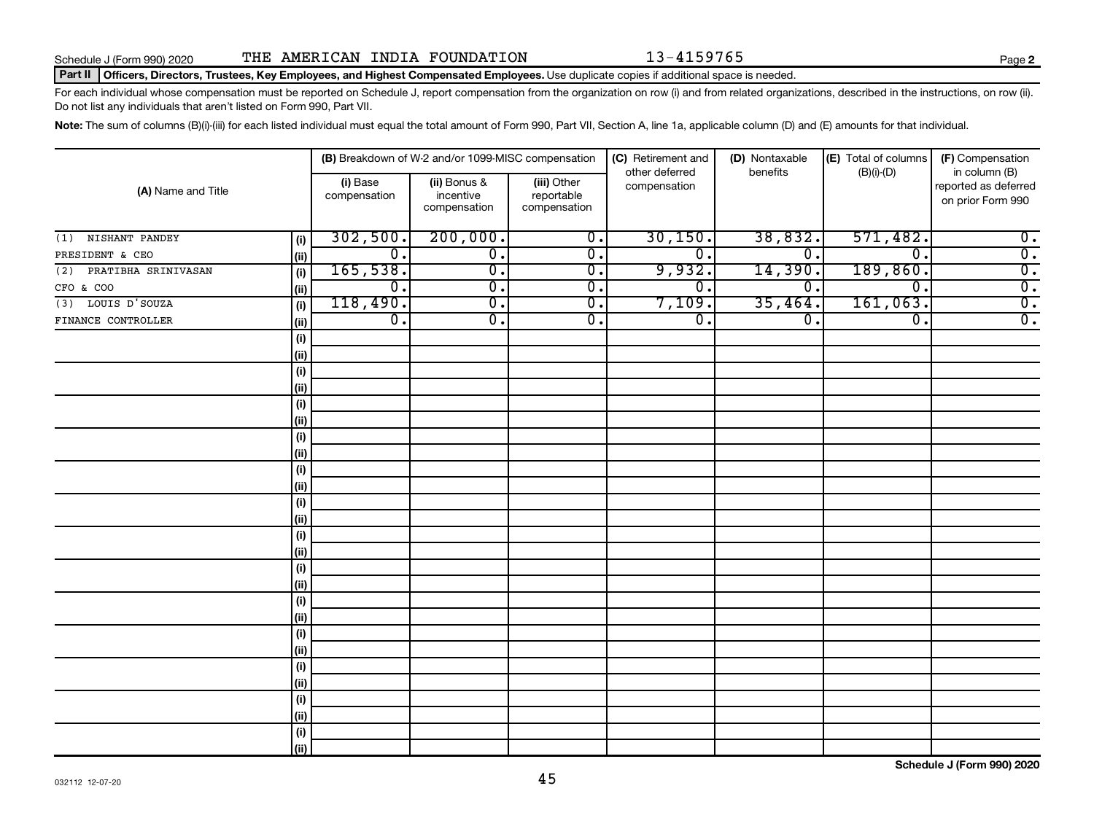#### Part II | Officers, Directors, Trustees, Key Employees, and Highest Compensated Employees. Use duplicate copies if additional space is needed.

For each individual whose compensation must be reported on Schedule J, report compensation from the organization on row (i) and from related organizations, described in the instructions, on row (ii). Do not list any individuals that aren't listed on Form 990, Part VII.

Note: The sum of columns (B)(i)-(iii) for each listed individual must equal the total amount of Form 990, Part VII, Section A, line 1a, applicable column (D) and (E) amounts for that individual.

| (A) Name and Title         |      |                          | (B) Breakdown of W-2 and/or 1099-MISC compensation |                                           | (C) Retirement and             | (D) Nontaxable   | (E) Total of columns        | (F) Compensation                                           |
|----------------------------|------|--------------------------|----------------------------------------------------|-------------------------------------------|--------------------------------|------------------|-----------------------------|------------------------------------------------------------|
|                            |      | (i) Base<br>compensation | (ii) Bonus &<br>incentive<br>compensation          | (iii) Other<br>reportable<br>compensation | other deferred<br>compensation | benefits         | $(B)(i)$ - $(D)$            | in column (B)<br>reported as deferred<br>on prior Form 990 |
| NISHANT PANDEY<br>(1)      | (i)  | 302,500.                 | 200,000.                                           | $\overline{0}$ .                          | 30, 150.                       | 38,832.          | 571,482.                    | $\overline{\mathbf{0}}$ .                                  |
| PRESIDENT & CEO            | (ii) | $\overline{0}$ .         | $\overline{0}$ .                                   | $\overline{0}$ .                          | 0.                             | 0.               | $\overline{0}$ .            | $\overline{0}$ .                                           |
| PRATIBHA SRINIVASAN<br>(2) | (i)  | 165,538.                 | $\overline{0}$ .                                   | $\overline{0}$ .                          | 9,932.                         | 14,390.          | 189, 860.                   | $\overline{0}$ .                                           |
| CFO & COO                  | (ii) | $\overline{0}$ .         | $\overline{\mathfrak{o}}$ .                        | $\overline{0}$ .                          | $\overline{0}$                 | 0.               | $\overline{\mathfrak{o}}$ . | $\overline{0}$ .                                           |
| $(3)$ LOUIS D'SOUZA        | (i)  | 118,490.                 | $\overline{\mathfrak{o}}$ .                        | $\overline{0}$ .                          | 7,109.                         | 35,464.          | 161,063.                    | $\overline{0}$ .                                           |
| FINANCE CONTROLLER         | (ii) | $\overline{0}$ .         | $\overline{\mathfrak{o}}$ .                        | $\overline{0}$ .                          | $\overline{0}$ .               | $\overline{0}$ . | $\overline{\mathfrak{o}}$ . | $\overline{0}$ .                                           |
|                            | (i)  |                          |                                                    |                                           |                                |                  |                             |                                                            |
|                            | (ii) |                          |                                                    |                                           |                                |                  |                             |                                                            |
|                            | (i)  |                          |                                                    |                                           |                                |                  |                             |                                                            |
|                            | (ii) |                          |                                                    |                                           |                                |                  |                             |                                                            |
|                            | (i)  |                          |                                                    |                                           |                                |                  |                             |                                                            |
|                            | (ii) |                          |                                                    |                                           |                                |                  |                             |                                                            |
|                            | (i)  |                          |                                                    |                                           |                                |                  |                             |                                                            |
|                            | (ii) |                          |                                                    |                                           |                                |                  |                             |                                                            |
|                            | (i)  |                          |                                                    |                                           |                                |                  |                             |                                                            |
|                            | (ii) |                          |                                                    |                                           |                                |                  |                             |                                                            |
|                            | (i)  |                          |                                                    |                                           |                                |                  |                             |                                                            |
|                            | (ii) |                          |                                                    |                                           |                                |                  |                             |                                                            |
|                            | (i)  |                          |                                                    |                                           |                                |                  |                             |                                                            |
|                            | (ii) |                          |                                                    |                                           |                                |                  |                             |                                                            |
|                            | (i)  |                          |                                                    |                                           |                                |                  |                             |                                                            |
|                            | (ii) |                          |                                                    |                                           |                                |                  |                             |                                                            |
|                            | (i)  |                          |                                                    |                                           |                                |                  |                             |                                                            |
|                            | (ii) |                          |                                                    |                                           |                                |                  |                             |                                                            |
|                            | (i)  |                          |                                                    |                                           |                                |                  |                             |                                                            |
|                            | (ii) |                          |                                                    |                                           |                                |                  |                             |                                                            |
|                            | (i)  |                          |                                                    |                                           |                                |                  |                             |                                                            |
|                            | (ii) |                          |                                                    |                                           |                                |                  |                             |                                                            |
|                            | (i)  |                          |                                                    |                                           |                                |                  |                             |                                                            |
|                            | (ii) |                          |                                                    |                                           |                                |                  |                             |                                                            |
|                            | (i)  |                          |                                                    |                                           |                                |                  |                             |                                                            |
|                            | (ii) |                          |                                                    |                                           |                                |                  |                             |                                                            |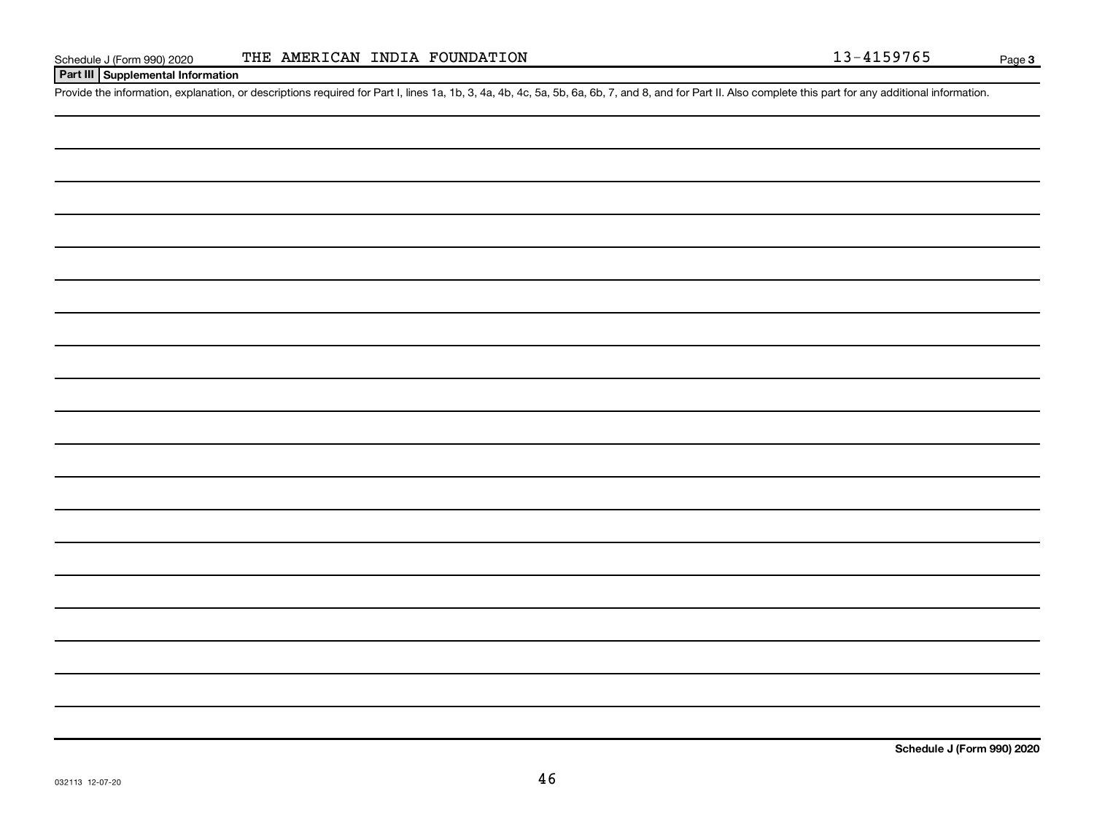| $\overbrace{\hspace{27mm}}$                                                                                                       |  |  |
|-----------------------------------------------------------------------------------------------------------------------------------|--|--|
|                                                                                                                                   |  |  |
|                                                                                                                                   |  |  |
|                                                                                                                                   |  |  |
|                                                                                                                                   |  |  |
|                                                                                                                                   |  |  |
|                                                                                                                                   |  |  |
|                                                                                                                                   |  |  |
|                                                                                                                                   |  |  |
|                                                                                                                                   |  |  |
|                                                                                                                                   |  |  |
|                                                                                                                                   |  |  |
|                                                                                                                                   |  |  |
|                                                                                                                                   |  |  |
|                                                                                                                                   |  |  |
|                                                                                                                                   |  |  |
|                                                                                                                                   |  |  |
|                                                                                                                                   |  |  |
|                                                                                                                                   |  |  |
|                                                                                                                                   |  |  |
|                                                                                                                                   |  |  |
| $\frac{1}{2} \left( \frac{1}{2} \right)^2 \left( \frac{1}{2} \right)^2 \left( \frac{1}{2} \right)^2 \left( \frac{1}{2} \right)^2$ |  |  |
|                                                                                                                                   |  |  |
|                                                                                                                                   |  |  |
|                                                                                                                                   |  |  |
|                                                                                                                                   |  |  |
|                                                                                                                                   |  |  |
|                                                                                                                                   |  |  |
|                                                                                                                                   |  |  |
|                                                                                                                                   |  |  |
|                                                                                                                                   |  |  |
|                                                                                                                                   |  |  |
|                                                                                                                                   |  |  |
|                                                                                                                                   |  |  |
|                                                                                                                                   |  |  |
|                                                                                                                                   |  |  |
|                                                                                                                                   |  |  |
|                                                                                                                                   |  |  |
|                                                                                                                                   |  |  |
|                                                                                                                                   |  |  |
|                                                                                                                                   |  |  |
|                                                                                                                                   |  |  |
|                                                                                                                                   |  |  |
|                                                                                                                                   |  |  |
|                                                                                                                                   |  |  |
|                                                                                                                                   |  |  |
|                                                                                                                                   |  |  |
|                                                                                                                                   |  |  |
|                                                                                                                                   |  |  |
|                                                                                                                                   |  |  |
|                                                                                                                                   |  |  |
|                                                                                                                                   |  |  |

**Part III Supplemental Information**

Provide the information, explanation, or descriptions required for Part I, lines 1a, 1b, 3, 4a, 4b, 4c, 5a, 5b, 6a, 6b, 7, and 8, and for Part II. Also complete this part for any additional information.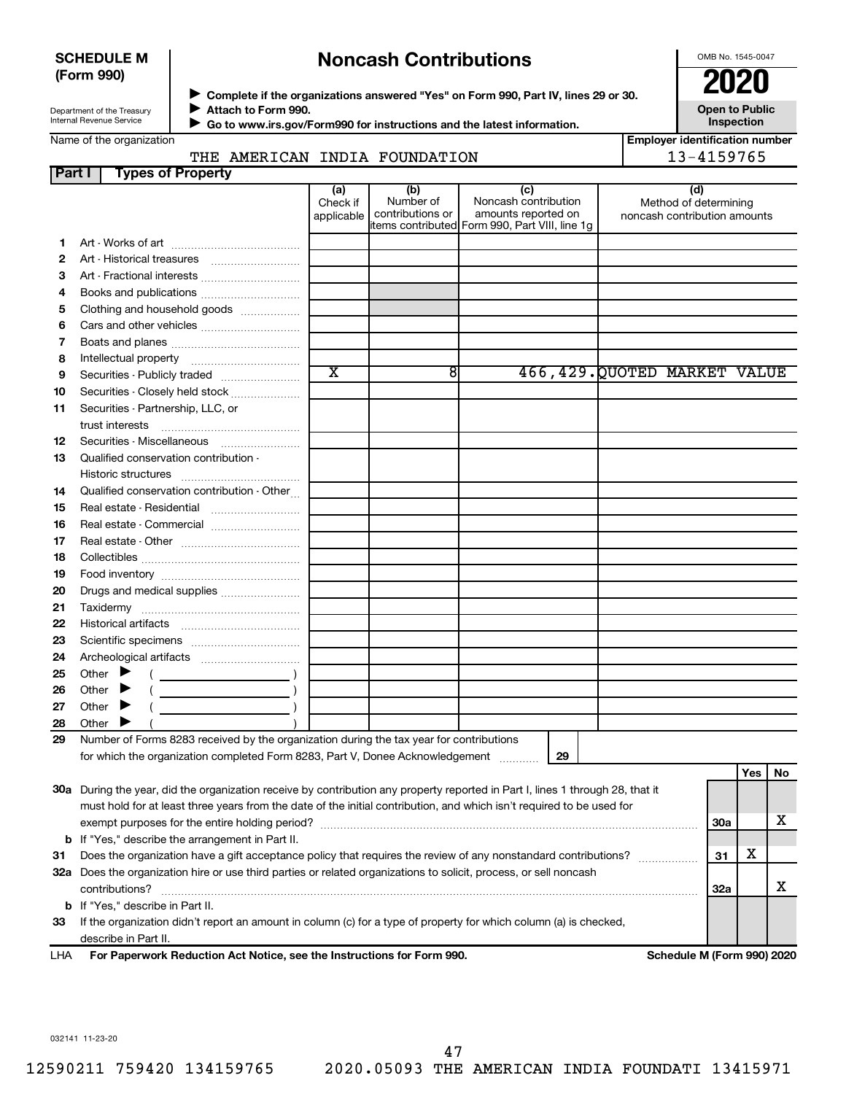#### **SCHEDULE M (Form 990)**

## **Noncash Contributions**

OMB No. 1545-0047

**Open to Public**

| Department of the Treasury |
|----------------------------|
| Internal Revenue Service   |

Name of the organization

◆ Complete if the organizations answered "Yes" on Form 990, Part IV, lines 29 or 30.<br>● Complete if the organizations answered "Yes" on Form 990, Part IV, lines 29 or 30. **Attach to Form 990.**  $\blacktriangleright$ 

 **Go to www.irs.gov/Form990 for instructions and the latest information.** J

**Inspection Employer identification number**

### THE AMERICAN INDIA FOUNDATION 13-4159765

| <b>Part I</b> | <b>Types of Property</b>                                                                                                       |                        |                               |                                                |                                                       |            |            |    |  |
|---------------|--------------------------------------------------------------------------------------------------------------------------------|------------------------|-------------------------------|------------------------------------------------|-------------------------------------------------------|------------|------------|----|--|
|               |                                                                                                                                | (a)                    | (b)                           | (c)                                            | (d)                                                   |            |            |    |  |
|               |                                                                                                                                | Check if<br>applicable | Number of<br>contributions or | Noncash contribution<br>amounts reported on    | Method of determining<br>noncash contribution amounts |            |            |    |  |
|               |                                                                                                                                |                        |                               | items contributed Form 990, Part VIII, line 1g |                                                       |            |            |    |  |
| 1             |                                                                                                                                |                        |                               |                                                |                                                       |            |            |    |  |
| 2             | Art - Historical treasures                                                                                                     |                        |                               |                                                |                                                       |            |            |    |  |
| З             | Art - Fractional interests                                                                                                     |                        |                               |                                                |                                                       |            |            |    |  |
| 4             | Books and publications                                                                                                         |                        |                               |                                                |                                                       |            |            |    |  |
| 5             | Clothing and household goods                                                                                                   |                        |                               |                                                |                                                       |            |            |    |  |
| 6             |                                                                                                                                |                        |                               |                                                |                                                       |            |            |    |  |
| 7             |                                                                                                                                |                        |                               |                                                |                                                       |            |            |    |  |
| 8             |                                                                                                                                |                        |                               |                                                |                                                       |            |            |    |  |
| 9             | Securities - Publicly traded                                                                                                   | $\overline{\text{x}}$  | 8                             |                                                | 466, 429. QUOTED MARKET VALUE                         |            |            |    |  |
| 10            | Securities - Closely held stock                                                                                                |                        |                               |                                                |                                                       |            |            |    |  |
| 11            | Securities - Partnership, LLC, or                                                                                              |                        |                               |                                                |                                                       |            |            |    |  |
|               | trust interests                                                                                                                |                        |                               |                                                |                                                       |            |            |    |  |
| 12            | Securities - Miscellaneous                                                                                                     |                        |                               |                                                |                                                       |            |            |    |  |
| 13            | Qualified conservation contribution -                                                                                          |                        |                               |                                                |                                                       |            |            |    |  |
|               |                                                                                                                                |                        |                               |                                                |                                                       |            |            |    |  |
| 14            | Qualified conservation contribution - Other                                                                                    |                        |                               |                                                |                                                       |            |            |    |  |
| 15            |                                                                                                                                |                        |                               |                                                |                                                       |            |            |    |  |
| 16            | Real estate - Commercial                                                                                                       |                        |                               |                                                |                                                       |            |            |    |  |
| 17            |                                                                                                                                |                        |                               |                                                |                                                       |            |            |    |  |
| 18            |                                                                                                                                |                        |                               |                                                |                                                       |            |            |    |  |
| 19            |                                                                                                                                |                        |                               |                                                |                                                       |            |            |    |  |
| 20            | Drugs and medical supplies                                                                                                     |                        |                               |                                                |                                                       |            |            |    |  |
| 21            |                                                                                                                                |                        |                               |                                                |                                                       |            |            |    |  |
| 22            |                                                                                                                                |                        |                               |                                                |                                                       |            |            |    |  |
| 23            |                                                                                                                                |                        |                               |                                                |                                                       |            |            |    |  |
| 24            |                                                                                                                                |                        |                               |                                                |                                                       |            |            |    |  |
| 25            | Other<br>▸                                                                                                                     |                        |                               |                                                |                                                       |            |            |    |  |
| 26            | $\overline{\phantom{a}}$<br>Other                                                                                              |                        |                               |                                                |                                                       |            |            |    |  |
| 27            | Other<br>▸                                                                                                                     |                        |                               |                                                |                                                       |            |            |    |  |
| 28            | Other                                                                                                                          |                        |                               |                                                |                                                       |            |            |    |  |
| 29            | Number of Forms 8283 received by the organization during the tax year for contributions                                        |                        |                               |                                                |                                                       |            |            |    |  |
|               | for which the organization completed Form 8283, Part V, Donee Acknowledgement                                                  |                        |                               | 29                                             |                                                       |            |            |    |  |
|               |                                                                                                                                |                        |                               |                                                |                                                       |            | <b>Yes</b> | No |  |
|               | 30a During the year, did the organization receive by contribution any property reported in Part I, lines 1 through 28, that it |                        |                               |                                                |                                                       |            |            |    |  |
|               | must hold for at least three years from the date of the initial contribution, and which isn't required to be used for          |                        |                               |                                                |                                                       |            |            |    |  |
|               |                                                                                                                                |                        |                               |                                                |                                                       | <b>30a</b> |            | х  |  |
|               | <b>b</b> If "Yes," describe the arrangement in Part II.                                                                        |                        |                               |                                                |                                                       |            |            |    |  |
| 31            | Does the organization have a gift acceptance policy that requires the review of any nonstandard contributions?                 |                        |                               |                                                |                                                       |            |            |    |  |
|               | 32a Does the organization hire or use third parties or related organizations to solicit, process, or sell noncash              |                        |                               |                                                |                                                       |            |            |    |  |
|               | contributions?<br><b>32a</b>                                                                                                   |                        |                               |                                                |                                                       |            |            |    |  |
|               | <b>b</b> If "Yes," describe in Part II.                                                                                        |                        |                               |                                                |                                                       |            |            |    |  |
| 33            | If the organization didn't report an amount in column (c) for a type of property for which column (a) is checked,              |                        |                               |                                                |                                                       |            |            |    |  |
|               | describe in Part II.                                                                                                           |                        |                               |                                                |                                                       |            |            |    |  |
| LHA           | For Paperwork Reduction Act Notice, see the Instructions for Form 990.                                                         |                        |                               |                                                | Schedule M (Form 990) 2020                            |            |            |    |  |

032141 11-23-20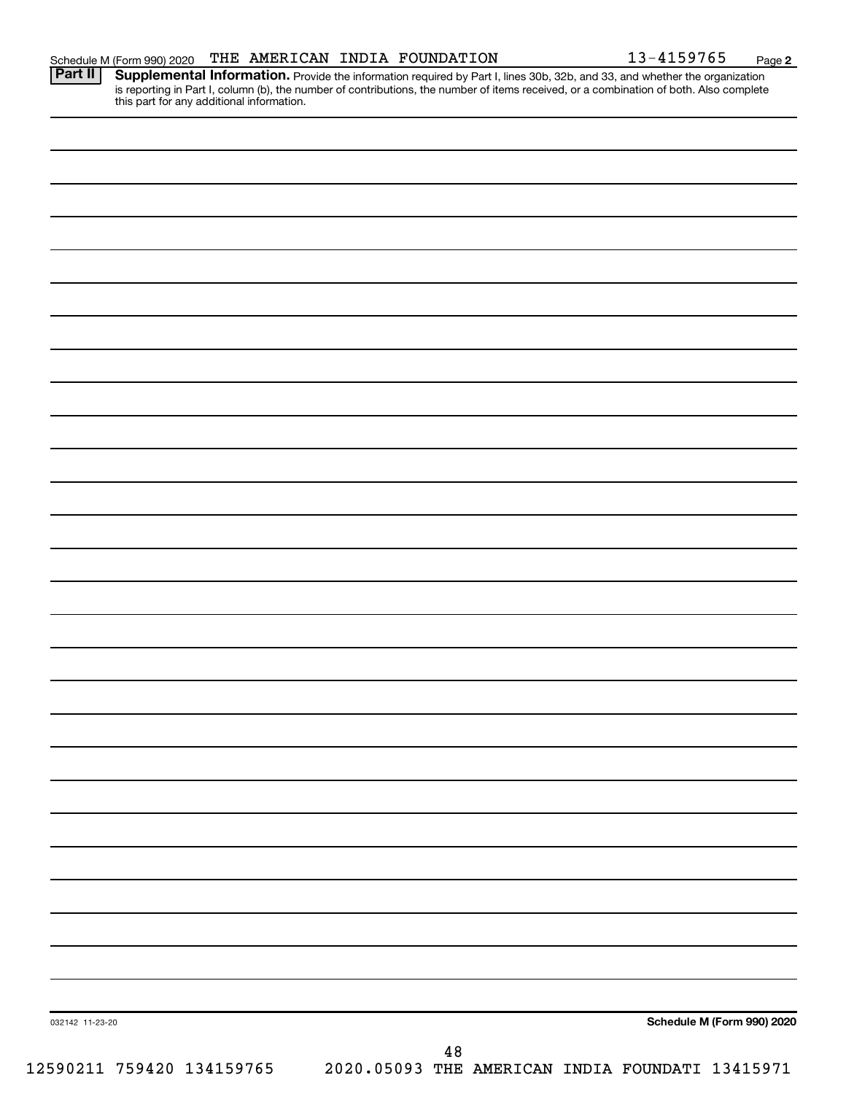Provide the information required by Part I, lines 30b, 32b, and 33, and whether the organization is reporting in Part I, column (b), the number of contributions, the number of items received, or a combination of both. Also complete this part for any additional information. **Part II Supplemental Information.** 

| Schedule M (Form 990) 2020<br>032142 11-23-20<br>48 |                           |                                                 |
|-----------------------------------------------------|---------------------------|-------------------------------------------------|
|                                                     |                           |                                                 |
|                                                     |                           |                                                 |
|                                                     |                           |                                                 |
|                                                     |                           |                                                 |
|                                                     |                           |                                                 |
|                                                     |                           |                                                 |
|                                                     |                           |                                                 |
|                                                     |                           |                                                 |
|                                                     |                           |                                                 |
|                                                     |                           |                                                 |
|                                                     |                           |                                                 |
|                                                     |                           |                                                 |
|                                                     |                           |                                                 |
|                                                     |                           |                                                 |
|                                                     |                           |                                                 |
|                                                     |                           |                                                 |
|                                                     |                           |                                                 |
|                                                     |                           |                                                 |
|                                                     |                           |                                                 |
|                                                     |                           |                                                 |
|                                                     |                           |                                                 |
|                                                     |                           |                                                 |
|                                                     |                           |                                                 |
|                                                     |                           |                                                 |
|                                                     |                           |                                                 |
|                                                     |                           |                                                 |
|                                                     |                           |                                                 |
|                                                     |                           |                                                 |
|                                                     |                           |                                                 |
|                                                     |                           |                                                 |
|                                                     |                           |                                                 |
|                                                     |                           |                                                 |
|                                                     |                           |                                                 |
|                                                     |                           |                                                 |
|                                                     |                           |                                                 |
|                                                     |                           |                                                 |
|                                                     |                           |                                                 |
|                                                     |                           |                                                 |
|                                                     | 12590211 759420 134159765 | 2020.05093 THE AMERICAN INDIA FOUNDATI 13415971 |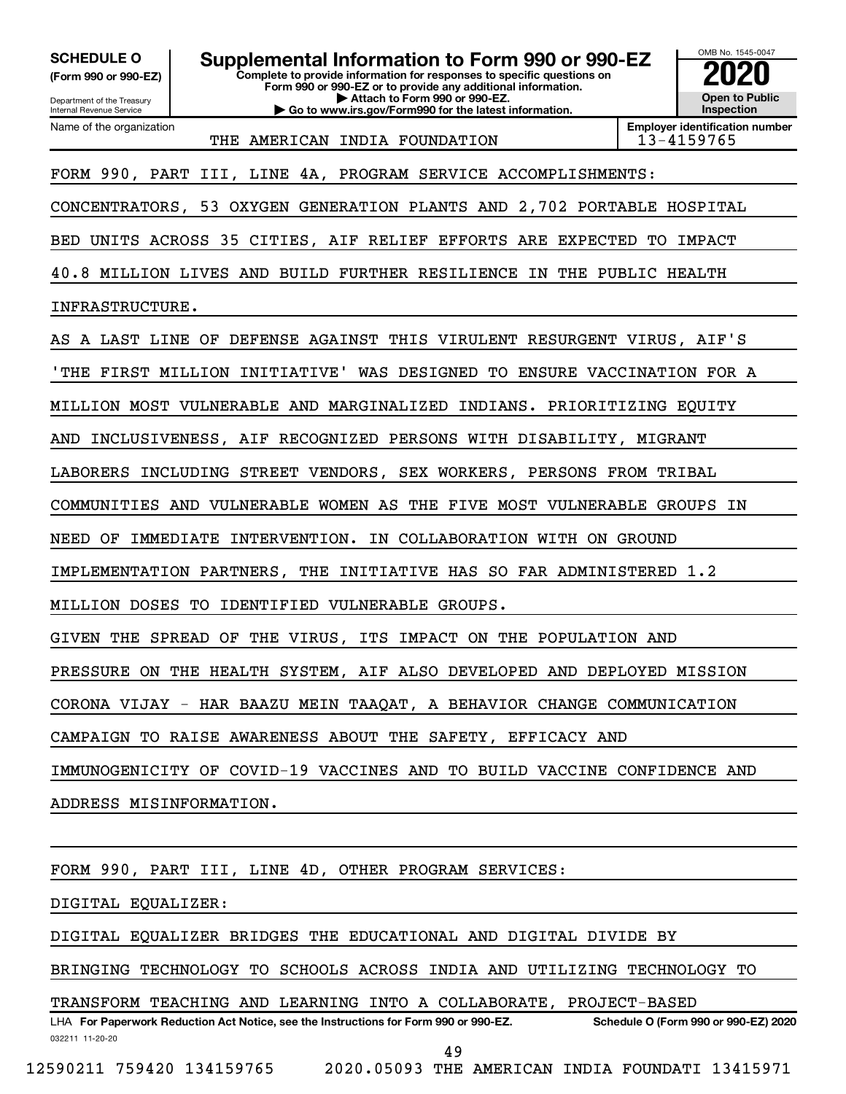**(Form 990 or 990-EZ)**

Department of the Treasury Internal Revenue Service Name of the organization

**Complete to provide information for responses to specific questions on Form 990 or 990-EZ or to provide any additional information. | Attach to Form 990 or 990-EZ. | Go to www.irs.gov/Form990 for the latest information. SCHEDULE O Supplemental Information to Form 990 or 990-EZ 2020**<br>(Form 990 or 990-EZ) Complete to provide information for responses to specific questions on



THE AMERICAN INDIA FOUNDATION | 13-4159765

**Employer identification number**

FORM 990, PART III, LINE 4A, PROGRAM SERVICE ACCOMPLISHMENTS:

CONCENTRATORS, 53 OXYGEN GENERATION PLANTS AND 2,702 PORTABLE HOSPITAL

BED UNITS ACROSS 35 CITIES, AIF RELIEF EFFORTS ARE EXPECTED TO IMPACT

40.8 MILLION LIVES AND BUILD FURTHER RESILIENCE IN THE PUBLIC HEALTH

INFRASTRUCTURE.

AS A LAST LINE OF DEFENSE AGAINST THIS VIRULENT RESURGENT VIRUS, AIF'S

'THE FIRST MILLION INITIATIVE' WAS DESIGNED TO ENSURE VACCINATION FOR A

MILLION MOST VULNERABLE AND MARGINALIZED INDIANS. PRIORITIZING EQUITY

AND INCLUSIVENESS, AIF RECOGNIZED PERSONS WITH DISABILITY, MIGRANT

LABORERS INCLUDING STREET VENDORS, SEX WORKERS, PERSONS FROM TRIBAL

COMMUNITIES AND VULNERABLE WOMEN AS THE FIVE MOST VULNERABLE GROUPS IN

NEED OF IMMEDIATE INTERVENTION. IN COLLABORATION WITH ON GROUND

IMPLEMENTATION PARTNERS, THE INITIATIVE HAS SO FAR ADMINISTERED 1.2

MILLION DOSES TO IDENTIFIED VULNERABLE GROUPS.

GIVEN THE SPREAD OF THE VIRUS, ITS IMPACT ON THE POPULATION AND

PRESSURE ON THE HEALTH SYSTEM, AIF ALSO DEVELOPED AND DEPLOYED MISSION

CORONA VIJAY - HAR BAAZU MEIN TAAQAT, A BEHAVIOR CHANGE COMMUNICATION

CAMPAIGN TO RAISE AWARENESS ABOUT THE SAFETY, EFFICACY AND

IMMUNOGENICITY OF COVID-19 VACCINES AND TO BUILD VACCINE CONFIDENCE AND

ADDRESS MISINFORMATION.

FORM 990, PART III, LINE 4D, OTHER PROGRAM SERVICES:

DIGITAL EQUALIZER:

DIGITAL EQUALIZER BRIDGES THE EDUCATIONAL AND DIGITAL DIVIDE BY

BRINGING TECHNOLOGY TO SCHOOLS ACROSS INDIA AND UTILIZING TECHNOLOGY TO

TRANSFORM TEACHING AND LEARNING INTO A COLLABORATE, PROJECT-BASED

032211 11-20-20 **For Paperwork Reduction Act Notice, see the Instructions for Form 990 or 990-EZ. Schedule O (Form 990 or 990-EZ) 2020** LHA 49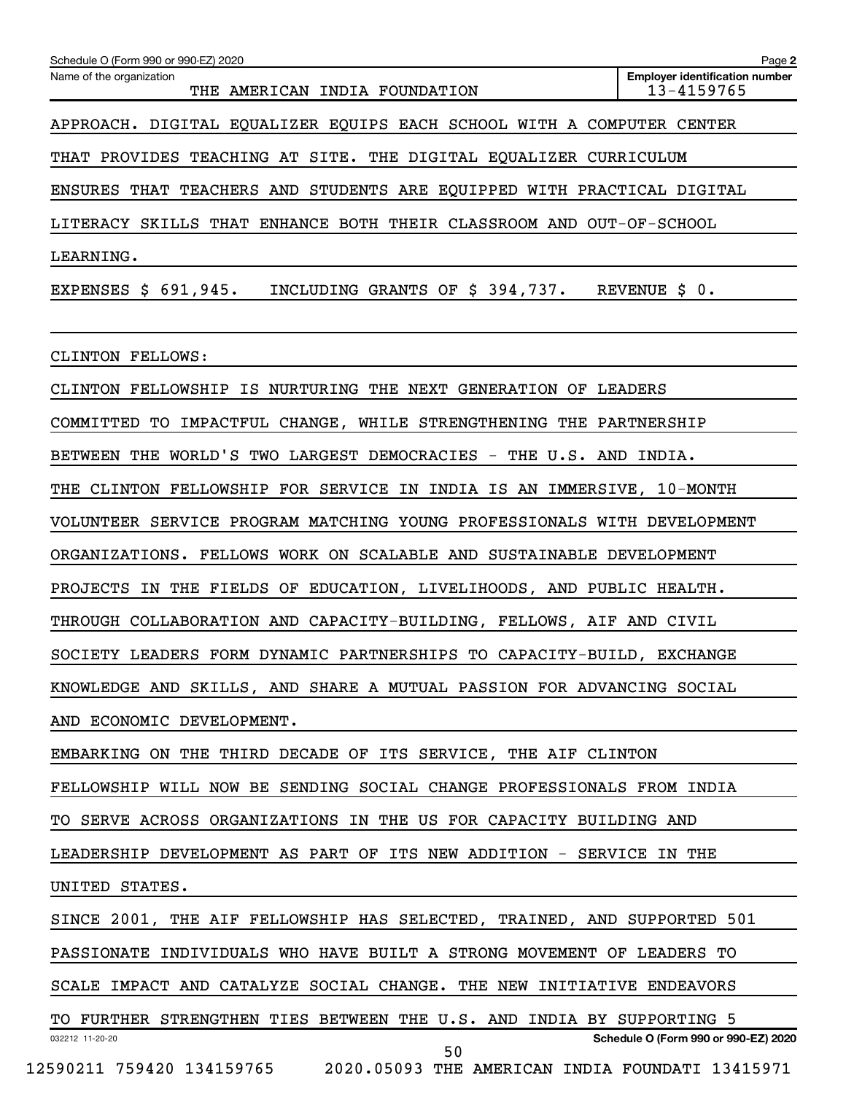| Name of the organization<br>THE AMERICAN INDIA FOUNDATION               | <b>Employer identification number</b><br>13-4159765 |
|-------------------------------------------------------------------------|-----------------------------------------------------|
|                                                                         |                                                     |
| APPROACH. DIGITAL EQUALIZER EQUIPS EACH SCHOOL WITH A COMPUTER CENTER   |                                                     |
| THAT PROVIDES TEACHING AT SITE. THE DIGITAL EQUALIZER CURRICULUM        |                                                     |
| ENSURES THAT TEACHERS AND STUDENTS ARE EQUIPPED WITH PRACTICAL DIGITAL  |                                                     |
| LITERACY SKILLS THAT ENHANCE BOTH THEIR CLASSROOM AND OUT-OF-SCHOOL     |                                                     |
| LEARNING.                                                               |                                                     |
| EXPENSES \$ 691,945. INCLUDING GRANTS OF \$ 394,737. REVENUE \$ 0.      |                                                     |
| CLINTON FELLOWS:                                                        |                                                     |
| CLINTON FELLOWSHIP IS NURTURING THE NEXT GENERATION OF LEADERS          |                                                     |
| COMMITTED TO IMPACTFUL CHANGE, WHILE STRENGTHENING THE PARTNERSHIP      |                                                     |
| BETWEEN THE WORLD'S TWO LARGEST DEMOCRACIES - THE U.S. AND INDIA.       |                                                     |
| THE CLINTON FELLOWSHIP FOR SERVICE IN INDIA IS AN IMMERSIVE, 10-MONTH   |                                                     |
| VOLUNTEER SERVICE PROGRAM MATCHING YOUNG PROFESSIONALS WITH DEVELOPMENT |                                                     |
| ORGANIZATIONS. FELLOWS WORK ON SCALABLE AND SUSTAINABLE DEVELOPMENT     |                                                     |
| PROJECTS IN THE FIELDS OF EDUCATION, LIVELIHOODS, AND PUBLIC HEALTH.    |                                                     |
| THROUGH COLLABORATION AND CAPACITY-BUILDING, FELLOWS, AIF AND CIVIL     |                                                     |
| SOCIETY LEADERS FORM DYNAMIC PARTNERSHIPS TO CAPACITY-BUILD, EXCHANGE   |                                                     |
| KNOWLEDGE AND SKILLS, AND SHARE A MUTUAL PASSION FOR ADVANCING SOCIAL   |                                                     |
| AND ECONOMIC DEVELOPMENT.                                               |                                                     |
| EMBARKING ON THE THIRD DECADE OF ITS SERVICE, THE AIF CLINTON           |                                                     |
| FELLOWSHIP WILL NOW BE SENDING SOCIAL CHANGE PROFESSIONALS FROM INDIA   |                                                     |
|                                                                         |                                                     |
| TO SERVE ACROSS ORGANIZATIONS IN THE US FOR CAPACITY BUILDING AND       |                                                     |
| LEADERSHIP DEVELOPMENT AS PART OF ITS NEW ADDITION - SERVICE IN THE     |                                                     |
| UNITED STATES.                                                          |                                                     |
| SINCE 2001, THE AIF FELLOWSHIP HAS SELECTED, TRAINED, AND SUPPORTED 501 |                                                     |
| PASSIONATE INDIVIDUALS WHO HAVE BUILT A STRONG MOVEMENT OF LEADERS TO   |                                                     |
| SCALE IMPACT AND CATALYZE SOCIAL CHANGE. THE NEW INITIATIVE ENDEAVORS   |                                                     |
| TO FURTHER STRENGTHEN TIES BETWEEN THE U.S. AND INDIA BY SUPPORTING 5   |                                                     |
| 032212 11-20-20<br>50                                                   | Schedule O (Form 990 or 990-EZ) 2020                |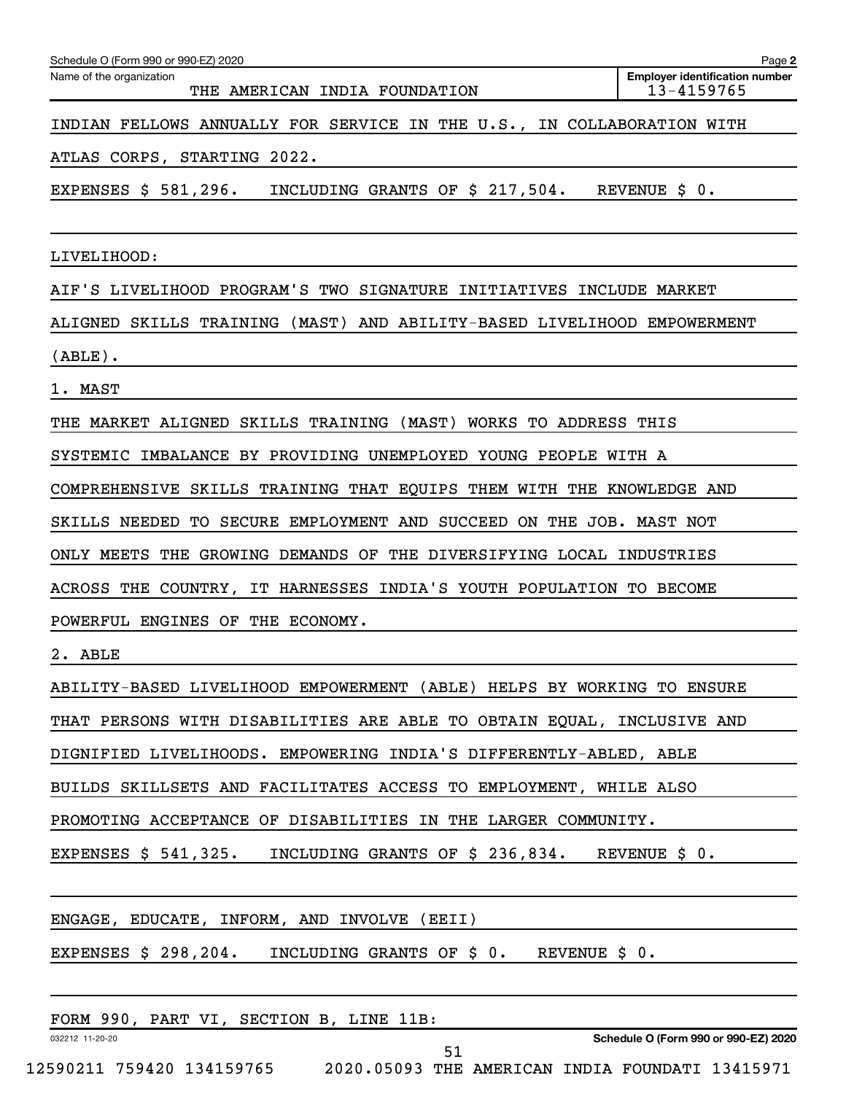| Schedule O (Form 990 or 990-EZ) 2020                                                          | Page 2                                              |
|-----------------------------------------------------------------------------------------------|-----------------------------------------------------|
| Name of the organization<br>THE AMERICAN INDIA FOUNDATION                                     | <b>Employer identification number</b><br>13-4159765 |
| INDIAN FELLOWS ANNUALLY FOR SERVICE IN THE U.S., IN COLLABORATION WITH                        |                                                     |
| ATLAS CORPS, STARTING 2022.                                                                   |                                                     |
| EXPENSES $$581,296.$ INCLUDING GRANTS OF $$217,504.$ REVENUE $$0.$                            |                                                     |
|                                                                                               |                                                     |
| LIVELIHOOD:                                                                                   |                                                     |
| AIF'S LIVELIHOOD PROGRAM'S TWO SIGNATURE INITIATIVES INCLUDE MARKET                           |                                                     |
| ALIGNED SKILLS TRAINING (MAST) AND ABILITY-BASED LIVELIHOOD EMPOWERMENT                       |                                                     |
| $(\texttt{ABLE})$ .                                                                           |                                                     |
| 1. MAST                                                                                       |                                                     |
| THE MARKET ALIGNED SKILLS TRAINING (MAST) WORKS TO ADDRESS THIS                               |                                                     |
| SYSTEMIC IMBALANCE BY PROVIDING UNEMPLOYED YOUNG PEOPLE WITH A                                |                                                     |
| COMPREHENSIVE SKILLS TRAINING THAT EQUIPS THEM WITH THE KNOWLEDGE AND                         |                                                     |
| SKILLS NEEDED TO SECURE EMPLOYMENT AND SUCCEED ON THE JOB. MAST NOT                           |                                                     |
| ONLY MEETS<br>THE GROWING DEMANDS OF THE DIVERSIFYING LOCAL INDUSTRIES                        |                                                     |
| ACROSS THE COUNTRY, IT HARNESSES INDIA'S YOUTH POPULATION TO BECOME                           |                                                     |
| POWERFUL ENGINES OF THE ECONOMY.                                                              |                                                     |
| 2. ABLE                                                                                       |                                                     |
| ABILITY-BASED LIVELIHOOD EMPOWERMENT (ABLE) HELPS BY WORKING TO ENSURE                        |                                                     |
| THAT PERSONS WITH DISABILITIES ARE ABLE TO OBTAIN EQUAL, INCLUSIVE AND                        |                                                     |
| DIGNIFIED LIVELIHOODS. EMPOWERING INDIA'S DIFFERENTLY-ABLED, ABLE                             |                                                     |
| BUILDS SKILLSETS AND FACILITATES ACCESS TO EMPLOYMENT, WHILE ALSO                             |                                                     |
| PROMOTING ACCEPTANCE OF DISABILITIES IN THE LARGER COMMUNITY.                                 |                                                     |
| EXPENSES \$ 541,325.<br>INCLUDING GRANTS OF $\frac{236}{834}$ . REVENUE $\frac{20}{9}$ .      |                                                     |
|                                                                                               |                                                     |
| ENGAGE, EDUCATE, INFORM, AND INVOLVE (EEII)                                                   |                                                     |
| EXPENSES $\frac{1}{5}$ 298,204. INCLUDING GRANTS OF $\frac{1}{5}$ 0. REVENUE $\frac{1}{5}$ 0. |                                                     |
|                                                                                               |                                                     |
| FORM 990, PART VI, SECTION B, LINE 11B:                                                       |                                                     |
| 032212 11-20-20<br>51                                                                         | Schedule O (Form 990 or 990-EZ) 2020                |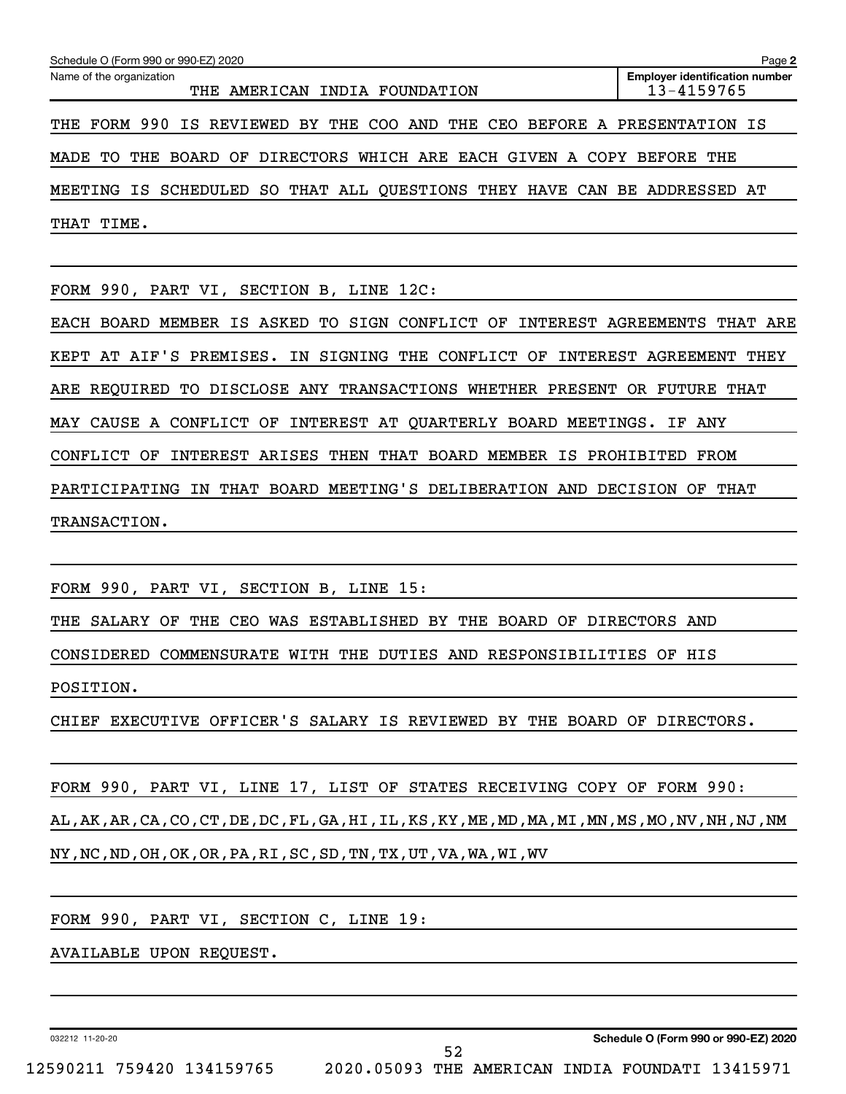| Name of the organization<br>THE AMERICAN INDIA FOUNDATION                | <b>Employer identification number</b><br>13-4159765 |
|--------------------------------------------------------------------------|-----------------------------------------------------|
| THE FORM 990 IS REVIEWED BY THE COO AND THE CEO BEFORE A PRESENTATION IS |                                                     |
| MADE TO THE BOARD OF DIRECTORS WHICH ARE EACH GIVEN A COPY               | BEFORE THE                                          |
| MEETING IS SCHEDULED SO THAT ALL QUESTIONS THEY HAVE CAN BE ADDRESSED AT |                                                     |
| TIME.<br>THAT                                                            |                                                     |

FORM 990, PART VI, SECTION B, LINE 12C:

EACH BOARD MEMBER IS ASKED TO SIGN CONFLICT OF INTEREST AGREEMENTS THAT ARE KEPT AT AIF'S PREMISES. IN SIGNING THE CONFLICT OF INTEREST AGREEMENT THEY ARE REQUIRED TO DISCLOSE ANY TRANSACTIONS WHETHER PRESENT OR FUTURE THAT MAY CAUSE A CONFLICT OF INTEREST AT QUARTERLY BOARD MEETINGS. IF ANY CONFLICT OF INTEREST ARISES THEN THAT BOARD MEMBER IS PROHIBITED FROM PARTICIPATING IN THAT BOARD MEETING'S DELIBERATION AND DECISION OF THAT TRANSACTION.

FORM 990, PART VI, SECTION B, LINE 15:

THE SALARY OF THE CEO WAS ESTABLISHED BY THE BOARD OF DIRECTORS AND CONSIDERED COMMENSURATE WITH THE DUTIES AND RESPONSIBILITIES OF HIS POSITION.

CHIEF EXECUTIVE OFFICER'S SALARY IS REVIEWED BY THE BOARD OF DIRECTORS.

FORM 990, PART VI, LINE 17, LIST OF STATES RECEIVING COPY OF FORM 990: AL,AK,AR,CA,CO,CT,DE,DC,FL,GA,HI,IL,KS,KY,ME,MD,MA,MI,MN,MS,MO,NV,NH,NJ,NM NY,NC,ND,OH,OK,OR,PA,RI,SC,SD,TN,TX,UT,VA,WA,WI,WV

FORM 990, PART VI, SECTION C, LINE 19:

AVAILABLE UPON REQUEST.

032212 11-20-20